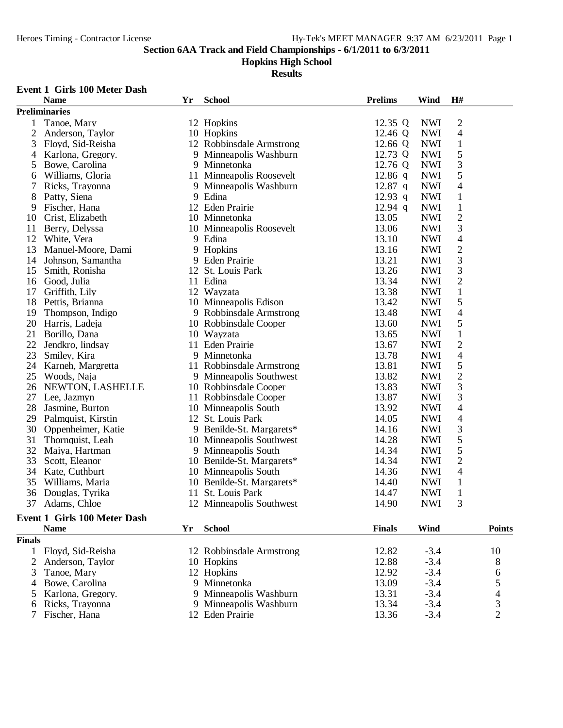### **Hopkins High School**

**Results**

#### **Event 1 Girls 100 Meter Dash**

|                | <b>Name</b>          | Yr | <b>School</b>             | <b>Prelims</b> | Wind       | H#                       |  |
|----------------|----------------------|----|---------------------------|----------------|------------|--------------------------|--|
|                | <b>Preliminaries</b> |    |                           |                |            |                          |  |
| 1              | Tanoe, Mary          |    | 12 Hopkins                | 12.35 Q        | <b>NWI</b> | $\overline{c}$           |  |
| $\overline{2}$ | Anderson, Taylor     |    | 10 Hopkins                | 12.46 Q        | <b>NWI</b> | $\overline{\mathcal{L}}$ |  |
| 3              | Floyd, Sid-Reisha    |    | 12 Robbinsdale Armstrong  | 12.66 $Q$      | <b>NWI</b> | $\mathbf{1}$             |  |
| 4              | Karlona, Gregory.    |    | 9 Minneapolis Washburn    | 12.73 Q        | <b>NWI</b> | 5                        |  |
| 5              | Bowe, Carolina       |    | 9 Minnetonka              | 12.76 Q        | <b>NWI</b> | 3                        |  |
| 6              | Williams, Gloria     |    | 11 Minneapolis Roosevelt  | $12.86$ q      | <b>NWI</b> | 5                        |  |
| 7              | Ricks, Trayonna      |    | 9 Minneapolis Washburn    | $12.87$ q      | <b>NWI</b> | $\overline{\mathcal{L}}$ |  |
| 8              | Patty, Siena         |    | 9 Edina                   | 12.93 $q$      | <b>NWI</b> | $\mathbf{1}$             |  |
| 9              | Fischer, Hana        |    | 12 Eden Prairie           | 12.94 $q$      | <b>NWI</b> | $\,1$                    |  |
| 10             | Crist, Elizabeth     |    | 10 Minnetonka             | 13.05          | <b>NWI</b> | $\overline{c}$           |  |
| 11             | Berry, Delyssa       |    | 10 Minneapolis Roosevelt  | 13.06          | <b>NWI</b> | 3                        |  |
| 12             | White, Vera          |    | 9 Edina                   | 13.10          | <b>NWI</b> | $\overline{\mathcal{A}}$ |  |
| 13             | Manuel-Moore, Dami   |    | 9 Hopkins                 | 13.16          | <b>NWI</b> | $\overline{c}$           |  |
| 14             | Johnson, Samantha    | 9  | <b>Eden Prairie</b>       | 13.21          | <b>NWI</b> | 3                        |  |
| 15             | Smith, Ronisha       |    | 12 St. Louis Park         | 13.26          | <b>NWI</b> | 3                        |  |
| 16             | Good, Julia          |    | 11 Edina                  | 13.34          | <b>NWI</b> | $\overline{c}$           |  |
| 17             | Griffith, Lily       |    | 12 Wayzata                | 13.38          | <b>NWI</b> | $\,1\,$                  |  |
| 18             | Pettis, Brianna      |    | 10 Minneapolis Edison     | 13.42          | <b>NWI</b> | 5                        |  |
| 19             | Thompson, Indigo     |    | 9 Robbinsdale Armstrong   | 13.48          | <b>NWI</b> | $\overline{\mathcal{L}}$ |  |
| 20             | Harris, Ladeja       |    | 10 Robbinsdale Cooper     | 13.60          | <b>NWI</b> | 5                        |  |
| 21             | Borillo, Dana        |    | 10 Wayzata                | 13.65          | <b>NWI</b> | $\mathbf{1}$             |  |
| 22             | Jendkro, lindsay     |    | 11 Eden Prairie           | 13.67          | <b>NWI</b> | $\overline{2}$           |  |
| 23             | Smiley, Kira         |    | 9 Minnetonka              | 13.78          | <b>NWI</b> | 4                        |  |
| 24             | Karneh, Margretta    |    | 11 Robbinsdale Armstrong  | 13.81          | <b>NWI</b> | 5                        |  |
| 25             | Woods, Naja          |    | 9 Minneapolis Southwest   | 13.82          | <b>NWI</b> | $\overline{c}$           |  |
| 26             | NEWTON, LASHELLE     |    | 10 Robbinsdale Cooper     | 13.83          | <b>NWI</b> | $\overline{3}$           |  |
| 27             | Lee, Jazmyn          |    | 11 Robbinsdale Cooper     | 13.87          | <b>NWI</b> | 3                        |  |
| 28             | Jasmine, Burton      |    | 10 Minneapolis South      | 13.92          | <b>NWI</b> | 4                        |  |
| 29             | Palmquist, Kirstin   |    | 12 St. Louis Park         | 14.05          | <b>NWI</b> | 4                        |  |
| 30             | Oppenheimer, Katie   |    | 9 Benilde-St. Margarets*  | 14.16          | <b>NWI</b> | 3                        |  |
| 31             | Thornquist, Leah     |    | 10 Minneapolis Southwest  | 14.28          | <b>NWI</b> | 5                        |  |
| 32             | Maiya, Hartman       |    | 9 Minneapolis South       | 14.34          | <b>NWI</b> | 5                        |  |
| 33             | Scott, Eleanor       |    | 10 Benilde-St. Margarets* | 14.34          | <b>NWI</b> | $\overline{c}$           |  |
| 34             | Kate, Cuthburt       |    | 10 Minneapolis South      | 14.36          | <b>NWI</b> | $\overline{4}$           |  |
| 35             | Williams, Maria      |    | 10 Benilde-St. Margarets* | 14.40          | <b>NWI</b> | $\mathbf{1}$             |  |
| 36             | Douglas, Tyrika      | 11 | St. Louis Park            | 14.47          | <b>NWI</b> | $\,1\,$                  |  |
| 37             | Adams, Chloe         |    | 12 Minneapolis Southwest  | 14.90          | <b>NWI</b> | 3                        |  |
|                |                      |    |                           |                |            |                          |  |

#### **Event 1 Girls 100 Meter Dash Name Yr School Finals Wind Points**

| <b>Finals</b> |                     |                          |       |        |    |
|---------------|---------------------|--------------------------|-------|--------|----|
|               | Floyd, Sid-Reisha   | 12 Robbinsdale Armstrong | 12.82 | $-3.4$ | 10 |
|               | 2 Anderson, Taylor  | 10 Hopkins               | 12.88 | $-3.4$ | 8  |
|               | 3 Tanoe, Mary       | 12 Hopkins               | 12.92 | $-3.4$ | 6  |
|               | 4 Bowe, Carolina    | 9 Minnetonka             | 13.09 | $-3.4$ |    |
|               | 5 Karlona, Gregory. | 9 Minneapolis Washburn   | 13.31 | $-3.4$ |    |
|               | 6 Ricks, Trayonna   | 9 Minneapolis Washburn   | 13.34 | $-3.4$ |    |
|               | Fischer, Hana       | 12 Eden Prairie          | 13.36 | $-3.4$ |    |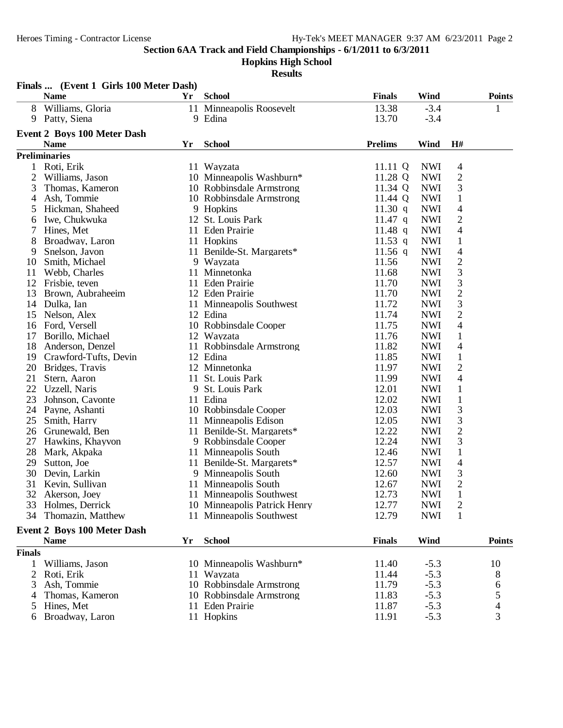**Hopkins High School**

|                | Finals  (Event 1 Girls 100 Meter Dash) |    |                                                          |                |                          |                                          |                          |
|----------------|----------------------------------------|----|----------------------------------------------------------|----------------|--------------------------|------------------------------------------|--------------------------|
|                | <b>Name</b>                            | Yr | <b>School</b>                                            | <b>Finals</b>  | Wind                     |                                          | <b>Points</b>            |
| 8              | Williams, Gloria                       |    | 11 Minneapolis Roosevelt                                 | 13.38          | $-3.4$                   |                                          | 1                        |
| 9              | Patty, Siena                           |    | 9 Edina                                                  | 13.70          | $-3.4$                   |                                          |                          |
|                | <b>Event 2 Boys 100 Meter Dash</b>     |    |                                                          |                |                          |                                          |                          |
|                | <b>Name</b>                            | Yr | <b>School</b>                                            | <b>Prelims</b> | Wind                     | H#                                       |                          |
|                | <b>Preliminaries</b>                   |    |                                                          |                |                          |                                          |                          |
| 1              | Roti, Erik                             |    | 11 Wayzata                                               | 11.11 $Q$      | <b>NWI</b>               | 4                                        |                          |
| $\overline{c}$ | Williams, Jason                        |    | 10 Minneapolis Washburn*                                 | 11.28 Q        | <b>NWI</b>               | $\mathbf{2}$                             |                          |
| 3              | Thomas, Kameron                        |    | 10 Robbinsdale Armstrong                                 | 11.34 Q        | <b>NWI</b>               | 3                                        |                          |
| 4              | Ash, Tommie                            |    | 10 Robbinsdale Armstrong                                 | 11.44 Q        | <b>NWI</b>               | $\mathbf{1}$                             |                          |
| 5              | Hickman, Shaheed                       |    | 9 Hopkins                                                | 11.30 q        | <b>NWI</b>               | $\overline{\mathcal{A}}$                 |                          |
| 6              | Iwe, Chukwuka                          |    | 12 St. Louis Park                                        | $11.47$ q      | <b>NWI</b>               | $\overline{2}$                           |                          |
| 7              | Hines, Met                             |    | 11 Eden Prairie                                          | $11.48$ q      | <b>NWI</b>               | $\overline{\mathcal{A}}$                 |                          |
| 8              | Broadway, Laron                        |    | 11 Hopkins                                               | 11.53 q        | <b>NWI</b>               | $\mathbf{1}$                             |                          |
| 9              | Snelson, Javon                         |    | 11 Benilde-St. Margarets*                                | 11.56 $q$      | <b>NWI</b>               | $\overline{4}$                           |                          |
| 10             | Smith, Michael                         | 9  | Wayzata                                                  | 11.56          | <b>NWI</b>               | $\sqrt{2}$                               |                          |
| 11             | Webb, Charles                          | 11 | Minnetonka                                               | 11.68          | <b>NWI</b>               | 3                                        |                          |
| 12             | Frisbie, teven                         |    | 11 Eden Prairie                                          | 11.70          | <b>NWI</b>               | $\mathfrak{Z}$                           |                          |
| 13             | Brown, Aubraheeim                      |    | 12 Eden Prairie                                          | 11.70          | <b>NWI</b>               | $\sqrt{2}$                               |                          |
| 14             | Dulka, Ian                             |    | 11 Minneapolis Southwest                                 | 11.72          | <b>NWI</b>               | 3                                        |                          |
| 15             | Nelson, Alex                           |    | 12 Edina                                                 | 11.74          | <b>NWI</b>               | $\mathfrak{2}$                           |                          |
| 16             | Ford, Versell                          |    | 10 Robbinsdale Cooper                                    | 11.75          | <b>NWI</b>               | 4                                        |                          |
| 17             | Borillo, Michael                       |    | 12 Wayzata                                               | 11.76          | <b>NWI</b>               | 1                                        |                          |
| 18             | Anderson, Denzel                       |    | 11 Robbinsdale Armstrong                                 | 11.82          | <b>NWI</b>               | $\overline{4}$                           |                          |
| 19             | Crawford-Tufts, Devin                  |    | 12 Edina                                                 | 11.85          | <b>NWI</b>               | $\mathbf{1}$                             |                          |
| 20             | Bridges, Travis                        |    | 12 Minnetonka                                            | 11.97          | <b>NWI</b>               | $\mathbf{2}$                             |                          |
| 21             | Stern, Aaron                           |    | 11 St. Louis Park                                        | 11.99          | <b>NWI</b>               | $\overline{4}$                           |                          |
| 22             | Uzzell, Naris                          | 9  | St. Louis Park                                           | 12.01          | <b>NWI</b>               | $\mathbf{1}$                             |                          |
| 23             | Johnson, Cavonte                       |    | 11 Edina                                                 | 12.02          | <b>NWI</b>               | $\mathbf{1}$                             |                          |
| 24             |                                        |    | 10 Robbinsdale Cooper                                    | 12.03          | <b>NWI</b>               | $\mathfrak{Z}$                           |                          |
| 25             | Payne, Ashanti<br>Smith, Harry         |    | 11 Minneapolis Edison                                    | 12.05          | <b>NWI</b>               | $\mathfrak{Z}$                           |                          |
| 26             | Grunewald, Ben                         |    | 11 Benilde-St. Margarets*                                | 12.22          | <b>NWI</b>               | $\overline{c}$                           |                          |
| 27             | Hawkins, Khayvon                       |    | 9 Robbinsdale Cooper                                     | 12.24          | <b>NWI</b>               | 3                                        |                          |
| 28             |                                        |    | 11 Minneapolis South                                     | 12.46          | <b>NWI</b>               |                                          |                          |
| 29             | Mark, Akpaka                           |    | 11 Benilde-St. Margarets*                                | 12.57          | <b>NWI</b>               | $\mathbf{1}$<br>$\overline{\mathcal{A}}$ |                          |
| 30             | Sutton, Joe                            |    |                                                          | 12.60          | <b>NWI</b>               | 3                                        |                          |
| 31             | Devin, Larkin                          |    | 9 Minneapolis South                                      | 12.67          |                          | $\overline{2}$                           |                          |
|                | Kevin, Sullivan                        |    | 11 Minneapolis South                                     |                | <b>NWI</b>               |                                          |                          |
|                | 32 Akerson, Joey                       |    | 11 Minneapolis Southwest<br>10 Minneapolis Patrick Henry | 12.73<br>12.77 | <b>NWI</b><br><b>NWI</b> | $\perp$                                  |                          |
| 33             | Holmes, Derrick                        |    |                                                          |                |                          | 2                                        |                          |
| 34             | Thomazin, Matthew                      |    | 11 Minneapolis Southwest                                 | 12.79          | <b>NWI</b>               | 1                                        |                          |
|                | <b>Event 2 Boys 100 Meter Dash</b>     |    |                                                          |                |                          |                                          |                          |
|                | <b>Name</b>                            | Yr | <b>School</b>                                            | <b>Finals</b>  | Wind                     |                                          | <b>Points</b>            |
| <b>Finals</b>  |                                        |    |                                                          |                |                          |                                          |                          |
| 1              | Williams, Jason                        |    | 10 Minneapolis Washburn*                                 | 11.40          | $-5.3$                   |                                          | 10                       |
| 2              | Roti, Erik                             |    | 11 Wayzata                                               | 11.44          | $-5.3$                   |                                          | 8                        |
| 3              | Ash, Tommie                            |    | 10 Robbinsdale Armstrong                                 | 11.79          | $-5.3$                   |                                          | 6                        |
| 4              | Thomas, Kameron                        |    | 10 Robbinsdale Armstrong                                 | 11.83          | $-5.3$                   |                                          | 5                        |
| 5              | Hines, Met                             |    | 11 Eden Prairie                                          | 11.87          | $-5.3$                   |                                          | $\overline{\mathcal{L}}$ |
| 6              | Broadway, Laron                        |    | 11 Hopkins                                               | 11.91          | $-5.3$                   |                                          | 3                        |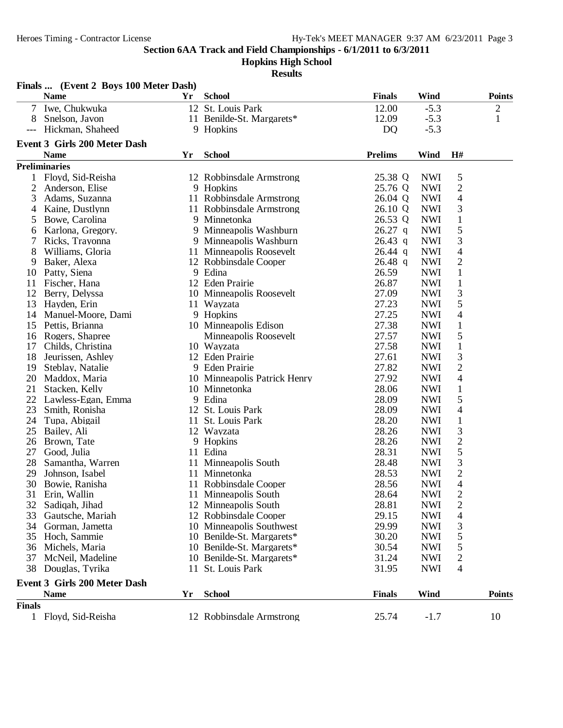**Hopkins High School**

|                | Finals  (Event 2 Boys 100 Meter Dash) |    |                              |                |            |                          |               |
|----------------|---------------------------------------|----|------------------------------|----------------|------------|--------------------------|---------------|
|                | <b>Name</b>                           | Yr | <b>School</b>                | <b>Finals</b>  | Wind       |                          | <b>Points</b> |
| 7              | Iwe, Chukwuka                         |    | 12 St. Louis Park            | 12.00          | $-5.3$     |                          | 2             |
| 8              | Snelson, Javon                        |    | 11 Benilde-St. Margarets*    | 12.09          | $-5.3$     |                          | $\mathbf{1}$  |
| ---            | Hickman, Shaheed                      |    | 9 Hopkins                    | DQ             | $-5.3$     |                          |               |
|                | <b>Event 3 Girls 200 Meter Dash</b>   |    |                              |                |            |                          |               |
|                | <b>Name</b>                           | Yr | <b>School</b>                | <b>Prelims</b> | Wind       | H#                       |               |
|                | <b>Preliminaries</b>                  |    |                              |                |            |                          |               |
| 1              | Floyd, Sid-Reisha                     |    | 12 Robbinsdale Armstrong     | 25.38 Q        | <b>NWI</b> | 5                        |               |
| $\overline{c}$ | Anderson, Elise                       |    | 9 Hopkins                    | 25.76 Q        | <b>NWI</b> | $\overline{c}$           |               |
| 3              | Adams, Suzanna                        |    | 11 Robbinsdale Armstrong     | 26.04 Q        | <b>NWI</b> | $\overline{\mathcal{A}}$ |               |
| 4              | Kaine, Dustlynn                       |    | 11 Robbinsdale Armstrong     | 26.10 Q        | <b>NWI</b> | 3                        |               |
| 5              | Bowe, Carolina                        |    | 9 Minnetonka                 | 26.53 Q        | <b>NWI</b> | $\mathbf{1}$             |               |
| 6              | Karlona, Gregory.                     |    | 9 Minneapolis Washburn       | $26.27$ q      | <b>NWI</b> | 5                        |               |
| 7              | Ricks, Trayonna                       |    | 9 Minneapolis Washburn       | $26.43$ q      | <b>NWI</b> | 3                        |               |
| 8              | Williams, Gloria                      |    | 11 Minneapolis Roosevelt     | $26.44$ q      | <b>NWI</b> | 4                        |               |
| 9              | Baker, Alexa                          |    | 12 Robbinsdale Cooper        | $26.48$ q      | <b>NWI</b> | $\overline{c}$           |               |
| 10             | Patty, Siena                          |    | 9 Edina                      | 26.59          | <b>NWI</b> | $\mathbf{1}$             |               |
| 11             | Fischer, Hana                         |    | 12 Eden Prairie              | 26.87          | <b>NWI</b> | $\mathbf 1$              |               |
| 12             | Berry, Delyssa                        |    | 10 Minneapolis Roosevelt     | 27.09          | <b>NWI</b> | 3                        |               |
| 13             | Hayden, Erin                          |    | 11 Wayzata                   | 27.23          | <b>NWI</b> | 5                        |               |
| 14             | Manuel-Moore, Dami                    |    | 9 Hopkins                    | 27.25          | <b>NWI</b> | 4                        |               |
| 15             | Pettis, Brianna                       |    | 10 Minneapolis Edison        | 27.38          | <b>NWI</b> | $\mathbf 1$              |               |
| 16             | Rogers, Shapree                       |    | Minneapolis Roosevelt        | 27.57          | <b>NWI</b> | 5                        |               |
| 17             | Childs, Christina                     |    | 10 Wayzata                   | 27.58          | <b>NWI</b> | $\mathbf{1}$             |               |
| 18             | Jeurissen, Ashley                     |    | 12 Eden Prairie              | 27.61          | <b>NWI</b> | 3                        |               |
| 19             | Steblay, Natalie                      |    | 9 Eden Prairie               | 27.82          | <b>NWI</b> | $\overline{2}$           |               |
| 20             | Maddox, Maria                         |    | 10 Minneapolis Patrick Henry | 27.92          | <b>NWI</b> | 4                        |               |
| 21             | Stacken, Kelly                        |    | 10 Minnetonka                | 28.06          | <b>NWI</b> | $\mathbf{1}$             |               |
| 22             | Lawless-Egan, Emma                    |    | 9 Edina                      | 28.09          | <b>NWI</b> | 5                        |               |
| 23             | Smith, Ronisha                        |    | 12 St. Louis Park            | 28.09          | <b>NWI</b> | 4                        |               |
| 24             | Tupa, Abigail                         |    | 11 St. Louis Park            | 28.20          | <b>NWI</b> | $\mathbf 1$              |               |
| 25             | Bailey, Ali                           |    | 12 Wayzata                   | 28.26          | <b>NWI</b> | 3                        |               |
| 26             | Brown, Tate                           |    | 9 Hopkins                    | 28.26          | <b>NWI</b> | $\overline{c}$           |               |
| 27             | Good, Julia                           |    | 11 Edina                     | 28.31          | <b>NWI</b> | 5                        |               |
| 28             | Samantha, Warren                      |    | 11 Minneapolis South         | 28.48          | <b>NWI</b> | 3                        |               |
| 29             | Johnson, Isabel                       |    | 11 Minnetonka                | 28.53          | <b>NWI</b> | $\overline{c}$           |               |
| 30             | Bowie, Ranisha                        |    | 11 Robbinsdale Cooper        | 28.56          | <b>NWI</b> | 4                        |               |
| 31             | Erin, Wallin                          |    | 11 Minneapolis South         | 28.64          | <b>NWI</b> | 2                        |               |
| 32             | Sadiqah, Jihad                        |    | 12 Minneapolis South         | 28.81          | <b>NWI</b> | $\overline{c}$           |               |
| 33             | Gautsche, Mariah                      |    | 12 Robbinsdale Cooper        | 29.15          | <b>NWI</b> | 4                        |               |
| 34             | Gorman, Jametta                       |    | 10 Minneapolis Southwest     | 29.99          | <b>NWI</b> | 3                        |               |
| 35             | Hoch, Sammie                          |    | 10 Benilde-St. Margarets*    | 30.20          | <b>NWI</b> | 5                        |               |
| 36             | Michels, Maria                        |    | 10 Benilde-St. Margarets*    | 30.54          | <b>NWI</b> | 5                        |               |
| 37             | McNeil, Madeline                      |    | 10 Benilde-St. Margarets*    | 31.24          | <b>NWI</b> | $\overline{\mathbf{c}}$  |               |
| 38             | Douglas, Tyrika                       | 11 | St. Louis Park               | 31.95          | <b>NWI</b> | 4                        |               |
|                | <b>Event 3 Girls 200 Meter Dash</b>   |    |                              |                |            |                          |               |
|                | <b>Name</b>                           | Yr | <b>School</b>                | <b>Finals</b>  | Wind       |                          | <b>Points</b> |
| <b>Finals</b>  |                                       |    |                              |                |            |                          |               |
|                | 1 Floyd, Sid-Reisha                   |    | 12 Robbinsdale Armstrong     | 25.74          | $-1.7$     |                          | 10            |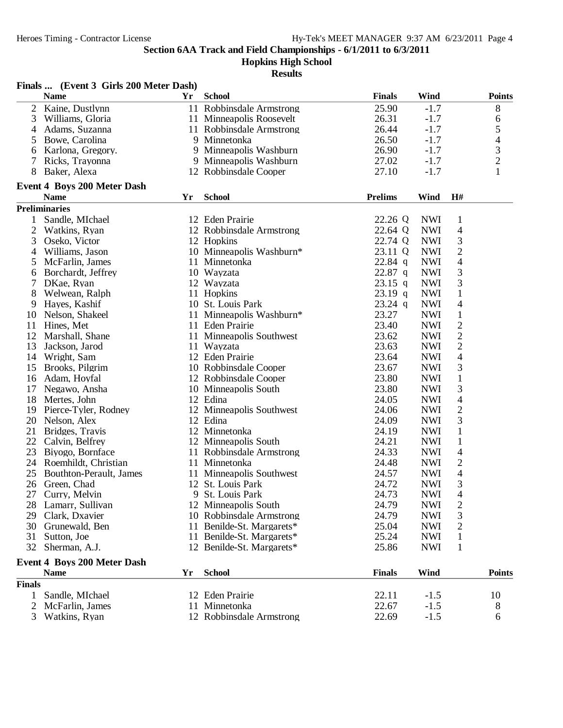**Hopkins High School**

|                | Finals  (Event 3 Girls 200 Meter Dash)          |    |                                           |                |                          |                          |                                |
|----------------|-------------------------------------------------|----|-------------------------------------------|----------------|--------------------------|--------------------------|--------------------------------|
|                | <b>Name</b>                                     | Yr | <b>School</b>                             | <b>Finals</b>  | Wind                     |                          | <b>Points</b>                  |
| $\overline{2}$ | Kaine, Dustlynn                                 |    | 11 Robbinsdale Armstrong                  | 25.90          | $-1.7$                   |                          | 8                              |
| 3              | Williams, Gloria                                |    | 11 Minneapolis Roosevelt                  | 26.31          | $-1.7$                   |                          | 6                              |
| 4              | Adams, Suzanna                                  |    | 11 Robbinsdale Armstrong                  | 26.44          | $-1.7$                   |                          |                                |
| 5              | Bowe, Carolina                                  |    | 9 Minnetonka                              | 26.50          | $-1.7$                   |                          | $\frac{5}{4}$<br>$\frac{3}{2}$ |
| 6              | Karlona, Gregory.                               |    | 9 Minneapolis Washburn                    | 26.90          | $-1.7$                   |                          |                                |
| 7              | Ricks, Trayonna                                 |    | 9 Minneapolis Washburn                    | 27.02          | $-1.7$                   |                          |                                |
| 8              | Baker, Alexa                                    |    | 12 Robbinsdale Cooper                     | 27.10          | $-1.7$                   |                          | $\mathbf{1}$                   |
|                | <b>Event 4 Boys 200 Meter Dash</b>              |    |                                           |                |                          |                          |                                |
|                | <b>Name</b>                                     | Yr | <b>School</b>                             | <b>Prelims</b> | Wind                     | H#                       |                                |
|                | <b>Preliminaries</b>                            |    |                                           |                |                          |                          |                                |
| 1              | Sandle, MIchael                                 |    | 12 Eden Prairie                           | 22.26 Q        | <b>NWI</b>               | $\mathbf{1}$             |                                |
| $\overline{c}$ | Watkins, Ryan                                   |    | 12 Robbinsdale Armstrong                  | 22.64 Q        | <b>NWI</b>               | 4                        |                                |
| 3              | Oseko, Victor                                   |    | 12 Hopkins                                | 22.74 Q        | <b>NWI</b>               | 3                        |                                |
| 4              | Williams, Jason                                 |    | 10 Minneapolis Washburn*                  | 23.11 Q        | <b>NWI</b>               | $\mathbf{2}$             |                                |
| 5              | McFarlin, James                                 |    | 11 Minnetonka                             | $22.84$ q      | <b>NWI</b>               | 4                        |                                |
| 6              | Borchardt, Jeffrey                              |    | 10 Wayzata                                | $22.87$ q      | <b>NWI</b>               | 3                        |                                |
|                | DKae, Ryan                                      |    | 12 Wayzata                                | $23.15$ q      | <b>NWI</b>               | 3                        |                                |
| 8              | Welwean, Ralph                                  |    | 11 Hopkins                                | $23.19$ q      | <b>NWI</b>               | $\mathbf{1}$             |                                |
| 9              | Hayes, Kashif                                   |    | 10 St. Louis Park                         | $23.24$ q      | <b>NWI</b>               | $\overline{\mathcal{A}}$ |                                |
| 10             | Nelson, Shakeel                                 |    | 11 Minneapolis Washburn*                  | 23.27          | <b>NWI</b>               | $\,1$                    |                                |
| 11             | Hines, Met                                      |    | 11 Eden Prairie                           | 23.40          | <b>NWI</b>               | $\overline{c}$           |                                |
| 12             | Marshall, Shane                                 |    | 11 Minneapolis Southwest                  | 23.62          | <b>NWI</b>               | $\mathbf{2}$             |                                |
| 13             | Jackson, Jarod                                  |    | 11 Wayzata                                | 23.63          | <b>NWI</b>               | $\overline{c}$           |                                |
| 14             | Wright, Sam                                     |    | 12 Eden Prairie                           | 23.64          | <b>NWI</b>               | $\overline{\mathcal{A}}$ |                                |
| 15             | Brooks, Pilgrim                                 |    | 10 Robbinsdale Cooper                     | 23.67          | <b>NWI</b>               | 3                        |                                |
| 16             | Adam, Hoyfal                                    |    | 12 Robbinsdale Cooper                     | 23.80          | <b>NWI</b>               | $\mathbf{1}$             |                                |
| 17             | Negawo, Ansha                                   |    | 10 Minneapolis South                      | 23.80          | <b>NWI</b>               | 3                        |                                |
| 18             | Mertes, John                                    |    | 12 Edina                                  | 24.05          | <b>NWI</b>               | 4                        |                                |
| 19             | Pierce-Tyler, Rodney                            |    | 12 Minneapolis Southwest                  | 24.06          | <b>NWI</b>               | $\overline{c}$           |                                |
| 20             | Nelson, Alex                                    |    | 12 Edina                                  | 24.09          | <b>NWI</b>               | 3                        |                                |
| 21             | Bridges, Travis                                 |    | 12 Minnetonka                             | 24.19          | <b>NWI</b>               | $\mathbf{1}$             |                                |
| 22             | Calvin, Belfrey                                 |    | 12 Minneapolis South                      | 24.21          | <b>NWI</b>               | $\mathbf 1$              |                                |
| 23             |                                                 |    |                                           |                |                          |                          |                                |
| 24             | Biyogo, Bornface                                |    | 11 Robbinsdale Armstrong<br>11 Minnetonka | 24.33<br>24.48 | <b>NWI</b>               | 4                        |                                |
|                | Roemhildt, Christian<br>Bouthton-Perault, James |    | 11 Minneapolis Southwest                  |                | <b>NWI</b>               | $\overline{c}$           |                                |
| 25             |                                                 |    | 12 St. Louis Park                         | 24.57          | <b>NWI</b>               | 4<br>3                   |                                |
| 26             | Green, Chad                                     |    |                                           | 24.72          | <b>NWI</b><br><b>NWI</b> |                          |                                |
|                | 27 Curry, Melvin                                |    | 9 St. Louis Park                          | 24.73          |                          | 4                        |                                |
|                | 28 Lamarr, Sullivan                             |    | 12 Minneapolis South                      | 24.79          | <b>NWI</b>               | $\overline{\mathbf{c}}$  |                                |
| 29             | Clark, Dxavier                                  |    | 10 Robbinsdale Armstrong                  | 24.79          | <b>NWI</b>               | 3                        |                                |
| 30             | Grunewald, Ben                                  |    | 11 Benilde-St. Margarets*                 | 25.04          | <b>NWI</b>               | 2                        |                                |
| 31             | Sutton, Joe                                     |    | 11 Benilde-St. Margarets*                 | 25.24          | <b>NWI</b>               | $\mathbf{1}$             |                                |
| 32             | Sherman, A.J.                                   |    | 12 Benilde-St. Margarets*                 | 25.86          | <b>NWI</b>               | $\mathbf{1}$             |                                |
|                | <b>Event 4 Boys 200 Meter Dash</b>              |    |                                           |                |                          |                          |                                |
|                | <b>Name</b>                                     | Yr | <b>School</b>                             | <b>Finals</b>  | Wind                     |                          | <b>Points</b>                  |
| <b>Finals</b>  |                                                 |    |                                           |                |                          |                          |                                |
| $\mathbf{1}$   | Sandle, MIchael                                 |    | 12 Eden Prairie                           | 22.11          | $-1.5$                   |                          | 10                             |
| 2              | McFarlin, James                                 |    | 11 Minnetonka                             | 22.67          | $-1.5$                   |                          | 8                              |
| 3              | Watkins, Ryan                                   |    | 12 Robbinsdale Armstrong                  | 22.69          | $-1.5$                   |                          | 6                              |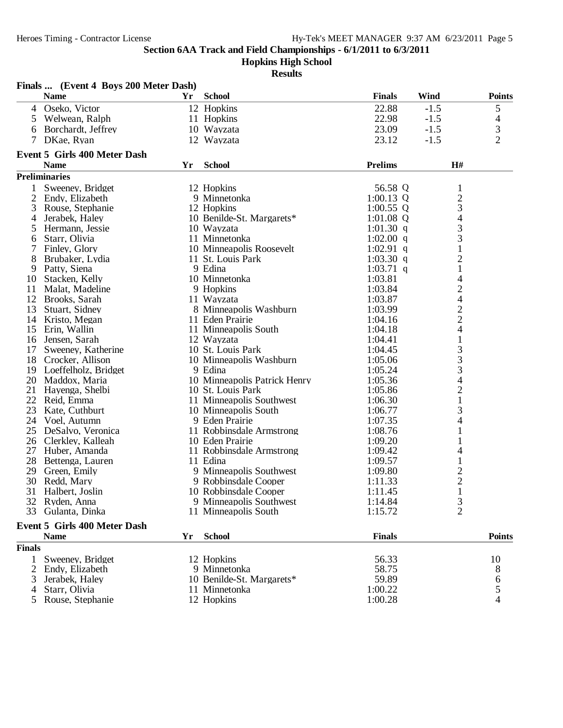**Hopkins High School**

|                | Finals  (Event 4 Boys 200 Meter Dash) |     |                              |                |        |                                            |
|----------------|---------------------------------------|-----|------------------------------|----------------|--------|--------------------------------------------|
|                | <b>Name</b>                           | Yr. | <b>School</b>                | <b>Finals</b>  | Wind   | <b>Points</b>                              |
| $\overline{4}$ | Oseko, Victor                         |     | 12 Hopkins                   | 22.88          | $-1.5$ | 5                                          |
| 5              | Welwean, Ralph                        |     | 11 Hopkins                   | 22.98          | $-1.5$ | 4                                          |
| 6              | Borchardt, Jeffrey                    |     | 10 Wayzata                   | 23.09          | $-1.5$ | 3                                          |
| 7              | DKae, Ryan                            |     | 12 Wayzata                   | 23.12          | $-1.5$ | $\overline{2}$                             |
|                | <b>Event 5 Girls 400 Meter Dash</b>   |     |                              |                |        |                                            |
|                | <b>Name</b>                           | Yr  | <b>School</b>                | <b>Prelims</b> |        | H#                                         |
|                | <b>Preliminaries</b>                  |     |                              |                |        |                                            |
|                | Sweeney, Bridget                      |     | 12 Hopkins                   | 56.58 Q        |        | $\mathbf{1}$                               |
| 2              | Endy, Elizabeth                       |     | 9 Minnetonka                 | $1:00.13$ Q    |        | $\overline{c}$                             |
| 3              | Rouse, Stephanie                      |     | 12 Hopkins                   | $1:00.55$ Q    |        | 3                                          |
| 4              | Jerabek, Haley                        |     | 10 Benilde-St. Margarets*    | $1:01.08$ Q    |        | 4                                          |
| 5              | Hermann, Jessie                       |     | 10 Wayzata                   | 1:01.30 $q$    |        |                                            |
| 6              | Starr, Olivia                         |     | 11 Minnetonka                | 1:02.00 $q$    |        | $\frac{3}{3}$                              |
|                | Finley, Glory                         |     | 10 Minneapolis Roosevelt     | $1:02.91$ q    |        | $\mathbf{1}$                               |
| 8              | Brubaker, Lydia                       |     | 11 St. Louis Park            | 1:03.30 q      |        | $\overline{c}$                             |
| 9              | Patty, Siena                          |     | 9 Edina                      | $1:03.71$ q    |        | $\mathbf{1}$                               |
| 10             | Stacken, Kelly                        |     | 10 Minnetonka                | 1:03.81        |        | 4                                          |
| 11             | Malat, Madeline                       |     | 9 Hopkins                    | 1:03.84        |        |                                            |
| 12             | Brooks, Sarah                         |     | 11 Wayzata                   | 1:03.87        |        |                                            |
| 13             | Stuart, Sidney                        |     | 8 Minneapolis Washburn       | 1:03.99        |        |                                            |
| 14             | Kristo, Megan                         |     | 11 Eden Prairie              | 1:04.16        |        | $\begin{array}{c} 2 \\ 4 \\ 2 \end{array}$ |
| 15             | Erin, Wallin                          |     | 11 Minneapolis South         | 1:04.18        |        | $\overline{\mathcal{A}}$                   |
| 16             | Jensen, Sarah                         |     | 12 Wayzata                   | 1:04.41        |        | $\mathbf{1}$                               |
| 17             | Sweeney, Katherine                    |     | 10 St. Louis Park            | 1:04.45        |        |                                            |
|                | 18 Crocker, Allison                   |     | 10 Minneapolis Washburn      | 1:05.06        |        | $\frac{3}{3}$                              |
| 19             | Loeffelholz, Bridget                  |     | 9 Edina                      | 1:05.24        |        | 3                                          |
| 20             | Maddox, Maria                         |     | 10 Minneapolis Patrick Henry | 1:05.36        |        | 4                                          |
| 21             | Hayenga, Shelbi                       |     | 10 St. Louis Park            | 1:05.86        |        | $\overline{c}$                             |
| 22             | Reid, Emma                            |     | 11 Minneapolis Southwest     | 1:06.30        |        | $\mathbf{1}$                               |
| 23             | Kate, Cuthburt                        |     | 10 Minneapolis South         | 1:06.77        |        | 3                                          |
|                | 24 Voel, Autumn                       |     | 9 Eden Prairie               | 1:07.35        |        | 4                                          |
| 25             | DeSalvo, Veronica                     |     | 11 Robbinsdale Armstrong     | 1:08.76        |        | 1                                          |
| 26             | Clerkley, Kalleah                     |     | 10 Eden Prairie              | 1:09.20        |        | 1                                          |
| 27             | Huber, Amanda                         |     | 11 Robbinsdale Armstrong     | 1:09.42        |        | 4                                          |
| 28             | Bettenga, Lauren                      |     | 11 Edina                     | 1:09.57        |        | $\mathbf{1}$                               |
| 29             | Green, Emily                          |     | 9 Minneapolis Southwest      | 1:09.80        |        |                                            |
| 30             | Redd, Mary                            |     | 9 Robbinsdale Cooper         | 1:11.33        |        | $\frac{2}{2}$                              |
| 31             | Halbert, Joslin                       |     | 10 Robbinsdale Cooper        | 1:11.45        |        | 1                                          |
|                | 32 Ryden, Anna                        |     | 9 Minneapolis Southwest      | 1:14.84        |        | 3                                          |
| 33             | Gulanta, Dinka                        |     | 11 Minneapolis South         | 1:15.72        |        | $\overline{2}$                             |
|                | <b>Event 5 Girls 400 Meter Dash</b>   |     |                              |                |        |                                            |
|                | <b>Name</b>                           | Yr  | <b>School</b>                | <b>Finals</b>  |        | <b>Points</b>                              |
| <b>Finals</b>  |                                       |     |                              |                |        |                                            |
| 1              | Sweeney, Bridget                      |     | 12 Hopkins                   | 56.33          |        | 10                                         |
| 2              | Endy, Elizabeth                       |     | 9 Minnetonka                 | 58.75          |        | 8                                          |
|                | Jerabek, Haley                        |     | 10 Benilde-St. Margarets*    | 59.89          |        | 6                                          |
|                | Starr, Olivia                         |     | 11 Minnetonka                | 1:00.22        |        | 5                                          |
| 5              | Rouse, Stephanie                      |     | 12 Hopkins                   | 1:00.28        |        | $\overline{4}$                             |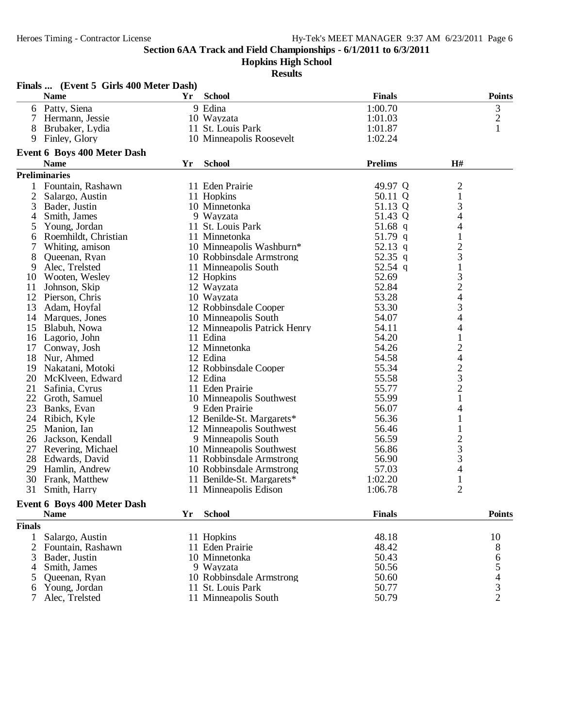**Hopkins High School**

| <b>Finals</b><br><b>Points</b><br><b>Name</b><br>Yr<br><b>School</b><br>3<br>6 Patty, Siena<br>9 Edina<br>1:00.70<br>$\overline{c}$<br>$\tau$<br>Hermann, Jessie<br>10 Wayzata<br>1:01.03<br>1<br>11 St. Louis Park<br>8<br>Brubaker, Lydia<br>1:01.87<br>Finley, Glory<br>10 Minneapolis Roosevelt<br>1:02.24<br>9<br><b>Event 6 Boys 400 Meter Dash</b><br><b>Prelims</b><br><b>School</b><br>H#<br><b>Name</b><br>Yr<br><b>Preliminaries</b><br>49.97 Q<br>$\overline{\mathbf{c}}$<br>Fountain, Rashawn<br>11 Eden Prairie<br>$\,1$<br>$\overline{2}$<br>Salargo, Austin<br>11 Hopkins<br>50.11 Q<br>$\frac{3}{4}$<br>3<br>10 Minnetonka<br>51.13 Q<br>Bader, Justin<br>Smith, James<br>9 Wayzata<br>51.43 Q<br>4<br>4<br>11 St. Louis Park<br>Young, Jordan<br>51.68 q<br>5<br>1<br>Roemhildt, Christian<br>11 Minnetonka<br>51.79 q<br>6<br>$\frac{2}{3}$<br>52.13 q<br>Whiting, amison<br>10 Minneapolis Washburn*<br>7<br>8<br>52.35 q<br>Queenan, Ryan<br>10 Robbinsdale Armstrong<br>52.54 q<br>$\mathbf{1}$<br>Alec, Trelsted<br>9<br>11 Minneapolis South<br>$\frac{3}{2}$<br>52.69<br>12 Hopkins<br>Wooten, Wesley<br>10<br>52.84<br>11<br>Johnson, Skip<br>12 Wayzata<br>$\overline{\mathcal{A}}$<br>12<br>53.28<br>Pierson, Chris<br>10 Wayzata<br>3<br>13<br>Adam, Hoyfal<br>53.30<br>12 Robbinsdale Cooper<br>4<br>54.07<br>14<br>Marques, Jones<br>10 Minneapolis South<br>15<br>Blabuh, Nowa<br>54.11<br>4<br>12 Minneapolis Patrick Henry<br>11 Edina<br>54.20<br>$\mathbf{1}$<br>16<br>Lagorio, John<br>$\overline{c}$<br>54.26<br>17<br>Conway, Josh<br>12 Minnetonka<br>$\overline{4}$<br>18<br>12 Edina<br>54.58<br>Nur, Ahmed |
|-------------------------------------------------------------------------------------------------------------------------------------------------------------------------------------------------------------------------------------------------------------------------------------------------------------------------------------------------------------------------------------------------------------------------------------------------------------------------------------------------------------------------------------------------------------------------------------------------------------------------------------------------------------------------------------------------------------------------------------------------------------------------------------------------------------------------------------------------------------------------------------------------------------------------------------------------------------------------------------------------------------------------------------------------------------------------------------------------------------------------------------------------------------------------------------------------------------------------------------------------------------------------------------------------------------------------------------------------------------------------------------------------------------------------------------------------------------------------------------------------------------------------------------------------------------------------------------------------------------------------------------------------------|
|                                                                                                                                                                                                                                                                                                                                                                                                                                                                                                                                                                                                                                                                                                                                                                                                                                                                                                                                                                                                                                                                                                                                                                                                                                                                                                                                                                                                                                                                                                                                                                                                                                                       |
|                                                                                                                                                                                                                                                                                                                                                                                                                                                                                                                                                                                                                                                                                                                                                                                                                                                                                                                                                                                                                                                                                                                                                                                                                                                                                                                                                                                                                                                                                                                                                                                                                                                       |
|                                                                                                                                                                                                                                                                                                                                                                                                                                                                                                                                                                                                                                                                                                                                                                                                                                                                                                                                                                                                                                                                                                                                                                                                                                                                                                                                                                                                                                                                                                                                                                                                                                                       |
|                                                                                                                                                                                                                                                                                                                                                                                                                                                                                                                                                                                                                                                                                                                                                                                                                                                                                                                                                                                                                                                                                                                                                                                                                                                                                                                                                                                                                                                                                                                                                                                                                                                       |
|                                                                                                                                                                                                                                                                                                                                                                                                                                                                                                                                                                                                                                                                                                                                                                                                                                                                                                                                                                                                                                                                                                                                                                                                                                                                                                                                                                                                                                                                                                                                                                                                                                                       |
|                                                                                                                                                                                                                                                                                                                                                                                                                                                                                                                                                                                                                                                                                                                                                                                                                                                                                                                                                                                                                                                                                                                                                                                                                                                                                                                                                                                                                                                                                                                                                                                                                                                       |
|                                                                                                                                                                                                                                                                                                                                                                                                                                                                                                                                                                                                                                                                                                                                                                                                                                                                                                                                                                                                                                                                                                                                                                                                                                                                                                                                                                                                                                                                                                                                                                                                                                                       |
|                                                                                                                                                                                                                                                                                                                                                                                                                                                                                                                                                                                                                                                                                                                                                                                                                                                                                                                                                                                                                                                                                                                                                                                                                                                                                                                                                                                                                                                                                                                                                                                                                                                       |
|                                                                                                                                                                                                                                                                                                                                                                                                                                                                                                                                                                                                                                                                                                                                                                                                                                                                                                                                                                                                                                                                                                                                                                                                                                                                                                                                                                                                                                                                                                                                                                                                                                                       |
|                                                                                                                                                                                                                                                                                                                                                                                                                                                                                                                                                                                                                                                                                                                                                                                                                                                                                                                                                                                                                                                                                                                                                                                                                                                                                                                                                                                                                                                                                                                                                                                                                                                       |
|                                                                                                                                                                                                                                                                                                                                                                                                                                                                                                                                                                                                                                                                                                                                                                                                                                                                                                                                                                                                                                                                                                                                                                                                                                                                                                                                                                                                                                                                                                                                                                                                                                                       |
|                                                                                                                                                                                                                                                                                                                                                                                                                                                                                                                                                                                                                                                                                                                                                                                                                                                                                                                                                                                                                                                                                                                                                                                                                                                                                                                                                                                                                                                                                                                                                                                                                                                       |
|                                                                                                                                                                                                                                                                                                                                                                                                                                                                                                                                                                                                                                                                                                                                                                                                                                                                                                                                                                                                                                                                                                                                                                                                                                                                                                                                                                                                                                                                                                                                                                                                                                                       |
|                                                                                                                                                                                                                                                                                                                                                                                                                                                                                                                                                                                                                                                                                                                                                                                                                                                                                                                                                                                                                                                                                                                                                                                                                                                                                                                                                                                                                                                                                                                                                                                                                                                       |
|                                                                                                                                                                                                                                                                                                                                                                                                                                                                                                                                                                                                                                                                                                                                                                                                                                                                                                                                                                                                                                                                                                                                                                                                                                                                                                                                                                                                                                                                                                                                                                                                                                                       |
|                                                                                                                                                                                                                                                                                                                                                                                                                                                                                                                                                                                                                                                                                                                                                                                                                                                                                                                                                                                                                                                                                                                                                                                                                                                                                                                                                                                                                                                                                                                                                                                                                                                       |
|                                                                                                                                                                                                                                                                                                                                                                                                                                                                                                                                                                                                                                                                                                                                                                                                                                                                                                                                                                                                                                                                                                                                                                                                                                                                                                                                                                                                                                                                                                                                                                                                                                                       |
|                                                                                                                                                                                                                                                                                                                                                                                                                                                                                                                                                                                                                                                                                                                                                                                                                                                                                                                                                                                                                                                                                                                                                                                                                                                                                                                                                                                                                                                                                                                                                                                                                                                       |
|                                                                                                                                                                                                                                                                                                                                                                                                                                                                                                                                                                                                                                                                                                                                                                                                                                                                                                                                                                                                                                                                                                                                                                                                                                                                                                                                                                                                                                                                                                                                                                                                                                                       |
|                                                                                                                                                                                                                                                                                                                                                                                                                                                                                                                                                                                                                                                                                                                                                                                                                                                                                                                                                                                                                                                                                                                                                                                                                                                                                                                                                                                                                                                                                                                                                                                                                                                       |
|                                                                                                                                                                                                                                                                                                                                                                                                                                                                                                                                                                                                                                                                                                                                                                                                                                                                                                                                                                                                                                                                                                                                                                                                                                                                                                                                                                                                                                                                                                                                                                                                                                                       |
|                                                                                                                                                                                                                                                                                                                                                                                                                                                                                                                                                                                                                                                                                                                                                                                                                                                                                                                                                                                                                                                                                                                                                                                                                                                                                                                                                                                                                                                                                                                                                                                                                                                       |
|                                                                                                                                                                                                                                                                                                                                                                                                                                                                                                                                                                                                                                                                                                                                                                                                                                                                                                                                                                                                                                                                                                                                                                                                                                                                                                                                                                                                                                                                                                                                                                                                                                                       |
|                                                                                                                                                                                                                                                                                                                                                                                                                                                                                                                                                                                                                                                                                                                                                                                                                                                                                                                                                                                                                                                                                                                                                                                                                                                                                                                                                                                                                                                                                                                                                                                                                                                       |
|                                                                                                                                                                                                                                                                                                                                                                                                                                                                                                                                                                                                                                                                                                                                                                                                                                                                                                                                                                                                                                                                                                                                                                                                                                                                                                                                                                                                                                                                                                                                                                                                                                                       |
|                                                                                                                                                                                                                                                                                                                                                                                                                                                                                                                                                                                                                                                                                                                                                                                                                                                                                                                                                                                                                                                                                                                                                                                                                                                                                                                                                                                                                                                                                                                                                                                                                                                       |
|                                                                                                                                                                                                                                                                                                                                                                                                                                                                                                                                                                                                                                                                                                                                                                                                                                                                                                                                                                                                                                                                                                                                                                                                                                                                                                                                                                                                                                                                                                                                                                                                                                                       |
| $\begin{array}{c} 2 \\ 3 \\ 2 \\ 1 \end{array}$<br>19<br>12 Robbinsdale Cooper<br>55.34<br>Nakatani, Motoki                                                                                                                                                                                                                                                                                                                                                                                                                                                                                                                                                                                                                                                                                                                                                                                                                                                                                                                                                                                                                                                                                                                                                                                                                                                                                                                                                                                                                                                                                                                                           |
| 20<br>12 Edina<br>55.58<br>McKlveen, Edward                                                                                                                                                                                                                                                                                                                                                                                                                                                                                                                                                                                                                                                                                                                                                                                                                                                                                                                                                                                                                                                                                                                                                                                                                                                                                                                                                                                                                                                                                                                                                                                                           |
| 21<br>11 Eden Prairie<br>55.77<br>Safinia, Cyrus                                                                                                                                                                                                                                                                                                                                                                                                                                                                                                                                                                                                                                                                                                                                                                                                                                                                                                                                                                                                                                                                                                                                                                                                                                                                                                                                                                                                                                                                                                                                                                                                      |
| 22<br>55.99<br>Groth, Samuel<br>10 Minneapolis Southwest                                                                                                                                                                                                                                                                                                                                                                                                                                                                                                                                                                                                                                                                                                                                                                                                                                                                                                                                                                                                                                                                                                                                                                                                                                                                                                                                                                                                                                                                                                                                                                                              |
| 4<br>23<br>Banks, Evan<br>9 Eden Prairie<br>56.07                                                                                                                                                                                                                                                                                                                                                                                                                                                                                                                                                                                                                                                                                                                                                                                                                                                                                                                                                                                                                                                                                                                                                                                                                                                                                                                                                                                                                                                                                                                                                                                                     |
| 56.36<br>$\mathbf{1}$<br>24<br>Ribich, Kyle<br>12 Benilde-St. Margarets*                                                                                                                                                                                                                                                                                                                                                                                                                                                                                                                                                                                                                                                                                                                                                                                                                                                                                                                                                                                                                                                                                                                                                                                                                                                                                                                                                                                                                                                                                                                                                                              |
| 25<br>56.46<br>$\mathbf{1}$<br>Manion, Ian<br>12 Minneapolis Southwest                                                                                                                                                                                                                                                                                                                                                                                                                                                                                                                                                                                                                                                                                                                                                                                                                                                                                                                                                                                                                                                                                                                                                                                                                                                                                                                                                                                                                                                                                                                                                                                |
| $\frac{2}{3}$<br>56.59<br>26<br>Jackson, Kendall<br>9 Minneapolis South                                                                                                                                                                                                                                                                                                                                                                                                                                                                                                                                                                                                                                                                                                                                                                                                                                                                                                                                                                                                                                                                                                                                                                                                                                                                                                                                                                                                                                                                                                                                                                               |
| 27<br>56.86<br>Revering, Michael<br>10 Minneapolis Southwest                                                                                                                                                                                                                                                                                                                                                                                                                                                                                                                                                                                                                                                                                                                                                                                                                                                                                                                                                                                                                                                                                                                                                                                                                                                                                                                                                                                                                                                                                                                                                                                          |
| 28<br>Edwards, David<br>11 Robbinsdale Armstrong<br>56.90                                                                                                                                                                                                                                                                                                                                                                                                                                                                                                                                                                                                                                                                                                                                                                                                                                                                                                                                                                                                                                                                                                                                                                                                                                                                                                                                                                                                                                                                                                                                                                                             |
| 4<br>29<br>Hamlin, Andrew<br>10 Robbinsdale Armstrong<br>57.03                                                                                                                                                                                                                                                                                                                                                                                                                                                                                                                                                                                                                                                                                                                                                                                                                                                                                                                                                                                                                                                                                                                                                                                                                                                                                                                                                                                                                                                                                                                                                                                        |
| $\mathbf{1}$<br>30<br>Frank, Matthew<br>11 Benilde-St. Margarets*<br>1:02.20                                                                                                                                                                                                                                                                                                                                                                                                                                                                                                                                                                                                                                                                                                                                                                                                                                                                                                                                                                                                                                                                                                                                                                                                                                                                                                                                                                                                                                                                                                                                                                          |
| $\overline{2}$<br>31<br>Smith, Harry<br>11 Minneapolis Edison<br>1:06.78                                                                                                                                                                                                                                                                                                                                                                                                                                                                                                                                                                                                                                                                                                                                                                                                                                                                                                                                                                                                                                                                                                                                                                                                                                                                                                                                                                                                                                                                                                                                                                              |
| Event 6 Boys 400 Meter Dash                                                                                                                                                                                                                                                                                                                                                                                                                                                                                                                                                                                                                                                                                                                                                                                                                                                                                                                                                                                                                                                                                                                                                                                                                                                                                                                                                                                                                                                                                                                                                                                                                           |
| <b>Name</b><br><b>School</b><br><b>Finals</b><br><b>Points</b><br>Yr                                                                                                                                                                                                                                                                                                                                                                                                                                                                                                                                                                                                                                                                                                                                                                                                                                                                                                                                                                                                                                                                                                                                                                                                                                                                                                                                                                                                                                                                                                                                                                                  |
| <b>Finals</b>                                                                                                                                                                                                                                                                                                                                                                                                                                                                                                                                                                                                                                                                                                                                                                                                                                                                                                                                                                                                                                                                                                                                                                                                                                                                                                                                                                                                                                                                                                                                                                                                                                         |
| 11 Hopkins<br>48.18<br>Salargo, Austin<br>10<br>1                                                                                                                                                                                                                                                                                                                                                                                                                                                                                                                                                                                                                                                                                                                                                                                                                                                                                                                                                                                                                                                                                                                                                                                                                                                                                                                                                                                                                                                                                                                                                                                                     |
| 2<br>Fountain, Rashawn<br>11 Eden Prairie<br>48.42<br>8                                                                                                                                                                                                                                                                                                                                                                                                                                                                                                                                                                                                                                                                                                                                                                                                                                                                                                                                                                                                                                                                                                                                                                                                                                                                                                                                                                                                                                                                                                                                                                                               |
| 50.43<br>Bader, Justin<br>10 Minnetonka<br>3<br>6                                                                                                                                                                                                                                                                                                                                                                                                                                                                                                                                                                                                                                                                                                                                                                                                                                                                                                                                                                                                                                                                                                                                                                                                                                                                                                                                                                                                                                                                                                                                                                                                     |
| 5<br>50.56<br>Smith, James<br>9 Wayzata<br>4                                                                                                                                                                                                                                                                                                                                                                                                                                                                                                                                                                                                                                                                                                                                                                                                                                                                                                                                                                                                                                                                                                                                                                                                                                                                                                                                                                                                                                                                                                                                                                                                          |
| 50.60<br>Queenan, Ryan<br>10 Robbinsdale Armstrong<br>5                                                                                                                                                                                                                                                                                                                                                                                                                                                                                                                                                                                                                                                                                                                                                                                                                                                                                                                                                                                                                                                                                                                                                                                                                                                                                                                                                                                                                                                                                                                                                                                               |
| 50.77<br>Young, Jordan<br>11 St. Louis Park<br>6                                                                                                                                                                                                                                                                                                                                                                                                                                                                                                                                                                                                                                                                                                                                                                                                                                                                                                                                                                                                                                                                                                                                                                                                                                                                                                                                                                                                                                                                                                                                                                                                      |
| $\begin{array}{c} 4 \\ 3 \\ 2 \end{array}$<br>50.79<br>Alec, Trelsted<br>11 Minneapolis South<br>7                                                                                                                                                                                                                                                                                                                                                                                                                                                                                                                                                                                                                                                                                                                                                                                                                                                                                                                                                                                                                                                                                                                                                                                                                                                                                                                                                                                                                                                                                                                                                    |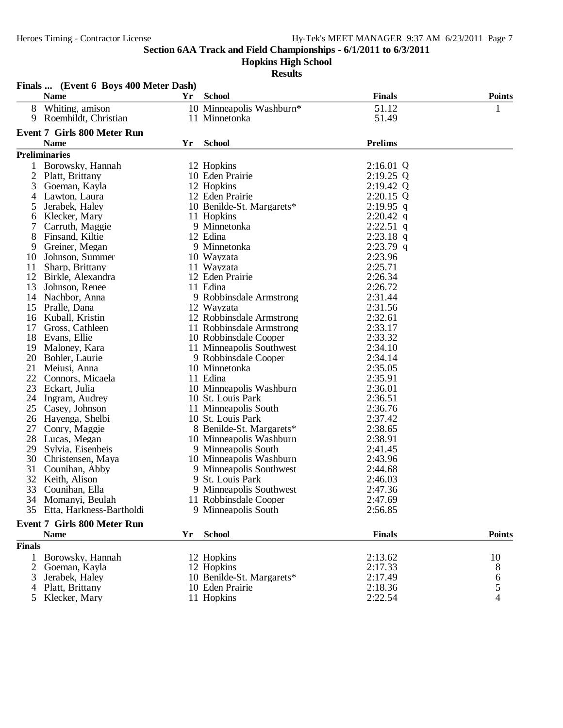**Hopkins High School**

|                | Finals  (Event 6 Boys 400 Meter Dash) |    |                                       |                    |               |
|----------------|---------------------------------------|----|---------------------------------------|--------------------|---------------|
|                | <b>Name</b>                           | Yr | <b>School</b>                         | <b>Finals</b>      | <b>Points</b> |
| 8              | Whiting, amison                       |    | 10 Minneapolis Washburn*              | 51.12              | 1             |
| 9              | Roemhildt, Christian                  |    | 11 Minnetonka                         | 51.49              |               |
|                |                                       |    |                                       |                    |               |
|                | <b>Event 7 Girls 800 Meter Run</b>    |    |                                       | <b>Prelims</b>     |               |
|                | <b>Name</b>                           | Yr | <b>School</b>                         |                    |               |
|                | <b>Preliminaries</b>                  |    |                                       |                    |               |
| 1              | Borowsky, Hannah                      |    | 12 Hopkins                            | 2:16.01 Q          |               |
| $\overline{2}$ | Platt, Brittany                       |    | 10 Eden Prairie                       | $2:19.25$ Q        |               |
| 3              | Goeman, Kayla                         |    | 12 Hopkins                            | 2:19.42 Q          |               |
| 4              | Lawton, Laura                         |    | 12 Eden Prairie                       | 2:20.15 Q          |               |
| 5              | Jerabek, Haley                        |    | 10 Benilde-St. Margarets*             | $2:19.95$ q        |               |
| 6              | Klecker, Mary                         |    | 11 Hopkins                            | $2:20.42$ q        |               |
|                | Carruth, Maggie                       |    | 9 Minnetonka                          | $2:22.51$ q        |               |
| 8              | Finsand, Kiltie                       |    | 12 Edina                              | $2:23.18$ q        |               |
| 9              | Greiner, Megan                        |    | 9 Minnetonka                          | $2:23.79$ q        |               |
| 10             | Johnson, Summer                       |    | 10 Wayzata                            | 2:23.96            |               |
| 11             | Sharp, Brittany                       |    | 11 Wayzata<br>12 Eden Prairie         | 2:25.71            |               |
| 12             | Birkle, Alexandra                     |    | 11 Edina                              | 2:26.34<br>2:26.72 |               |
| 13             | Johnson, Renee<br>Nachbor, Anna       |    |                                       | 2:31.44            |               |
| 14<br>15       |                                       |    | 9 Robbinsdale Armstrong<br>12 Wayzata | 2:31.56            |               |
|                | Pralle, Dana<br>Kuball, Kristin       |    | 12 Robbinsdale Armstrong              | 2:32.61            |               |
| 16<br>17       | Gross, Cathleen                       |    | 11 Robbinsdale Armstrong              |                    |               |
| 18             | Evans, Ellie                          |    | 10 Robbinsdale Cooper                 | 2:33.17<br>2:33.32 |               |
| 19             | Maloney, Kara                         |    | 11 Minneapolis Southwest              | 2:34.10            |               |
| 20             | Bohler, Laurie                        |    | 9 Robbinsdale Cooper                  | 2:34.14            |               |
| 21             | Meiusi, Anna                          |    | 10 Minnetonka                         | 2:35.05            |               |
| 22             | Connors, Micaela                      |    | 11 Edina                              | 2:35.91            |               |
| 23             | Eckart, Julia                         |    | 10 Minneapolis Washburn               | 2:36.01            |               |
| 24             | Ingram, Audrey                        |    | 10 St. Louis Park                     | 2:36.51            |               |
| 25             | Casey, Johnson                        |    | 11 Minneapolis South                  | 2:36.76            |               |
| 26             | Hayenga, Shelbi                       |    | 10 St. Louis Park                     | 2:37.42            |               |
| 27             | Conry, Maggie                         |    | 8 Benilde-St. Margarets*              | 2:38.65            |               |
| 28             | Lucas, Megan                          |    | 10 Minneapolis Washburn               | 2:38.91            |               |
| 29             | Sylvia, Eisenbeis                     |    | 9 Minneapolis South                   | 2:41.45            |               |
| 30             | Christensen, Maya                     |    | 10 Minneapolis Washburn               | 2:43.96            |               |
| 31             | Counihan, Abby                        |    | 9 Minneapolis Southwest               | 2:44.68            |               |
| 32             | Keith, Alison                         |    | 9 St. Louis Park                      | 2:46.03            |               |
|                | 33 Counihan, Ella                     |    | 9 Minneapolis Southwest               | 2:47.36            |               |
|                | 34 Momanyi, Beulah                    |    | 11 Robbinsdale Cooper                 | 2:47.69            |               |
| 35             | Etta, Harkness-Bartholdi              |    | 9 Minneapolis South                   | 2:56.85            |               |
|                |                                       |    |                                       |                    |               |
|                | <b>Event 7 Girls 800 Meter Run</b>    |    |                                       |                    |               |
|                | <b>Name</b>                           | Yr | <b>School</b>                         | <b>Finals</b>      | <b>Points</b> |
| <b>Finals</b>  |                                       |    |                                       |                    |               |
|                | Borowsky, Hannah                      |    | 12 Hopkins                            | 2:13.62            | 10            |
| 2              | Goeman, Kayla                         |    | 12 Hopkins                            | 2:17.33            | 8<br>6        |
| 3              | Jerabek, Haley                        |    | 10 Benilde-St. Margarets*             | 2:17.49            |               |
|                | Platt, Brittany                       |    | 10 Eden Prairie                       | 2:18.36            | 5             |
|                | 5 Klecker, Mary                       |    | 11 Hopkins                            | 2:22.54            | 4             |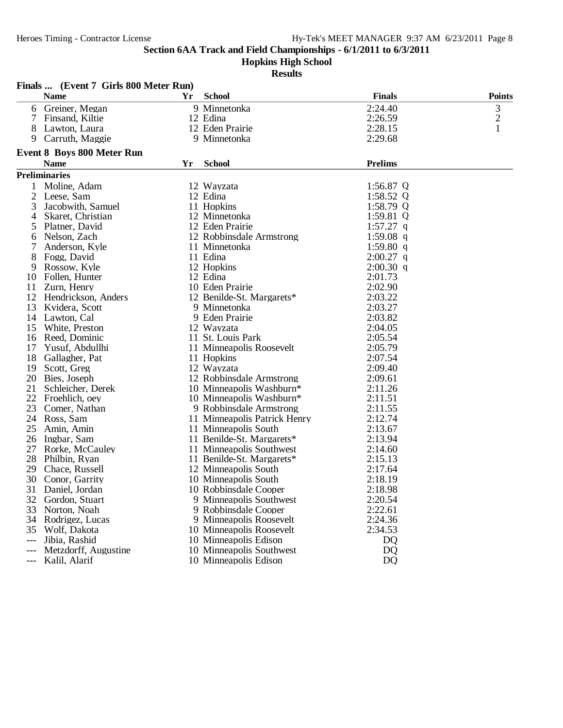**Hopkins High School**

|     | Finals  (Event 7 Girls 800 Meter Run) |    |                              |                |                |
|-----|---------------------------------------|----|------------------------------|----------------|----------------|
|     | <b>Name</b>                           | Yr | <b>School</b>                | <b>Finals</b>  | <b>Points</b>  |
| 6   | Greiner, Megan                        |    | 9 Minnetonka                 | 2:24.40        | 3              |
|     | Finsand, Kiltie                       |    | 12 Edina                     | 2:26.59        | $\overline{c}$ |
| 8   | Lawton, Laura                         |    | 12 Eden Prairie              | 2:28.15        | 1              |
| 9   | Carruth, Maggie                       |    | 9 Minnetonka                 | 2:29.68        |                |
|     | <b>Event 8 Boys 800 Meter Run</b>     |    |                              |                |                |
|     | <b>Name</b>                           | Yr | <b>School</b>                | <b>Prelims</b> |                |
|     | <b>Preliminaries</b>                  |    |                              |                |                |
| 1   | Moline, Adam                          |    | 12 Wayzata                   | 1:56.87 $Q$    |                |
| 2   | Leese, Sam                            |    | 12 Edina                     | 1:58.52 $Q$    |                |
| 3   | Jacobwith, Samuel                     |    | 11 Hopkins                   | 1:58.79 $Q$    |                |
| 4   | Skaret, Christian                     |    | 12 Minnetonka                | 1:59.81 $Q$    |                |
| 5   | Platner, David                        |    | 12 Eden Prairie              | $1:57.27$ q    |                |
| 6   | Nelson, Zach                          |    | 12 Robbinsdale Armstrong     | 1:59.08 $q$    |                |
|     | Anderson, Kyle                        |    | 11 Minnetonka                | 1:59.80 $q$    |                |
| 8   | Fogg, David                           |    | 11 Edina                     | $2:00.27$ q    |                |
| 9   | Rossow, Kyle                          |    | 12 Hopkins                   | $2:00.30$ q    |                |
| 10  | Follen, Hunter                        |    | 12 Edina                     | 2:01.73        |                |
| 11  | Zurn, Henry                           |    | 10 Eden Prairie              | 2:02.90        |                |
| 12  | Hendrickson, Anders                   |    | 12 Benilde-St. Margarets*    | 2:03.22        |                |
| 13  | Kvidera, Scott                        |    | 9 Minnetonka                 | 2:03.27        |                |
| 14  | Lawton, Cal                           |    | 9 Eden Prairie               | 2:03.82        |                |
| 15  | White, Preston                        |    | 12 Wayzata                   | 2:04.05        |                |
| 16  | Reed, Dominic                         |    | 11 St. Louis Park            | 2:05.54        |                |
| 17  | Yusuf, Abdullhi                       |    | 11 Minneapolis Roosevelt     | 2:05.79        |                |
| 18  | Gallagher, Pat                        |    | 11 Hopkins                   | 2:07.54        |                |
| 19  | Scott, Greg                           |    | 12 Wayzata                   | 2:09.40        |                |
| 20  | Bies, Joseph                          |    | 12 Robbinsdale Armstrong     | 2:09.61        |                |
| 21  | Schleicher, Derek                     |    | 10 Minneapolis Washburn*     | 2:11.26        |                |
| 22  | Froehlich, oey                        |    | 10 Minneapolis Washburn*     | 2:11.51        |                |
| 23  | Comer, Nathan                         |    | 9 Robbinsdale Armstrong      | 2:11.55        |                |
| 24  | Ross, Sam                             |    | 11 Minneapolis Patrick Henry | 2:12.74        |                |
| 25  | Amin, Amin                            |    | 11 Minneapolis South         | 2:13.67        |                |
| 26  | Ingbar, Sam                           |    | 11 Benilde-St. Margarets*    | 2:13.94        |                |
| 27  | Rorke, McCauley                       |    | 11 Minneapolis Southwest     | 2:14.60        |                |
| 28  | Philbin, Ryan                         |    | 11 Benilde-St. Margarets*    | 2:15.13        |                |
| 29  | Chace, Russell                        |    | 12 Minneapolis South         | 2:17.64        |                |
| 30  | Conor, Garrity                        |    | 10 Minneapolis South         | 2:18.19        |                |
|     | 31 Daniel, Jordan                     |    | 10 Robbinsdale Cooper        | 2:18.98        |                |
| 32  | Gordon, Stuart                        |    | 9 Minneapolis Southwest      | 2:20.54        |                |
| 33  | Norton, Noah                          |    | 9 Robbinsdale Cooper         | 2:22.61        |                |
| 34  | Rodrigez, Lucas                       |    | 9 Minneapolis Roosevelt      | 2:24.36        |                |
| 35  | Wolf, Dakota                          |    | 10 Minneapolis Roosevelt     | 2:34.53        |                |
| --- | Jibia, Rashid                         |    | 10 Minneapolis Edison        | DQ             |                |
|     | Metzdorff, Augustine                  |    | 10 Minneapolis Southwest     | DQ             |                |
|     | Kalil, Alarif                         |    | 10 Minneapolis Edison        | D <sub>Q</sub> |                |
|     |                                       |    |                              |                |                |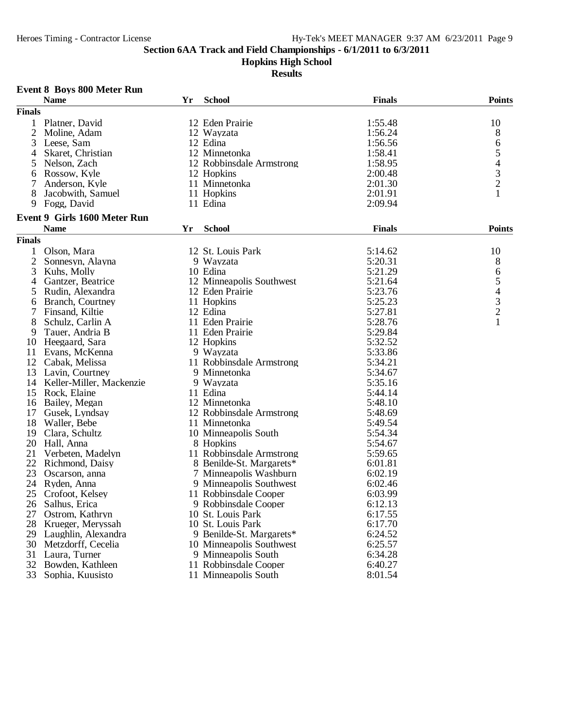**Hopkins High School**

|                | <b>Event 8 Boys 800 Meter Run</b>               |    |                                                      |               |                                            |
|----------------|-------------------------------------------------|----|------------------------------------------------------|---------------|--------------------------------------------|
|                | <b>Name</b>                                     | Yr | <b>School</b>                                        | <b>Finals</b> | <b>Points</b>                              |
| <b>Finals</b>  |                                                 |    |                                                      |               |                                            |
|                | 1 Platner, David                                |    | 12 Eden Prairie                                      | 1:55.48       | 10                                         |
| $\overline{2}$ | Moline, Adam                                    |    | 12 Wayzata                                           | 1:56.24       | 8                                          |
| 3              | Leese, Sam                                      |    | 12 Edina                                             | 1:56.56       | 6                                          |
| 4              | Skaret, Christian                               |    | 12 Minnetonka                                        | 1:58.41       | 5                                          |
| 5              | Nelson, Zach                                    |    | 12 Robbinsdale Armstrong                             | 1:58.95       |                                            |
| 6              | Rossow, Kyle                                    |    | 12 Hopkins                                           | 2:00.48       |                                            |
| 7              | Anderson, Kyle                                  |    | 11 Minnetonka                                        | 2:01.30       | $\begin{array}{c} 4 \\ 3 \\ 2 \end{array}$ |
| 8              | Jacobwith, Samuel                               |    | 11 Hopkins                                           | 2:01.91       | 1                                          |
| 9              | Fogg, David                                     |    | 11 Edina                                             | 2:09.94       |                                            |
|                | <b>Event 9 Girls 1600 Meter Run</b>             |    |                                                      |               |                                            |
|                | <b>Name</b>                                     | Yr | <b>School</b>                                        | <b>Finals</b> | <b>Points</b>                              |
| <b>Finals</b>  |                                                 |    |                                                      |               |                                            |
| $\mathbf 1$    | Olson, Mara                                     |    | 12 St. Louis Park                                    | 5:14.62       | 10                                         |
| 2              | Sonnesyn, Alayna                                |    | 9 Wayzata                                            | 5:20.31       | 8                                          |
| 3              | Kuhs, Molly                                     |    | 10 Edina                                             | 5:21.29       | 6                                          |
| 4              | Gantzer, Beatrice                               |    | 12 Minneapolis Southwest                             | 5:21.64       | 5                                          |
| 5              | Rudin, Alexandra                                |    | 12 Eden Prairie                                      | 5:23.76       |                                            |
| 6              | Branch, Courtney                                |    | 11 Hopkins                                           | 5:25.23       | $\frac{4}{3}$                              |
|                | Finsand, Kiltie                                 |    | 12 Edina                                             | 5:27.81       |                                            |
| 8              | Schulz, Carlin A                                |    | 11 Eden Prairie                                      | 5:28.76       | $\mathbf{1}$                               |
| 9              | Tauer, Andria B                                 |    | 11 Eden Prairie                                      | 5:29.84       |                                            |
| 10             | Heegaard, Sara                                  |    | 12 Hopkins                                           | 5:32.52       |                                            |
| 11             | Evans, McKenna                                  |    | 9 Wayzata                                            | 5:33.86       |                                            |
|                | 12 Cabak, Melissa                               |    | 11 Robbinsdale Armstrong                             | 5:34.21       |                                            |
| 13             | Lavin, Courtney                                 |    | 9 Minnetonka                                         | 5:34.67       |                                            |
|                | 14 Keller-Miller, Mackenzie                     |    | 9 Wayzata                                            | 5:35.16       |                                            |
| 15             | Rock, Elaine                                    |    | 11 Edina                                             | 5:44.14       |                                            |
|                | 16 Bailey, Megan                                |    | 12 Minnetonka                                        | 5:48.10       |                                            |
| 17             | Gusek, Lyndsay                                  |    | 12 Robbinsdale Armstrong                             | 5:48.69       |                                            |
| 18             | Waller, Bebe                                    |    | 11 Minnetonka                                        | 5:49.54       |                                            |
| 19             | Clara, Schultz                                  |    | 10 Minneapolis South                                 | 5:54.34       |                                            |
| 20             | Hall, Anna                                      |    | 8 Hopkins                                            | 5:54.67       |                                            |
| 21             | Verbeten, Madelyn                               |    | 11 Robbinsdale Armstrong                             | 5:59.65       |                                            |
| 22             | Richmond, Daisy                                 |    | 8 Benilde-St. Margarets*                             | 6:01.81       |                                            |
| 23             | Oscarson, anna                                  |    | 7 Minneapolis Washburn                               | 6:02.19       |                                            |
| 24             | Ryden, Anna                                     |    | 9 Minneapolis Southwest                              | 6:02.46       |                                            |
|                | 25 Crofoot, Kelsey                              |    | 11 Robbinsdale Cooper                                | 6:03.99       |                                            |
|                | 26 Salhus, Erica                                |    | 9 Robbinsdale Cooper                                 | 6:12.13       |                                            |
|                | 27 Ostrom, Kathryn                              |    | 10 St. Louis Park                                    | 6:17.55       |                                            |
| 28             | Krueger, Meryssah                               |    | 10 St. Louis Park                                    | 6:17.70       |                                            |
|                |                                                 |    |                                                      | 6:24.52       |                                            |
|                | 29 Laughlin, Alexandra<br>30 Metzdorff, Cecelia |    | 9 Benilde-St. Margarets*<br>10 Minneapolis Southwest | 6:25.57       |                                            |
|                |                                                 |    | 9 Minneapolis South                                  |               |                                            |
| 31             | Laura, Turner                                   |    | 11 Robbinsdale Cooper                                | 6:34.28       |                                            |
| 32             | Bowden, Kathleen                                |    |                                                      | 6:40.27       |                                            |
| 33             | Sophia, Kuusisto                                |    | 11 Minneapolis South                                 | 8:01.54       |                                            |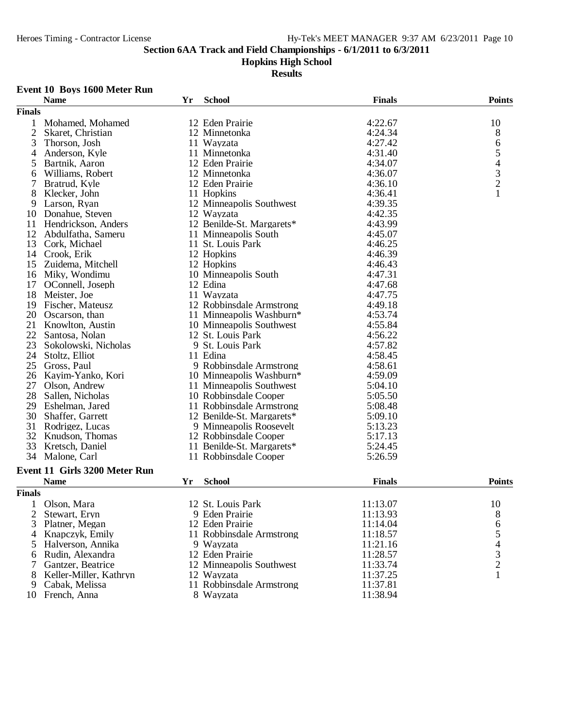#### **Hopkins High School**

#### **Results**

## **Event 10 Boys 1600 Meter Run**

|                | <b>Name</b>                   | Yr | <b>School</b>             | <b>Finals</b> | <b>Points</b>                                   |
|----------------|-------------------------------|----|---------------------------|---------------|-------------------------------------------------|
| <b>Finals</b>  |                               |    |                           |               |                                                 |
| 1              | Mohamed, Mohamed              |    | 12 Eden Prairie           | 4:22.67       | 10                                              |
| $\mathfrak{2}$ | Skaret, Christian             |    | 12 Minnetonka             | 4:24.34       | 8                                               |
| 3              | Thorson, Josh                 |    | 11 Wayzata                | 4:27.42       | 6                                               |
| 4              | Anderson, Kyle                |    | 11 Minnetonka             | 4:31.40       | 5                                               |
| 5              | Bartnik, Aaron                |    | 12 Eden Prairie           | 4:34.07       |                                                 |
| 6              | Williams, Robert              |    | 12 Minnetonka             | 4:36.07       | $\begin{array}{c} 4 \\ 3 \\ 2 \\ 1 \end{array}$ |
| $\overline{7}$ | Bratrud, Kyle                 |    | 12 Eden Prairie           | 4:36.10       |                                                 |
| 8              | Klecker, John                 |    | 11 Hopkins                | 4:36.41       |                                                 |
| 9              | Larson, Ryan                  |    | 12 Minneapolis Southwest  | 4:39.35       |                                                 |
| 10             | Donahue, Steven               |    | 12 Wayzata                | 4:42.35       |                                                 |
| 11             | Hendrickson, Anders           |    | 12 Benilde-St. Margarets* | 4:43.99       |                                                 |
| 12             | Abdulfatha, Sameru            |    | 11 Minneapolis South      | 4:45.07       |                                                 |
| 13             | Cork, Michael                 |    | 11 St. Louis Park         | 4:46.25       |                                                 |
| 14             | Crook, Erik                   |    | 12 Hopkins                | 4:46.39       |                                                 |
|                |                               |    | 12 Hopkins                | 4:46.43       |                                                 |
| 15             | Zuidema, Mitchell             |    |                           |               |                                                 |
| 16             | Miky, Wondimu                 |    | 10 Minneapolis South      | 4:47.31       |                                                 |
| 17             | OConnell, Joseph              |    | 12 Edina                  | 4:47.68       |                                                 |
| 18             | Meister, Joe                  |    | 11 Wayzata                | 4:47.75       |                                                 |
| 19             | Fischer, Mateusz              |    | 12 Robbinsdale Armstrong  | 4:49.18       |                                                 |
| 20             | Oscarson, than                |    | 11 Minneapolis Washburn*  | 4:53.74       |                                                 |
| 21             | Knowlton, Austin              |    | 10 Minneapolis Southwest  | 4:55.84       |                                                 |
| 22             | Santosa, Nolan                |    | 12 St. Louis Park         | 4:56.22       |                                                 |
| 23             | Sokolowski, Nicholas          |    | 9 St. Louis Park          | 4:57.82       |                                                 |
| 24             | Stoltz, Elliot                |    | 11 Edina                  | 4:58.45       |                                                 |
| 25             | Gross, Paul                   |    | 9 Robbinsdale Armstrong   | 4:58.61       |                                                 |
| 26             | Kayim-Yanko, Kori             |    | 10 Minneapolis Washburn*  | 4:59.09       |                                                 |
| 27             | Olson, Andrew                 |    | 11 Minneapolis Southwest  | 5:04.10       |                                                 |
| 28             | Sallen, Nicholas              |    | 10 Robbinsdale Cooper     | 5:05.50       |                                                 |
| 29             | Eshelman, Jared               |    | 11 Robbinsdale Armstrong  | 5:08.48       |                                                 |
| 30             | Shaffer, Garrett              |    | 12 Benilde-St. Margarets* | 5:09.10       |                                                 |
| 31             | Rodrigez, Lucas               |    | 9 Minneapolis Roosevelt   | 5:13.23       |                                                 |
| 32             | Knudson, Thomas               |    | 12 Robbinsdale Cooper     | 5:17.13       |                                                 |
| 33             | Kretsch, Daniel               |    | 11 Benilde-St. Margarets* | 5:24.45       |                                                 |
| 34             | Malone, Carl                  |    | 11 Robbinsdale Cooper     | 5:26.59       |                                                 |
|                | Event 11 Girls 3200 Meter Run |    |                           |               |                                                 |
|                | <b>Name</b>                   | Yr | <b>School</b>             | <b>Finals</b> | <b>Points</b>                                   |
|                |                               |    |                           |               |                                                 |
| <b>Finals</b>  |                               |    |                           |               |                                                 |
| 1              | Olson, Mara                   |    | 12 St. Louis Park         | 11:13.07      | 10                                              |
| 2              | Stewart, Eryn                 |    | 9 Eden Prairie            | 11:13.93      | 8                                               |
| 3              | Platner, Megan                |    | 12 Eden Prairie           | 11:14.04      | 6                                               |
| 4              | Knapczyk, Emily               |    | 11 Robbinsdale Armstrong  | 11:18.57      | 5                                               |
| 5              | Halverson, Annika             |    | 9 Wayzata                 | 11:21.16      | 4                                               |
| 6              | Rudin, Alexandra              |    | 12 Eden Prairie           | 11:28.57      | 3                                               |
| 7              | Gantzer, Beatrice             |    | 12 Minneapolis Southwest  | 11:33.74      | $\overline{2}$                                  |
| 8              | Keller-Miller, Kathryn        |    | 12 Wayzata                | 11:37.25      | 1                                               |
| 9              | Cabak, Melissa                |    | 11 Robbinsdale Armstrong  | 11:37.81      |                                                 |
|                | 10 French, Anna               |    | 8 Wayzata                 | 11:38.94      |                                                 |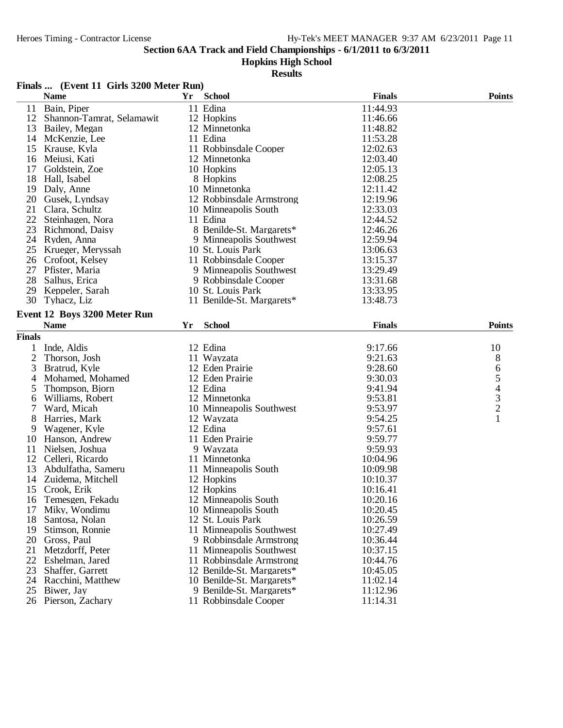#### **Hopkins High School**

|               | Finals  (Event 11 Girls 3200 Meter Run) |    |                           |               |               |
|---------------|-----------------------------------------|----|---------------------------|---------------|---------------|
|               | <b>Name</b>                             | Yr | <b>School</b>             | <b>Finals</b> | <b>Points</b> |
| 11            | Bain, Piper                             |    | 11 Edina                  | 11:44.93      |               |
| 12            | Shannon-Tamrat, Selamawit               |    | 12 Hopkins                | 11:46.66      |               |
| 13            | Bailey, Megan                           |    | 12 Minnetonka             | 11:48.82      |               |
| 14            | McKenzie, Lee                           |    | 11 Edina                  | 11:53.28      |               |
| 15            | Krause, Kyla                            |    | 11 Robbinsdale Cooper     | 12:02.63      |               |
| 16            | Meiusi, Kati                            |    | 12 Minnetonka             | 12:03.40      |               |
| 17            | Goldstein, Zoe                          |    | 10 Hopkins                | 12:05.13      |               |
| 18            | Hall, Isabel                            |    | 8 Hopkins                 | 12:08.25      |               |
| 19            | Daly, Anne                              |    | 10 Minnetonka             | 12:11.42      |               |
| 20            | Gusek, Lyndsay                          |    | 12 Robbinsdale Armstrong  | 12:19.96      |               |
| 21            | Clara, Schultz                          |    | 10 Minneapolis South      | 12:33.03      |               |
| 22            | Steinhagen, Nora                        |    | 11 Edina                  | 12:44.52      |               |
| 23            | Richmond, Daisy                         |    | 8 Benilde-St. Margarets*  | 12:46.26      |               |
| 24            | Ryden, Anna                             |    | 9 Minneapolis Southwest   | 12:59.94      |               |
| 25            | Krueger, Meryssah                       |    | 10 St. Louis Park         | 13:06.63      |               |
| 26            | Crofoot, Kelsey                         |    | 11 Robbinsdale Cooper     | 13:15.37      |               |
| 27            | Pfister, Maria                          |    | 9 Minneapolis Southwest   | 13:29.49      |               |
| 28            | Salhus, Erica                           |    | 9 Robbinsdale Cooper      | 13:31.68      |               |
| 29            | Keppeler, Sarah                         |    | 10 St. Louis Park         | 13:33.95      |               |
| 30            | Tyhacz, Liz                             |    | 11 Benilde-St. Margarets* | 13:48.73      |               |
|               |                                         |    |                           |               |               |
|               | Event 12 Boys 3200 Meter Run            |    | <b>School</b>             | <b>Finals</b> | <b>Points</b> |
|               | <b>Name</b>                             | Yr |                           |               |               |
| <b>Finals</b> |                                         |    |                           |               |               |
| 1             | Inde, Aldis                             |    | 12 Edina                  | 9:17.66       | 10            |
| 2             | Thorson, Josh                           |    | 11 Wayzata                | 9:21.63       | 8             |
| 3             | Bratrud, Kyle                           |    | 12 Eden Prairie           | 9:28.60       |               |
| 4             | Mohamed, Mohamed                        |    | 12 Eden Prairie           | 9:30.03       |               |
| 5             | Thompson, Bjorn                         |    | 12 Edina                  | 9:41.94       |               |
| 6             | Williams, Robert                        |    | 12 Minnetonka             | 9:53.81       | 654321        |
| 7             | Ward, Micah                             |    | 10 Minneapolis Southwest  | 9:53.97       |               |
| 8             | Harries, Mark                           |    | 12 Wayzata                | 9:54.25       |               |
| 9             | Wagener, Kyle                           |    | 12 Edina                  | 9:57.61       |               |
| 10            | Hanson, Andrew                          |    | 11 Eden Prairie           | 9:59.77       |               |
| 11            | Nielsen, Joshua                         |    | 9 Wayzata                 | 9:59.93       |               |
| 12            | Celleri, Ricardo                        |    | 11 Minnetonka             | 10:04.96      |               |
| 13            | Abdulfatha, Sameru                      |    | 11 Minneapolis South      | 10:09.98      |               |
|               | 14 Zuidema, Mitchell                    |    | 12 Hopkins                | 10:10.37      |               |
|               | 15 Crook, Erik                          |    | 12 Hopkins                | 10:16.41      |               |
| 16            | Temesgen, Fekadu                        |    | 12 Minneapolis South      | 10:20.16      |               |
| 17            | Miky, Wondimu                           |    | 10 Minneapolis South      | 10:20.45      |               |
| 18            | Santosa, Nolan                          |    | 12 St. Louis Park         | 10:26.59      |               |
| 19            | Stimson, Ronnie                         |    | 11 Minneapolis Southwest  | 10:27.49      |               |
| 20            | Gross, Paul                             |    | 9 Robbinsdale Armstrong   | 10:36.44      |               |
| 21            | Metzdorff, Peter                        |    | 11 Minneapolis Southwest  | 10:37.15      |               |
| 22            | Eshelman, Jared                         |    | 11 Robbinsdale Armstrong  | 10:44.76      |               |
| 23            | Shaffer, Garrett                        |    | 12 Benilde-St. Margarets* | 10:45.05      |               |
| 24            | Racchini, Matthew                       |    | 10 Benilde-St. Margarets* | 11:02.14      |               |
| 25            | Biwer, Jay                              |    | 9 Benilde-St. Margarets*  | 11:12.96      |               |
|               | 26 Pierson, Zachary                     |    | 11 Robbinsdale Cooper     | 11:14.31      |               |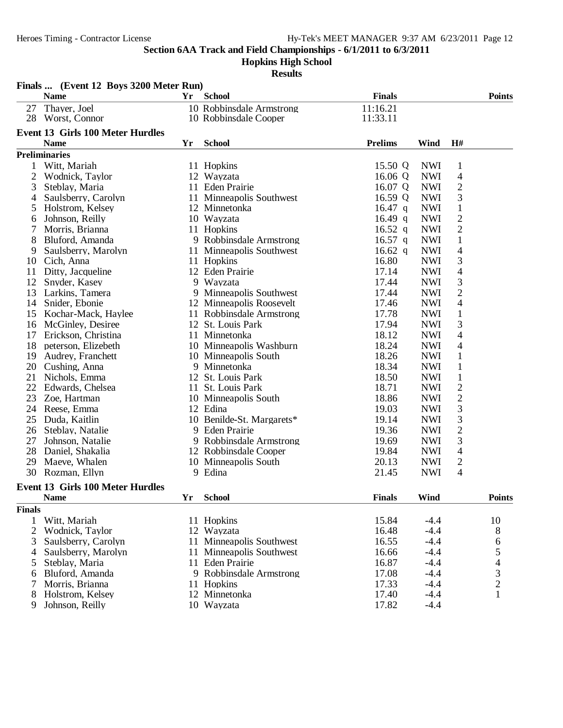**Hopkins High School**

|                | Finals  (Event 12 Boys 3200 Meter Run)  |    |                           |                |            |                |                                |
|----------------|-----------------------------------------|----|---------------------------|----------------|------------|----------------|--------------------------------|
|                | <b>Name</b>                             | Yr | <b>School</b>             | <b>Finals</b>  |            |                | <b>Points</b>                  |
| 27             | Thayer, Joel                            |    | 10 Robbinsdale Armstrong  | 11:16.21       |            |                |                                |
| 28             | Worst, Connor                           |    | 10 Robbinsdale Cooper     | 11:33.11       |            |                |                                |
|                | <b>Event 13 Girls 100 Meter Hurdles</b> |    |                           |                |            |                |                                |
|                | <b>Name</b>                             | Yr | <b>School</b>             | <b>Prelims</b> | Wind       | H#             |                                |
|                | <b>Preliminaries</b>                    |    |                           |                |            |                |                                |
| 1              | Witt, Mariah                            |    | 11 Hopkins                | 15.50 Q        | <b>NWI</b> | $\mathbf{1}$   |                                |
| $\overline{c}$ | Wodnick, Taylor                         |    | 12 Wayzata                | 16.06 Q        | <b>NWI</b> | $\overline{4}$ |                                |
| 3              | Steblay, Maria                          |    | 11 Eden Prairie           | 16.07 Q        | <b>NWI</b> | $\overline{c}$ |                                |
| 4              | Saulsberry, Carolyn                     |    | 11 Minneapolis Southwest  | 16.59 Q        | <b>NWI</b> | 3              |                                |
| 5              | Holstrom, Kelsey                        |    | 12 Minnetonka             | $16.47$ q      | <b>NWI</b> | $\mathbf{1}$   |                                |
| 6              | Johnson, Reilly                         |    | 10 Wayzata                | 16.49 q        | <b>NWI</b> | $\overline{c}$ |                                |
| 7              | Morris, Brianna                         |    | 11 Hopkins                | 16.52 q        | <b>NWI</b> | $\overline{c}$ |                                |
| 8              | Bluford, Amanda                         |    | 9 Robbinsdale Armstrong   | $16.57$ q      | <b>NWI</b> | $\mathbf{1}$   |                                |
| 9              | Saulsberry, Marolyn                     |    | 11 Minneapolis Southwest  | 16.62 $q$      | <b>NWI</b> | $\overline{4}$ |                                |
| 10             | Cich, Anna                              |    | 11 Hopkins                | 16.80          | <b>NWI</b> | $\mathfrak{Z}$ |                                |
| 11             | Ditty, Jacqueline                       |    | 12 Eden Prairie           | 17.14          | <b>NWI</b> | 4              |                                |
| 12             | Snyder, Kasey                           |    | 9 Wayzata                 | 17.44          | <b>NWI</b> | $\sqrt{3}$     |                                |
| 13             | Larkins, Tamera                         |    | 9 Minneapolis Southwest   | 17.44          | <b>NWI</b> | $\overline{c}$ |                                |
| 14             | Snider, Ebonie                          |    | 12 Minneapolis Roosevelt  | 17.46          | <b>NWI</b> | $\overline{4}$ |                                |
| 15             | Kochar-Mack, Haylee                     |    | 11 Robbinsdale Armstrong  | 17.78          | <b>NWI</b> | $\mathbf{1}$   |                                |
| 16             | McGinley, Desiree                       |    | 12 St. Louis Park         | 17.94          | <b>NWI</b> | 3              |                                |
| 17             | Erickson, Christina                     |    | 11 Minnetonka             | 18.12          | <b>NWI</b> | 4              |                                |
| 18             | peterson, Elizebeth                     |    | 10 Minneapolis Washburn   | 18.24          | <b>NWI</b> | 4              |                                |
| 19             | Audrey, Franchett                       |    | 10 Minneapolis South      | 18.26          | <b>NWI</b> | $\mathbf{1}$   |                                |
| 20             | Cushing, Anna                           | 9  | Minnetonka                | 18.34          | <b>NWI</b> | $\mathbf{1}$   |                                |
| 21             | Nichols, Emma                           |    | 12 St. Louis Park         | 18.50          | <b>NWI</b> | $\mathbf{1}$   |                                |
| 22             | Edwards, Chelsea                        |    | 11 St. Louis Park         | 18.71          | <b>NWI</b> | $\sqrt{2}$     |                                |
| 23             | Zoe, Hartman                            |    | 10 Minneapolis South      | 18.86          | <b>NWI</b> | $\overline{c}$ |                                |
| 24             | Reese, Emma                             |    | 12 Edina                  | 19.03          | <b>NWI</b> | $\mathfrak{Z}$ |                                |
| 25             | Duda, Kaitlin                           |    | 10 Benilde-St. Margarets* | 19.14          | <b>NWI</b> | $\mathfrak{Z}$ |                                |
| 26             | Steblay, Natalie                        |    | 9 Eden Prairie            | 19.36          | <b>NWI</b> | $\overline{c}$ |                                |
| 27             | Johnson, Natalie                        |    | 9 Robbinsdale Armstrong   | 19.69          | <b>NWI</b> | 3              |                                |
| 28             | Daniel, Shakalia                        |    | 12 Robbinsdale Cooper     | 19.84          | <b>NWI</b> | $\overline{4}$ |                                |
| 29             | Maeve, Whalen                           |    | 10 Minneapolis South      | 20.13          | <b>NWI</b> | 2              |                                |
| 30             | Rozman, Ellyn                           |    | 9 Edina                   | 21.45          | <b>NWI</b> | 4              |                                |
|                | <b>Event 13 Girls 100 Meter Hurdles</b> |    |                           |                |            |                |                                |
|                | <b>Name</b>                             | Yr | <b>School</b>             | <b>Finals</b>  | Wind       |                | <b>Points</b>                  |
| <b>Finals</b>  |                                         |    |                           |                |            |                |                                |
| $\mathbf{1}$   | Witt, Mariah                            |    | 11 Hopkins                | 15.84          | $-4.4$     |                | 10                             |
| $\overline{2}$ | Wodnick, Taylor                         |    | 12 Wayzata                | 16.48          | $-4.4$     |                | 8                              |
| 3              | Saulsberry, Carolyn                     |    | 11 Minneapolis Southwest  | 16.55          | $-4.4$     |                |                                |
| 4              | Saulsberry, Marolyn                     |    | 11 Minneapolis Southwest  | 16.66          | $-4.4$     |                | 6                              |
| 5              | Steblay, Maria                          |    | 11 Eden Prairie           | 16.87          | $-4.4$     |                | $\frac{5}{4}$<br>$\frac{3}{2}$ |
| 6              | Bluford, Amanda                         |    | 9 Robbinsdale Armstrong   | 17.08          | $-4.4$     |                |                                |
| 7              | Morris, Brianna                         |    | 11 Hopkins                | 17.33          | $-4.4$     |                |                                |
| 8              | Holstrom, Kelsey                        |    | 12 Minnetonka             | 17.40          | $-4.4$     |                | $\mathbf{1}$                   |
| 9              | Johnson, Reilly                         |    | 10 Wayzata                | 17.82          | $-4.4$     |                |                                |
|                |                                         |    |                           |                |            |                |                                |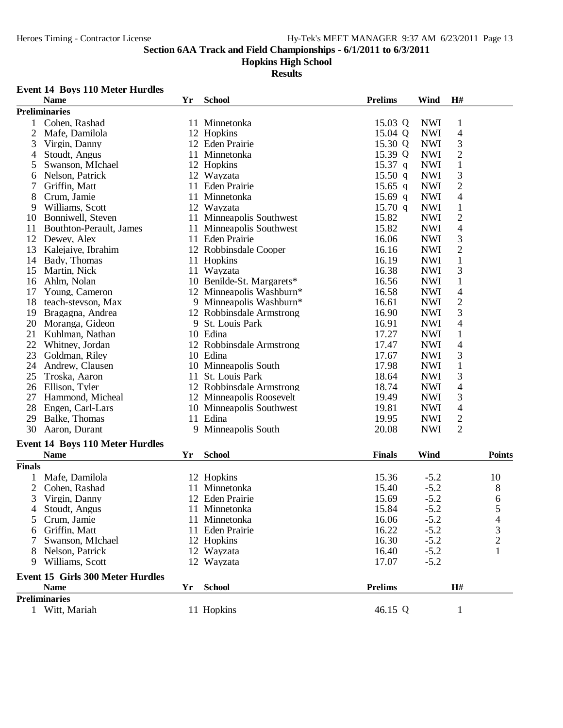#### **Hopkins High School**

#### **Results**

#### **Event 14 Boys 110 Meter Hurdles**

|                | <b>Name</b>                            | Yr | <b>School</b>             | <b>Prelims</b>    | Wind       | H#             |                          |
|----------------|----------------------------------------|----|---------------------------|-------------------|------------|----------------|--------------------------|
|                | <b>Preliminaries</b>                   |    |                           |                   |            |                |                          |
|                | Cohen, Rashad                          |    | 11 Minnetonka             | 15.03 Q           | <b>NWI</b> | $\mathbf{1}$   |                          |
| $\overline{2}$ | Mafe, Damilola                         |    | 12 Hopkins                | 15.04 Q           | <b>NWI</b> | 4              |                          |
| 3              | Virgin, Danny                          |    | 12 Eden Prairie           | 15.30 Q           | <b>NWI</b> | 3              |                          |
| 4              | Stoudt, Angus                          |    | 11 Minnetonka             | 15.39 Q           | <b>NWI</b> | $\overline{c}$ |                          |
| 5              | Swanson, MIchael                       |    | 12 Hopkins                | $15.37$ q         | <b>NWI</b> | $\mathbf{1}$   |                          |
| 6              | Nelson, Patrick                        |    | 12 Wayzata                | 15.50 q           | <b>NWI</b> | 3              |                          |
| 7              | Griffin, Matt                          |    | 11 Eden Prairie           | $15.65$ q         | <b>NWI</b> | $\mathbf{2}$   |                          |
| 8              | Crum, Jamie                            |    | 11 Minnetonka             | 15.69 q           | <b>NWI</b> | 4              |                          |
| 9              | Williams, Scott                        |    | 12 Wayzata                | $15.70 \text{ q}$ | <b>NWI</b> | $\mathbf{1}$   |                          |
| 10             | Bonniwell, Steven                      |    | 11 Minneapolis Southwest  | 15.82             | <b>NWI</b> | $\overline{2}$ |                          |
| 11             | Bouthton-Perault, James                |    | 11 Minneapolis Southwest  | 15.82             | <b>NWI</b> | 4              |                          |
| 12             | Dewey, Alex                            |    | 11 Eden Prairie           | 16.06             | <b>NWI</b> | 3              |                          |
| 13             | Kalejaiye, Ibrahim                     |    | 12 Robbinsdale Cooper     | 16.16             | <b>NWI</b> | $\overline{2}$ |                          |
| 14             | Bady, Thomas                           |    | 11 Hopkins                | 16.19             | <b>NWI</b> | $\mathbf 1$    |                          |
| 15             | Martin, Nick                           |    | 11 Wayzata                | 16.38             | <b>NWI</b> | 3              |                          |
| 16             | Ahlm, Nolan                            |    | 10 Benilde-St. Margarets* | 16.56             | <b>NWI</b> | $\mathbf{1}$   |                          |
| 17             | Young, Cameron                         |    | 12 Minneapolis Washburn*  | 16.58             | <b>NWI</b> | $\overline{4}$ |                          |
| 18             | teach-stevson, Max                     |    | 9 Minneapolis Washburn*   | 16.61             | <b>NWI</b> | $\sqrt{2}$     |                          |
| 19             | Bragagna, Andrea                       |    | 12 Robbinsdale Armstrong  | 16.90             | <b>NWI</b> | 3              |                          |
| 20             | Moranga, Gideon                        |    | 9 St. Louis Park          | 16.91             | <b>NWI</b> | 4              |                          |
| 21             | Kuhlman, Nathan                        |    | 10 Edina                  | 17.27             | <b>NWI</b> | $\mathbf{1}$   |                          |
| 22             | Whitney, Jordan                        |    | 12 Robbinsdale Armstrong  | 17.47             | <b>NWI</b> | 4              |                          |
| 23             | Goldman, Riley                         |    | 10 Edina                  | 17.67             | <b>NWI</b> | 3              |                          |
| 24             | Andrew, Clausen                        |    | 10 Minneapolis South      | 17.98             | <b>NWI</b> | $\mathbf{1}$   |                          |
| 25             | Troska, Aaron                          |    | 11 St. Louis Park         | 18.64             | <b>NWI</b> | 3              |                          |
| 26             | Ellison, Tyler                         |    | 12 Robbinsdale Armstrong  | 18.74             | <b>NWI</b> | 4              |                          |
| 27             | Hammond, Micheal                       |    | 12 Minneapolis Roosevelt  | 19.49             | <b>NWI</b> | 3              |                          |
| 28             | Engen, Carl-Lars                       |    | 10 Minneapolis Southwest  | 19.81             | <b>NWI</b> | 4              |                          |
| 29             | Balke, Thomas                          |    | 11 Edina                  | 19.95             | <b>NWI</b> | $\sqrt{2}$     |                          |
| 30             | Aaron, Durant                          |    | 9 Minneapolis South       | 20.08             | <b>NWI</b> | $\overline{2}$ |                          |
|                | <b>Event 14 Boys 110 Meter Hurdles</b> |    |                           |                   |            |                |                          |
|                | <b>Name</b>                            | Yr | <b>School</b>             | <b>Finals</b>     | Wind       |                | <b>Points</b>            |
| <b>Finals</b>  |                                        |    |                           |                   |            |                |                          |
| 1              | Mafe, Damilola                         |    | 12 Hopkins                | 15.36             | $-5.2$     |                | 10                       |
| 2              | Cohen, Rashad                          |    | 11 Minnetonka             | 15.40             | $-5.2$     |                | 8                        |
| 3              | Virgin, Danny                          |    | 12 Eden Prairie           | 15.69             | $-5.2$     |                | 6                        |
| $\overline{4}$ | Stoudt, Angus                          |    | 11 Minnetonka             | 15.84             | $-5.2$     |                | 5                        |
| 5              | Crum, Jamie                            |    | 11 Minnetonka             | 16.06             | $-5.2$     |                | $\overline{\mathcal{A}}$ |
| 6              | Griffin, Matt                          |    | 11 Eden Prairie           | 16.22             | $-5.2$     |                |                          |
|                | Swanson, MIchael                       |    | 12 Hopkins                | 16.30             | $-5.2$     |                | $\frac{3}{2}$            |
| 8              | Nelson, Patrick                        |    | 12 Wayzata                | 16.40             | $-5.2$     |                | 1                        |
| 9              | Williams, Scott                        |    | 12 Wayzata                | 17.07             | $-5.2$     |                |                          |
|                |                                        |    |                           |                   |            |                |                          |
|                | Event 15 Girls 300 Meter Hurdles       |    |                           |                   |            |                |                          |
|                | <b>Name</b>                            | Yr | <b>School</b>             | <b>Prelims</b>    |            | H#             |                          |
|                | <b>Preliminaries</b>                   |    |                           |                   |            |                |                          |
|                | 1 Witt, Mariah                         |    | 11 Hopkins                | 46.15 Q           |            | $\mathbf{1}$   |                          |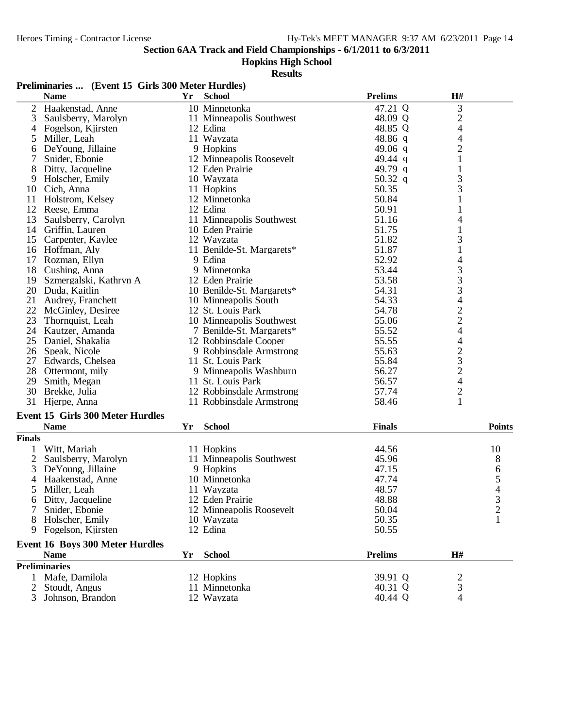**Hopkins High School**

**Results**

| 3<br>10 Minnetonka<br>47.21 Q<br>2<br>Haakenstad, Anne<br>$\overline{c}$<br>3<br>Saulsberry, Marolyn<br>11 Minneapolis Southwest<br>48.09 Q<br>$\overline{4}$<br>Fogelson, Kjirsten<br>12 Edina<br>48.85 Q<br>4<br>$\overline{\mathcal{A}}$<br>11 Wayzata<br>48.86 q<br>Miller, Leah<br>5<br>$\overline{\mathbf{c}}$<br>49.06 q<br>DeYoung, Jillaine<br>9 Hopkins<br>6<br>49.44 q<br>Snider, Ebonie<br>12 Minneapolis Roosevelt<br>1<br>7<br>49.79 q<br>Ditty, Jacqueline<br>12 Eden Prairie<br>1<br>8<br>3<br>Holscher, Emily<br>10 Wayzata<br>50.32 q<br>9<br>3<br>50.35<br>11 Hopkins<br>10<br>Cich, Anna<br>11 Holstrom, Kelsey<br>50.84<br>$\mathbf{1}$<br>12 Minnetonka<br>12 Reese, Emma<br>50.91<br>12 Edina<br>1<br>51.16<br>13<br>Saulsberry, Carolyn<br>11 Minneapolis Southwest<br>4<br>51.75<br>14 Griffin, Lauren<br>10 Eden Prairie<br>3<br>15<br>Carpenter, Kaylee<br>12 Wayzata<br>51.82<br>51.87<br>$\mathbf{1}$<br>16 Hoffman, Aly<br>11 Benilde-St. Margarets*<br>4<br>9 Edina<br>52.92<br>17 Rozman, Ellyn<br>$\begin{array}{c} 3 \\ 3 \\ 3 \end{array}$<br>18 Cushing, Anna<br>9 Minnetonka<br>53.44<br>53.58<br>19 Szmergalski, Kathryn A<br>12 Eden Prairie<br>20 Duda, Kaitlin<br>10 Benilde-St. Margarets*<br>54.31<br>4<br>21<br>Audrey, Franchett<br>10 Minneapolis South<br>54.33<br>$\frac{2}{2}$<br>22<br>54.78<br>McGinley, Desiree<br>12 St. Louis Park<br>23<br>55.06<br>Thornquist, Leah<br>10 Minneapolis Southwest<br>4<br>55.52<br>24 Kautzer, Amanda<br>7 Benilde-St. Margarets*<br>4<br>55.55<br>25 Daniel, Shakalia<br>12 Robbinsdale Cooper<br>$\frac{2}{3}$<br>26 Speak, Nicole<br>9 Robbinsdale Armstrong<br>55.63<br>27 Edwards, Chelsea<br>11 St. Louis Park<br>55.84<br>28 Ottermont, mily<br>56.27<br>9 Minneapolis Washburn<br>$\overline{\mathcal{A}}$<br>29 Smith, Megan<br>56.57<br>11 St. Louis Park<br>$\overline{\mathbf{c}}$<br>30 Brekke, Julia<br>57.74<br>12 Robbinsdale Armstrong<br>31 Hjerpe, Anna<br>58.46<br>1<br>11 Robbinsdale Armstrong<br><b>Event 15 Girls 300 Meter Hurdles</b><br><b>Points</b><br><b>Name</b><br>Yr<br><b>School</b><br><b>Finals</b><br><b>Finals</b><br>Witt, Mariah<br>11 Hopkins<br>44.56<br>10<br>11 Minneapolis Southwest<br>8<br>2<br>Saulsberry, Marolyn<br>45.96<br>47.15<br>6<br>3<br>De Young, Jillaine<br>9 Hopkins<br>5<br>10 Minnetonka<br>47.74<br>Haakenstad, Anne<br>4<br>Miller, Leah<br>11 Wayzata<br>48.57<br>5<br>12 Eden Prairie<br>48.88<br>6 Ditty, Jacqueline<br>Snider, Ebonie<br>12 Minneapolis Roosevelt<br>$\overline{\mathbf{c}}$<br>50.04<br>50.35<br>Holscher, Emily<br>10 Wayzata<br>50.55<br>Fogelson, Kjirsten<br>12 Edina<br>9.<br><b>Event 16 Boys 300 Meter Hurdles</b><br>H#<br><b>Name</b><br><b>School</b><br><b>Prelims</b><br>Yr<br><b>Preliminaries</b><br>1 Mafe, Damilola<br>12 Hopkins<br>39.91 Q<br>2<br>3<br>Stoudt, Angus<br>11 Minnetonka<br>40.31 Q<br>2<br>3<br>12 Wayzata<br>4 | <b>Name</b>      | Yr | <b>School</b> | <b>Prelims</b> | H# |  |
|------------------------------------------------------------------------------------------------------------------------------------------------------------------------------------------------------------------------------------------------------------------------------------------------------------------------------------------------------------------------------------------------------------------------------------------------------------------------------------------------------------------------------------------------------------------------------------------------------------------------------------------------------------------------------------------------------------------------------------------------------------------------------------------------------------------------------------------------------------------------------------------------------------------------------------------------------------------------------------------------------------------------------------------------------------------------------------------------------------------------------------------------------------------------------------------------------------------------------------------------------------------------------------------------------------------------------------------------------------------------------------------------------------------------------------------------------------------------------------------------------------------------------------------------------------------------------------------------------------------------------------------------------------------------------------------------------------------------------------------------------------------------------------------------------------------------------------------------------------------------------------------------------------------------------------------------------------------------------------------------------------------------------------------------------------------------------------------------------------------------------------------------------------------------------------------------------------------------------------------------------------------------------------------------------------------------------------------------------------------------------------------------------------------------------------------------------------------------------------------------------------------------------------------------------------------------------------------------------------------------------------------------------------------------------------------------------------------------------------------------------------------------------------------------------------------------------------------------------------------------------------------------------------------------------|------------------|----|---------------|----------------|----|--|
|                                                                                                                                                                                                                                                                                                                                                                                                                                                                                                                                                                                                                                                                                                                                                                                                                                                                                                                                                                                                                                                                                                                                                                                                                                                                                                                                                                                                                                                                                                                                                                                                                                                                                                                                                                                                                                                                                                                                                                                                                                                                                                                                                                                                                                                                                                                                                                                                                                                                                                                                                                                                                                                                                                                                                                                                                                                                                                                              |                  |    |               |                |    |  |
|                                                                                                                                                                                                                                                                                                                                                                                                                                                                                                                                                                                                                                                                                                                                                                                                                                                                                                                                                                                                                                                                                                                                                                                                                                                                                                                                                                                                                                                                                                                                                                                                                                                                                                                                                                                                                                                                                                                                                                                                                                                                                                                                                                                                                                                                                                                                                                                                                                                                                                                                                                                                                                                                                                                                                                                                                                                                                                                              |                  |    |               |                |    |  |
|                                                                                                                                                                                                                                                                                                                                                                                                                                                                                                                                                                                                                                                                                                                                                                                                                                                                                                                                                                                                                                                                                                                                                                                                                                                                                                                                                                                                                                                                                                                                                                                                                                                                                                                                                                                                                                                                                                                                                                                                                                                                                                                                                                                                                                                                                                                                                                                                                                                                                                                                                                                                                                                                                                                                                                                                                                                                                                                              |                  |    |               |                |    |  |
|                                                                                                                                                                                                                                                                                                                                                                                                                                                                                                                                                                                                                                                                                                                                                                                                                                                                                                                                                                                                                                                                                                                                                                                                                                                                                                                                                                                                                                                                                                                                                                                                                                                                                                                                                                                                                                                                                                                                                                                                                                                                                                                                                                                                                                                                                                                                                                                                                                                                                                                                                                                                                                                                                                                                                                                                                                                                                                                              |                  |    |               |                |    |  |
|                                                                                                                                                                                                                                                                                                                                                                                                                                                                                                                                                                                                                                                                                                                                                                                                                                                                                                                                                                                                                                                                                                                                                                                                                                                                                                                                                                                                                                                                                                                                                                                                                                                                                                                                                                                                                                                                                                                                                                                                                                                                                                                                                                                                                                                                                                                                                                                                                                                                                                                                                                                                                                                                                                                                                                                                                                                                                                                              |                  |    |               |                |    |  |
|                                                                                                                                                                                                                                                                                                                                                                                                                                                                                                                                                                                                                                                                                                                                                                                                                                                                                                                                                                                                                                                                                                                                                                                                                                                                                                                                                                                                                                                                                                                                                                                                                                                                                                                                                                                                                                                                                                                                                                                                                                                                                                                                                                                                                                                                                                                                                                                                                                                                                                                                                                                                                                                                                                                                                                                                                                                                                                                              |                  |    |               |                |    |  |
|                                                                                                                                                                                                                                                                                                                                                                                                                                                                                                                                                                                                                                                                                                                                                                                                                                                                                                                                                                                                                                                                                                                                                                                                                                                                                                                                                                                                                                                                                                                                                                                                                                                                                                                                                                                                                                                                                                                                                                                                                                                                                                                                                                                                                                                                                                                                                                                                                                                                                                                                                                                                                                                                                                                                                                                                                                                                                                                              |                  |    |               |                |    |  |
|                                                                                                                                                                                                                                                                                                                                                                                                                                                                                                                                                                                                                                                                                                                                                                                                                                                                                                                                                                                                                                                                                                                                                                                                                                                                                                                                                                                                                                                                                                                                                                                                                                                                                                                                                                                                                                                                                                                                                                                                                                                                                                                                                                                                                                                                                                                                                                                                                                                                                                                                                                                                                                                                                                                                                                                                                                                                                                                              |                  |    |               |                |    |  |
|                                                                                                                                                                                                                                                                                                                                                                                                                                                                                                                                                                                                                                                                                                                                                                                                                                                                                                                                                                                                                                                                                                                                                                                                                                                                                                                                                                                                                                                                                                                                                                                                                                                                                                                                                                                                                                                                                                                                                                                                                                                                                                                                                                                                                                                                                                                                                                                                                                                                                                                                                                                                                                                                                                                                                                                                                                                                                                                              |                  |    |               |                |    |  |
|                                                                                                                                                                                                                                                                                                                                                                                                                                                                                                                                                                                                                                                                                                                                                                                                                                                                                                                                                                                                                                                                                                                                                                                                                                                                                                                                                                                                                                                                                                                                                                                                                                                                                                                                                                                                                                                                                                                                                                                                                                                                                                                                                                                                                                                                                                                                                                                                                                                                                                                                                                                                                                                                                                                                                                                                                                                                                                                              |                  |    |               |                |    |  |
|                                                                                                                                                                                                                                                                                                                                                                                                                                                                                                                                                                                                                                                                                                                                                                                                                                                                                                                                                                                                                                                                                                                                                                                                                                                                                                                                                                                                                                                                                                                                                                                                                                                                                                                                                                                                                                                                                                                                                                                                                                                                                                                                                                                                                                                                                                                                                                                                                                                                                                                                                                                                                                                                                                                                                                                                                                                                                                                              |                  |    |               |                |    |  |
|                                                                                                                                                                                                                                                                                                                                                                                                                                                                                                                                                                                                                                                                                                                                                                                                                                                                                                                                                                                                                                                                                                                                                                                                                                                                                                                                                                                                                                                                                                                                                                                                                                                                                                                                                                                                                                                                                                                                                                                                                                                                                                                                                                                                                                                                                                                                                                                                                                                                                                                                                                                                                                                                                                                                                                                                                                                                                                                              |                  |    |               |                |    |  |
|                                                                                                                                                                                                                                                                                                                                                                                                                                                                                                                                                                                                                                                                                                                                                                                                                                                                                                                                                                                                                                                                                                                                                                                                                                                                                                                                                                                                                                                                                                                                                                                                                                                                                                                                                                                                                                                                                                                                                                                                                                                                                                                                                                                                                                                                                                                                                                                                                                                                                                                                                                                                                                                                                                                                                                                                                                                                                                                              |                  |    |               |                |    |  |
|                                                                                                                                                                                                                                                                                                                                                                                                                                                                                                                                                                                                                                                                                                                                                                                                                                                                                                                                                                                                                                                                                                                                                                                                                                                                                                                                                                                                                                                                                                                                                                                                                                                                                                                                                                                                                                                                                                                                                                                                                                                                                                                                                                                                                                                                                                                                                                                                                                                                                                                                                                                                                                                                                                                                                                                                                                                                                                                              |                  |    |               |                |    |  |
|                                                                                                                                                                                                                                                                                                                                                                                                                                                                                                                                                                                                                                                                                                                                                                                                                                                                                                                                                                                                                                                                                                                                                                                                                                                                                                                                                                                                                                                                                                                                                                                                                                                                                                                                                                                                                                                                                                                                                                                                                                                                                                                                                                                                                                                                                                                                                                                                                                                                                                                                                                                                                                                                                                                                                                                                                                                                                                                              |                  |    |               |                |    |  |
|                                                                                                                                                                                                                                                                                                                                                                                                                                                                                                                                                                                                                                                                                                                                                                                                                                                                                                                                                                                                                                                                                                                                                                                                                                                                                                                                                                                                                                                                                                                                                                                                                                                                                                                                                                                                                                                                                                                                                                                                                                                                                                                                                                                                                                                                                                                                                                                                                                                                                                                                                                                                                                                                                                                                                                                                                                                                                                                              |                  |    |               |                |    |  |
|                                                                                                                                                                                                                                                                                                                                                                                                                                                                                                                                                                                                                                                                                                                                                                                                                                                                                                                                                                                                                                                                                                                                                                                                                                                                                                                                                                                                                                                                                                                                                                                                                                                                                                                                                                                                                                                                                                                                                                                                                                                                                                                                                                                                                                                                                                                                                                                                                                                                                                                                                                                                                                                                                                                                                                                                                                                                                                                              |                  |    |               |                |    |  |
|                                                                                                                                                                                                                                                                                                                                                                                                                                                                                                                                                                                                                                                                                                                                                                                                                                                                                                                                                                                                                                                                                                                                                                                                                                                                                                                                                                                                                                                                                                                                                                                                                                                                                                                                                                                                                                                                                                                                                                                                                                                                                                                                                                                                                                                                                                                                                                                                                                                                                                                                                                                                                                                                                                                                                                                                                                                                                                                              |                  |    |               |                |    |  |
|                                                                                                                                                                                                                                                                                                                                                                                                                                                                                                                                                                                                                                                                                                                                                                                                                                                                                                                                                                                                                                                                                                                                                                                                                                                                                                                                                                                                                                                                                                                                                                                                                                                                                                                                                                                                                                                                                                                                                                                                                                                                                                                                                                                                                                                                                                                                                                                                                                                                                                                                                                                                                                                                                                                                                                                                                                                                                                                              |                  |    |               |                |    |  |
|                                                                                                                                                                                                                                                                                                                                                                                                                                                                                                                                                                                                                                                                                                                                                                                                                                                                                                                                                                                                                                                                                                                                                                                                                                                                                                                                                                                                                                                                                                                                                                                                                                                                                                                                                                                                                                                                                                                                                                                                                                                                                                                                                                                                                                                                                                                                                                                                                                                                                                                                                                                                                                                                                                                                                                                                                                                                                                                              |                  |    |               |                |    |  |
|                                                                                                                                                                                                                                                                                                                                                                                                                                                                                                                                                                                                                                                                                                                                                                                                                                                                                                                                                                                                                                                                                                                                                                                                                                                                                                                                                                                                                                                                                                                                                                                                                                                                                                                                                                                                                                                                                                                                                                                                                                                                                                                                                                                                                                                                                                                                                                                                                                                                                                                                                                                                                                                                                                                                                                                                                                                                                                                              |                  |    |               |                |    |  |
|                                                                                                                                                                                                                                                                                                                                                                                                                                                                                                                                                                                                                                                                                                                                                                                                                                                                                                                                                                                                                                                                                                                                                                                                                                                                                                                                                                                                                                                                                                                                                                                                                                                                                                                                                                                                                                                                                                                                                                                                                                                                                                                                                                                                                                                                                                                                                                                                                                                                                                                                                                                                                                                                                                                                                                                                                                                                                                                              |                  |    |               |                |    |  |
|                                                                                                                                                                                                                                                                                                                                                                                                                                                                                                                                                                                                                                                                                                                                                                                                                                                                                                                                                                                                                                                                                                                                                                                                                                                                                                                                                                                                                                                                                                                                                                                                                                                                                                                                                                                                                                                                                                                                                                                                                                                                                                                                                                                                                                                                                                                                                                                                                                                                                                                                                                                                                                                                                                                                                                                                                                                                                                                              |                  |    |               |                |    |  |
|                                                                                                                                                                                                                                                                                                                                                                                                                                                                                                                                                                                                                                                                                                                                                                                                                                                                                                                                                                                                                                                                                                                                                                                                                                                                                                                                                                                                                                                                                                                                                                                                                                                                                                                                                                                                                                                                                                                                                                                                                                                                                                                                                                                                                                                                                                                                                                                                                                                                                                                                                                                                                                                                                                                                                                                                                                                                                                                              |                  |    |               |                |    |  |
|                                                                                                                                                                                                                                                                                                                                                                                                                                                                                                                                                                                                                                                                                                                                                                                                                                                                                                                                                                                                                                                                                                                                                                                                                                                                                                                                                                                                                                                                                                                                                                                                                                                                                                                                                                                                                                                                                                                                                                                                                                                                                                                                                                                                                                                                                                                                                                                                                                                                                                                                                                                                                                                                                                                                                                                                                                                                                                                              |                  |    |               |                |    |  |
|                                                                                                                                                                                                                                                                                                                                                                                                                                                                                                                                                                                                                                                                                                                                                                                                                                                                                                                                                                                                                                                                                                                                                                                                                                                                                                                                                                                                                                                                                                                                                                                                                                                                                                                                                                                                                                                                                                                                                                                                                                                                                                                                                                                                                                                                                                                                                                                                                                                                                                                                                                                                                                                                                                                                                                                                                                                                                                                              |                  |    |               |                |    |  |
|                                                                                                                                                                                                                                                                                                                                                                                                                                                                                                                                                                                                                                                                                                                                                                                                                                                                                                                                                                                                                                                                                                                                                                                                                                                                                                                                                                                                                                                                                                                                                                                                                                                                                                                                                                                                                                                                                                                                                                                                                                                                                                                                                                                                                                                                                                                                                                                                                                                                                                                                                                                                                                                                                                                                                                                                                                                                                                                              |                  |    |               |                |    |  |
|                                                                                                                                                                                                                                                                                                                                                                                                                                                                                                                                                                                                                                                                                                                                                                                                                                                                                                                                                                                                                                                                                                                                                                                                                                                                                                                                                                                                                                                                                                                                                                                                                                                                                                                                                                                                                                                                                                                                                                                                                                                                                                                                                                                                                                                                                                                                                                                                                                                                                                                                                                                                                                                                                                                                                                                                                                                                                                                              |                  |    |               |                |    |  |
|                                                                                                                                                                                                                                                                                                                                                                                                                                                                                                                                                                                                                                                                                                                                                                                                                                                                                                                                                                                                                                                                                                                                                                                                                                                                                                                                                                                                                                                                                                                                                                                                                                                                                                                                                                                                                                                                                                                                                                                                                                                                                                                                                                                                                                                                                                                                                                                                                                                                                                                                                                                                                                                                                                                                                                                                                                                                                                                              |                  |    |               |                |    |  |
|                                                                                                                                                                                                                                                                                                                                                                                                                                                                                                                                                                                                                                                                                                                                                                                                                                                                                                                                                                                                                                                                                                                                                                                                                                                                                                                                                                                                                                                                                                                                                                                                                                                                                                                                                                                                                                                                                                                                                                                                                                                                                                                                                                                                                                                                                                                                                                                                                                                                                                                                                                                                                                                                                                                                                                                                                                                                                                                              |                  |    |               |                |    |  |
|                                                                                                                                                                                                                                                                                                                                                                                                                                                                                                                                                                                                                                                                                                                                                                                                                                                                                                                                                                                                                                                                                                                                                                                                                                                                                                                                                                                                                                                                                                                                                                                                                                                                                                                                                                                                                                                                                                                                                                                                                                                                                                                                                                                                                                                                                                                                                                                                                                                                                                                                                                                                                                                                                                                                                                                                                                                                                                                              |                  |    |               |                |    |  |
|                                                                                                                                                                                                                                                                                                                                                                                                                                                                                                                                                                                                                                                                                                                                                                                                                                                                                                                                                                                                                                                                                                                                                                                                                                                                                                                                                                                                                                                                                                                                                                                                                                                                                                                                                                                                                                                                                                                                                                                                                                                                                                                                                                                                                                                                                                                                                                                                                                                                                                                                                                                                                                                                                                                                                                                                                                                                                                                              |                  |    |               |                |    |  |
|                                                                                                                                                                                                                                                                                                                                                                                                                                                                                                                                                                                                                                                                                                                                                                                                                                                                                                                                                                                                                                                                                                                                                                                                                                                                                                                                                                                                                                                                                                                                                                                                                                                                                                                                                                                                                                                                                                                                                                                                                                                                                                                                                                                                                                                                                                                                                                                                                                                                                                                                                                                                                                                                                                                                                                                                                                                                                                                              |                  |    |               |                |    |  |
|                                                                                                                                                                                                                                                                                                                                                                                                                                                                                                                                                                                                                                                                                                                                                                                                                                                                                                                                                                                                                                                                                                                                                                                                                                                                                                                                                                                                                                                                                                                                                                                                                                                                                                                                                                                                                                                                                                                                                                                                                                                                                                                                                                                                                                                                                                                                                                                                                                                                                                                                                                                                                                                                                                                                                                                                                                                                                                                              |                  |    |               |                |    |  |
|                                                                                                                                                                                                                                                                                                                                                                                                                                                                                                                                                                                                                                                                                                                                                                                                                                                                                                                                                                                                                                                                                                                                                                                                                                                                                                                                                                                                                                                                                                                                                                                                                                                                                                                                                                                                                                                                                                                                                                                                                                                                                                                                                                                                                                                                                                                                                                                                                                                                                                                                                                                                                                                                                                                                                                                                                                                                                                                              |                  |    |               |                |    |  |
|                                                                                                                                                                                                                                                                                                                                                                                                                                                                                                                                                                                                                                                                                                                                                                                                                                                                                                                                                                                                                                                                                                                                                                                                                                                                                                                                                                                                                                                                                                                                                                                                                                                                                                                                                                                                                                                                                                                                                                                                                                                                                                                                                                                                                                                                                                                                                                                                                                                                                                                                                                                                                                                                                                                                                                                                                                                                                                                              |                  |    |               |                |    |  |
|                                                                                                                                                                                                                                                                                                                                                                                                                                                                                                                                                                                                                                                                                                                                                                                                                                                                                                                                                                                                                                                                                                                                                                                                                                                                                                                                                                                                                                                                                                                                                                                                                                                                                                                                                                                                                                                                                                                                                                                                                                                                                                                                                                                                                                                                                                                                                                                                                                                                                                                                                                                                                                                                                                                                                                                                                                                                                                                              |                  |    |               |                |    |  |
|                                                                                                                                                                                                                                                                                                                                                                                                                                                                                                                                                                                                                                                                                                                                                                                                                                                                                                                                                                                                                                                                                                                                                                                                                                                                                                                                                                                                                                                                                                                                                                                                                                                                                                                                                                                                                                                                                                                                                                                                                                                                                                                                                                                                                                                                                                                                                                                                                                                                                                                                                                                                                                                                                                                                                                                                                                                                                                                              |                  |    |               |                |    |  |
|                                                                                                                                                                                                                                                                                                                                                                                                                                                                                                                                                                                                                                                                                                                                                                                                                                                                                                                                                                                                                                                                                                                                                                                                                                                                                                                                                                                                                                                                                                                                                                                                                                                                                                                                                                                                                                                                                                                                                                                                                                                                                                                                                                                                                                                                                                                                                                                                                                                                                                                                                                                                                                                                                                                                                                                                                                                                                                                              |                  |    |               |                |    |  |
|                                                                                                                                                                                                                                                                                                                                                                                                                                                                                                                                                                                                                                                                                                                                                                                                                                                                                                                                                                                                                                                                                                                                                                                                                                                                                                                                                                                                                                                                                                                                                                                                                                                                                                                                                                                                                                                                                                                                                                                                                                                                                                                                                                                                                                                                                                                                                                                                                                                                                                                                                                                                                                                                                                                                                                                                                                                                                                                              |                  |    |               |                |    |  |
|                                                                                                                                                                                                                                                                                                                                                                                                                                                                                                                                                                                                                                                                                                                                                                                                                                                                                                                                                                                                                                                                                                                                                                                                                                                                                                                                                                                                                                                                                                                                                                                                                                                                                                                                                                                                                                                                                                                                                                                                                                                                                                                                                                                                                                                                                                                                                                                                                                                                                                                                                                                                                                                                                                                                                                                                                                                                                                                              |                  |    |               |                |    |  |
|                                                                                                                                                                                                                                                                                                                                                                                                                                                                                                                                                                                                                                                                                                                                                                                                                                                                                                                                                                                                                                                                                                                                                                                                                                                                                                                                                                                                                                                                                                                                                                                                                                                                                                                                                                                                                                                                                                                                                                                                                                                                                                                                                                                                                                                                                                                                                                                                                                                                                                                                                                                                                                                                                                                                                                                                                                                                                                                              |                  |    |               |                |    |  |
|                                                                                                                                                                                                                                                                                                                                                                                                                                                                                                                                                                                                                                                                                                                                                                                                                                                                                                                                                                                                                                                                                                                                                                                                                                                                                                                                                                                                                                                                                                                                                                                                                                                                                                                                                                                                                                                                                                                                                                                                                                                                                                                                                                                                                                                                                                                                                                                                                                                                                                                                                                                                                                                                                                                                                                                                                                                                                                                              |                  |    |               |                |    |  |
|                                                                                                                                                                                                                                                                                                                                                                                                                                                                                                                                                                                                                                                                                                                                                                                                                                                                                                                                                                                                                                                                                                                                                                                                                                                                                                                                                                                                                                                                                                                                                                                                                                                                                                                                                                                                                                                                                                                                                                                                                                                                                                                                                                                                                                                                                                                                                                                                                                                                                                                                                                                                                                                                                                                                                                                                                                                                                                                              |                  |    |               |                |    |  |
|                                                                                                                                                                                                                                                                                                                                                                                                                                                                                                                                                                                                                                                                                                                                                                                                                                                                                                                                                                                                                                                                                                                                                                                                                                                                                                                                                                                                                                                                                                                                                                                                                                                                                                                                                                                                                                                                                                                                                                                                                                                                                                                                                                                                                                                                                                                                                                                                                                                                                                                                                                                                                                                                                                                                                                                                                                                                                                                              |                  |    |               |                |    |  |
|                                                                                                                                                                                                                                                                                                                                                                                                                                                                                                                                                                                                                                                                                                                                                                                                                                                                                                                                                                                                                                                                                                                                                                                                                                                                                                                                                                                                                                                                                                                                                                                                                                                                                                                                                                                                                                                                                                                                                                                                                                                                                                                                                                                                                                                                                                                                                                                                                                                                                                                                                                                                                                                                                                                                                                                                                                                                                                                              |                  |    |               |                |    |  |
|                                                                                                                                                                                                                                                                                                                                                                                                                                                                                                                                                                                                                                                                                                                                                                                                                                                                                                                                                                                                                                                                                                                                                                                                                                                                                                                                                                                                                                                                                                                                                                                                                                                                                                                                                                                                                                                                                                                                                                                                                                                                                                                                                                                                                                                                                                                                                                                                                                                                                                                                                                                                                                                                                                                                                                                                                                                                                                                              |                  |    |               |                |    |  |
|                                                                                                                                                                                                                                                                                                                                                                                                                                                                                                                                                                                                                                                                                                                                                                                                                                                                                                                                                                                                                                                                                                                                                                                                                                                                                                                                                                                                                                                                                                                                                                                                                                                                                                                                                                                                                                                                                                                                                                                                                                                                                                                                                                                                                                                                                                                                                                                                                                                                                                                                                                                                                                                                                                                                                                                                                                                                                                                              |                  |    |               |                |    |  |
|                                                                                                                                                                                                                                                                                                                                                                                                                                                                                                                                                                                                                                                                                                                                                                                                                                                                                                                                                                                                                                                                                                                                                                                                                                                                                                                                                                                                                                                                                                                                                                                                                                                                                                                                                                                                                                                                                                                                                                                                                                                                                                                                                                                                                                                                                                                                                                                                                                                                                                                                                                                                                                                                                                                                                                                                                                                                                                                              | Johnson, Brandon |    |               | 40.44 Q        |    |  |

## **Preliminaries ... (Event 15 Girls 300 Meter Hurdles)**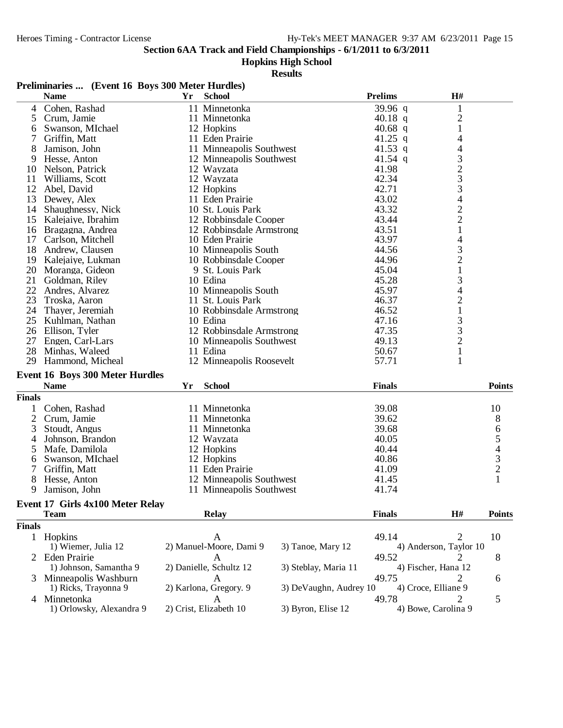#### **Hopkins High School**

|               | Preliminaries  (Event 16 Boys 300 Meter Hurdles)      |    |                          |                        |                |                                                 |                                            |
|---------------|-------------------------------------------------------|----|--------------------------|------------------------|----------------|-------------------------------------------------|--------------------------------------------|
|               | <b>Name</b>                                           | Yr | <b>School</b>            |                        | <b>Prelims</b> | H#                                              |                                            |
| 4             | Cohen, Rashad                                         |    | 11 Minnetonka            |                        | 39.96 q        | $\mathbf{1}$                                    |                                            |
| 5             | Crum, Jamie                                           |    | 11 Minnetonka            |                        | 40.18 q        | $\overline{c}$                                  |                                            |
| 6             | Swanson, MIchael                                      |    | 12 Hopkins               |                        | 40.68 q        | $\mathbf{1}$                                    |                                            |
| 7             | Griffin, Matt                                         |    | 11 Eden Prairie          |                        | 41.25 q        | 4                                               |                                            |
| 8             | Jamison, John                                         |    | 11 Minneapolis Southwest |                        | 41.53 q        | 4                                               |                                            |
| 9             | Hesse, Anton                                          |    | 12 Minneapolis Southwest |                        | 41.54 q        |                                                 |                                            |
| 10            | Nelson, Patrick                                       |    | 12 Wayzata               |                        | 41.98          |                                                 |                                            |
| 11            | Williams, Scott                                       |    | 12 Wayzata               |                        | 42.34          |                                                 |                                            |
| 12            | Abel, David                                           |    | 12 Hopkins               |                        | 42.71          | $\begin{array}{c} 3 \\ 2 \\ 3 \\ 3 \end{array}$ |                                            |
| 13            | Dewey, Alex                                           |    | 11 Eden Prairie          |                        | 43.02          | $\overline{\mathcal{L}}$                        |                                            |
| 14            | Shaughnessy, Nick                                     |    | 10 St. Louis Park        |                        | 43.32          |                                                 |                                            |
| 15            | Kalejaiye, Ibrahim                                    |    | 12 Robbinsdale Cooper    |                        | 43.44          | $\frac{2}{2}$                                   |                                            |
|               | 16 Bragagna, Andrea                                   |    | 12 Robbinsdale Armstrong |                        | 43.51          | $\mathbf{1}$                                    |                                            |
| 17            | Carlson, Mitchell                                     |    | 10 Eden Prairie          |                        | 43.97          | 4                                               |                                            |
| 18            | Andrew, Clausen                                       |    | 10 Minneapolis South     |                        | 44.56          | 3                                               |                                            |
| 19            | Kalejaiye, Lukman                                     |    | 10 Robbinsdale Cooper    |                        | 44.96          |                                                 |                                            |
|               | 20 Moranga, Gideon                                    |    | 9 St. Louis Park         |                        | 45.04          | $\frac{2}{1}$                                   |                                            |
| 21            | Goldman, Riley                                        |    | 10 Edina                 |                        | 45.28          | 3                                               |                                            |
| 22            | Andres, Alvarez                                       |    | 10 Minneapolis South     |                        | 45.97          | 4                                               |                                            |
| 23            | Troska, Aaron                                         |    | 11 St. Louis Park        |                        | 46.37          | $\overline{c}$                                  |                                            |
|               | 24 Thayer, Jeremiah                                   |    | 10 Robbinsdale Armstrong |                        | 46.52          | $\mathbf{1}$                                    |                                            |
|               | 25 Kuhlman, Nathan                                    |    | 10 Edina                 |                        | 47.16          |                                                 |                                            |
|               | 26 Ellison, Tyler                                     |    | 12 Robbinsdale Armstrong |                        | 47.35          | $\begin{array}{c} 3 \\ 3 \\ 2 \end{array}$      |                                            |
| 27            | Engen, Carl-Lars                                      |    | 10 Minneapolis Southwest |                        | 49.13          |                                                 |                                            |
| 28            | Minhas, Waleed                                        |    | 11 Edina                 |                        | 50.67          | $\mathbf{1}$                                    |                                            |
| 29            | Hammond, Micheal                                      |    | 12 Minneapolis Roosevelt |                        | 57.71          | 1                                               |                                            |
|               |                                                       |    |                          |                        |                |                                                 |                                            |
|               | <b>Event 16 Boys 300 Meter Hurdles</b><br><b>Name</b> | Yr | <b>School</b>            |                        | <b>Finals</b>  |                                                 | <b>Points</b>                              |
|               |                                                       |    |                          |                        |                |                                                 |                                            |
| <b>Finals</b> |                                                       |    |                          |                        |                |                                                 |                                            |
| 1             | Cohen, Rashad                                         |    | 11 Minnetonka            |                        | 39.08          |                                                 | 10                                         |
| 2             | Crum, Jamie                                           |    | 11 Minnetonka            |                        | 39.62          |                                                 | 8                                          |
| 3             | Stoudt, Angus                                         |    | 11 Minnetonka            |                        | 39.68          |                                                 | $\begin{array}{c} 6 \\ 5 \end{array}$      |
| 4             | Johnson, Brandon                                      |    | 12 Wayzata               |                        | 40.05          |                                                 |                                            |
| 5             | Mafe, Damilola                                        |    | 12 Hopkins               |                        | 40.44          |                                                 | $\begin{array}{c} 4 \\ 3 \\ 2 \end{array}$ |
| 6             | Swanson, MIchael                                      |    | 12 Hopkins               |                        | 40.86          |                                                 |                                            |
|               | Griffin, Matt                                         |    | 11 Eden Prairie          |                        | 41.09          |                                                 |                                            |
| 8             | Hesse, Anton                                          |    | 12 Minneapolis Southwest |                        | 41.45          |                                                 |                                            |
| 9             | Jamison, John                                         |    | 11 Minneapolis Southwest |                        | 41.74          |                                                 |                                            |
|               | Event 17 Girls 4x100 Meter Relay                      |    |                          |                        |                |                                                 |                                            |
|               | <b>Team</b>                                           |    | <b>Relay</b>             |                        | <b>Finals</b>  | H#                                              | <b>Points</b>                              |
| <b>Finals</b> |                                                       |    |                          |                        |                |                                                 |                                            |
|               | 1 Hopkins                                             |    | A                        |                        | 49.14          | 2                                               | 10                                         |
|               | 1) Wiemer, Julia 12                                   |    | 2) Manuel-Moore, Dami 9  | 3) Tanoe, Mary 12      |                | 4) Anderson, Taylor 10                          |                                            |
|               | 2 Eden Prairie                                        |    | A                        |                        | 49.52          | 2                                               | 8                                          |
|               | 1) Johnson, Samantha 9                                |    | 2) Danielle, Schultz 12  | 3) Steblay, Maria 11   |                | 4) Fischer, Hana 12                             |                                            |
|               | Minneapolis Washburn                                  |    | A                        |                        | 49.75          | 2                                               | 6                                          |
|               | 1) Ricks, Trayonna 9                                  |    | 2) Karlona, Gregory. 9   | 3) DeVaughn, Audrey 10 |                | 4) Croce, Elliane 9                             |                                            |
|               | 4 Minnetonka                                          |    | A                        |                        | 49.78          |                                                 | 5                                          |
|               | 1) Orlowsky, Alexandra 9                              |    | 2) Crist, Elizabeth 10   | 3) Byron, Elise 12     |                | 4) Bowe, Carolina 9                             |                                            |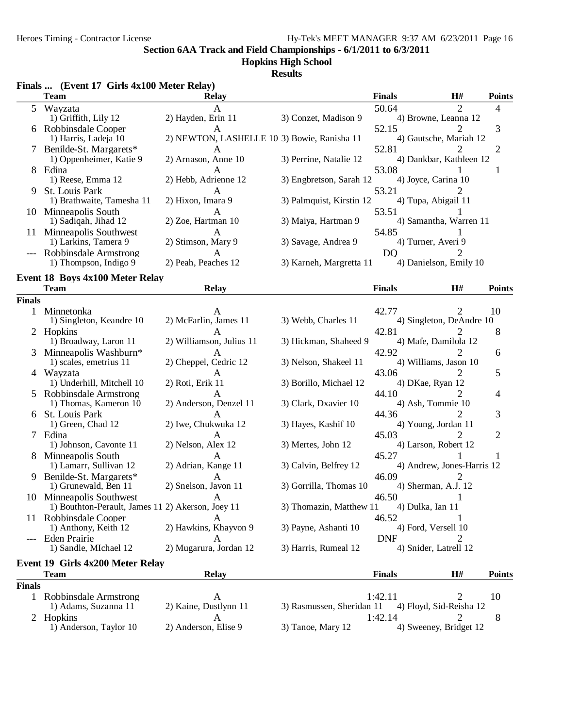## **Hopkins High School**

**Results**

|               | <b>Team</b>                                       | <b>Relay</b>                                |                           | <b>Finals</b>                   | H#             | <b>Points</b>  |
|---------------|---------------------------------------------------|---------------------------------------------|---------------------------|---------------------------------|----------------|----------------|
| 5             | Wayzata                                           |                                             |                           | 50.64                           | $\mathfrak{D}$ | 4              |
|               | 1) Griffith, Lily 12                              | 2) Hayden, Erin 11                          | 3) Conzet, Madison 9      | 4) Browne, Leanna 12            |                |                |
| 6             | Robbinsdale Cooper<br>1) Harris, Ladeja 10        | 2) NEWTON, LASHELLE 10 3) Bowie, Ranisha 11 |                           | 52.15<br>4) Gautsche, Mariah 12 |                | 3              |
|               | Benilde-St. Margarets*                            |                                             |                           | 52.81                           |                | 2              |
|               | 1) Oppenheimer, Katie 9                           | 2) Arnason, Anne 10                         | 3) Perrine, Natalie 12    | 4) Dankbar, Kathleen 12         |                |                |
| 8             | Edina                                             | A                                           |                           | 53.08                           |                | 1              |
|               | 1) Reese, Emma 12                                 | 2) Hebb, Adrienne 12                        | 3) Engbretson, Sarah 12   | 4) Joyce, Carina 10             |                |                |
| 9             | St. Louis Park<br>1) Brathwaite, Tamesha 11       | A<br>2) Hixon, Imara 9                      | 3) Palmquist, Kirstin 12  | 53.21<br>4) Tupa, Abigail 11    | 2              |                |
|               | 10 Minneapolis South                              |                                             |                           | 53.51                           |                |                |
|               | 1) Sadiqah, Jihad 12                              | 2) Zoe, Hartman 10                          | 3) Maiya, Hartman 9       | 4) Samantha, Warren 11          |                |                |
|               | 11 Minneapolis Southwest                          | A                                           |                           | 54.85                           |                |                |
|               | 1) Larkins, Tamera 9                              | 2) Stimson, Mary 9                          | 3) Savage, Andrea 9       | 4) Turner, Averi 9              |                |                |
|               | Robbinsdale Armstrong                             | A                                           |                           | D <sub>Q</sub>                  |                |                |
|               | 1) Thompson, Indigo 9                             | 2) Peah, Peaches 12                         | 3) Karneh, Margretta 11   | 4) Danielson, Emily 10          |                |                |
|               | <b>Event 18 Boys 4x100 Meter Relay</b>            |                                             |                           |                                 |                |                |
| <b>Finals</b> | <b>Team</b>                                       | <b>Relay</b>                                |                           | <b>Finals</b>                   | H#             | <b>Points</b>  |
| 1             | Minnetonka                                        |                                             |                           | 42.77                           | 2              | 10             |
|               | 1) Singleton, Keandre 10                          | 2) McFarlin, James 11                       | 3) Webb, Charles 11       | 4) Singleton, DeAndre 10        |                |                |
|               | 2 Hopkins                                         |                                             |                           | 42.81                           |                | 8              |
|               | 1) Broadway, Laron 11                             | 2) Williamson, Julius 11                    | 3) Hickman, Shaheed 9     | 4) Mafe, Damilola 12            |                |                |
|               | Minneapolis Washburn*                             | A                                           |                           | 42.92                           |                | 6              |
|               | 1) scales, emetrius 11                            | 2) Cheppel, Cedric 12                       | 3) Nelson, Shakeel 11     | 4) Williams, Jason 10           |                |                |
| 4             | Wayzata<br>1) Underhill, Mitchell 10              | A<br>2) Roti, Erik 11                       | 3) Borillo, Michael 12    | 43.06<br>4) DKae, Ryan 12       | 2              | 5              |
|               | Robbinsdale Armstrong                             |                                             |                           | 44.10                           |                | 4              |
|               | 1) Thomas, Kameron 10                             | 2) Anderson, Denzel 11                      | 3) Clark, Dxavier 10      | 4) Ash, Tommie 10               |                |                |
| 6             | St. Louis Park                                    | A                                           |                           | 44.36                           |                | 3              |
|               | 1) Green, Chad 12                                 | 2) Iwe, Chukwuka 12                         | 3) Hayes, Kashif 10       | 4) Young, Jordan 11             |                |                |
| 7             | Edina<br>1) Johnson, Cavonte 11                   | A<br>2) Nelson, Alex 12                     | 3) Mertes, John 12        | 45.03<br>4) Larson, Robert 12   | 2              | $\overline{2}$ |
| 8             | Minneapolis South                                 | A                                           |                           | 45.27                           |                |                |
|               | 1) Lamarr, Sullivan 12                            | 2) Adrian, Kange 11                         | 3) Calvin, Belfrey 12     | 4) Andrew, Jones-Harris 12      |                |                |
| 9             | Benilde-St. Margarets*                            |                                             |                           | 46.09                           | 2              |                |
|               | 1) Grunewald, Ben 11                              | 2) Snelson, Javon 11                        | 3) Gorrilla, Thomas 10    | 4) Sherman, A.J. 12             |                |                |
|               | 10 Minneapolis Southwest                          | A                                           |                           | 46.50                           |                |                |
|               | 1) Bouthton-Perault, James 11 2) Akerson, Joey 11 |                                             | 3) Thomazin, Matthew 11   | 4) Dulka, Ian 11                | 1              |                |
|               | 11 Robbinsdale Cooper<br>1) Anthony, Keith 12     | A<br>2) Hawkins, Khayvon 9                  | 3) Payne, Ashanti 10      | 46.52<br>4) Ford, Versell 10    |                |                |
|               | Eden Prairie                                      | A                                           |                           | <b>DNF</b>                      | 2              |                |
|               | 1) Sandle, MIchael 12                             | 2) Mugarura, Jordan 12                      | 3) Harris, Rumeal 12      | 4) Snider, Latrell 12           |                |                |
|               | Event 19 Girls 4x200 Meter Relay                  |                                             |                           |                                 |                |                |
|               | <b>Team</b>                                       | <b>Relay</b>                                |                           | <b>Finals</b>                   | H#             | <b>Points</b>  |
| <b>Finals</b> |                                                   |                                             |                           |                                 |                |                |
|               | 1 Robbinsdale Armstrong                           | A                                           |                           | 1:42.11                         | 2              | 10             |
|               | 1) Adams, Suzanna 11                              | 2) Kaine, Dustlynn 11                       | 3) Rasmussen, Sheridan 11 | 4) Floyd, Sid-Reisha 12         |                |                |
|               | 2 Hopkins<br>1) Anderson, Taylor 10               | A<br>2) Anderson, Elise 9                   |                           | 1:42.14                         | 2              | 8              |
|               |                                                   |                                             | 3) Tanoe, Mary 12         | 4) Sweeney, Bridget 12          |                |                |

#### **Finals ... (Event 17 Girls 4x100 Meter Relay)**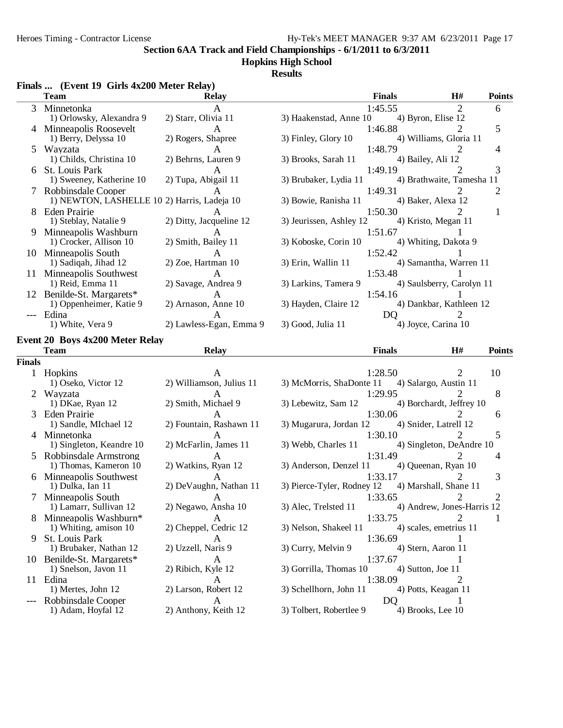# **Hopkins High School**

## **Results**

|               | <b>Team</b>                                 | <b>Relay</b>                 |                            | <b>Finals</b>  | H#                         | <b>Points</b>  |
|---------------|---------------------------------------------|------------------------------|----------------------------|----------------|----------------------------|----------------|
| 3             | Minnetonka                                  | A                            |                            | 1:45.55        | 2                          | 6              |
|               | 1) Orlowsky, Alexandra 9                    | 2) Starr, Olivia 11          | 3) Haakenstad, Anne 10     |                | 4) Byron, Elise 12         |                |
| 4             | Minneapolis Roosevelt                       | A                            |                            | 1:46.88        |                            | 5              |
|               | 1) Berry, Delyssa 10                        | 2) Rogers, Shapree           | 3) Finley, Glory 10        |                | 4) Williams, Gloria 11     |                |
| 5.            | Wayzata                                     | A                            |                            | 1:48.79        | 2                          | 4              |
|               | 1) Childs, Christina 10                     | 2) Behrns, Lauren 9          | 3) Brooks, Sarah 11        |                | 4) Bailey, Ali 12          |                |
|               | 6 St. Louis Park                            | A                            |                            | 1:49.19        | 2                          | 3              |
|               | 1) Sweeney, Katherine 10                    | 2) Tupa, Abigail 11          | 3) Brubaker, Lydia 11      |                | 4) Brathwaite, Tamesha 11  |                |
|               | 7 Robbinsdale Cooper                        | A                            |                            | 1:49.31        |                            | 2              |
|               | 1) NEWTON, LASHELLE 10 2) Harris, Ladeja 10 |                              | 3) Bowie, Ranisha 11       |                | 4) Baker, Alexa 12         |                |
| 8             | Eden Prairie                                |                              |                            | 1:50.30        |                            | 1              |
|               | 1) Steblay, Natalie 9                       | 2) Ditty, Jacqueline 12      | 3) Jeurissen, Ashley 12    |                | 4) Kristo, Megan 11        |                |
| 9             | Minneapolis Washburn                        | A                            |                            | 1:51.67        |                            |                |
|               | 1) Crocker, Allison 10                      | 2) Smith, Bailey 11          | 3) Koboske, Corin 10       |                | 4) Whiting, Dakota 9       |                |
|               | 10 Minneapolis South                        | А                            |                            | 1:52.42        |                            |                |
|               | 1) Sadiqah, Jihad 12                        | 2) Zoe, Hartman 10           | 3) Erin, Wallin 11         |                | 4) Samantha, Warren 11     |                |
|               | 11 Minneapolis Southwest                    | A                            |                            | 1:53.48        |                            |                |
|               | 1) Reid, Emma 11                            | 2) Savage, Andrea 9          | 3) Larkins, Tamera 9       |                | 4) Saulsberry, Carolyn 11  |                |
|               | 12 Benilde-St. Margarets*                   |                              |                            | 1:54.16        |                            |                |
|               | 1) Oppenheimer, Katie 9                     | A<br>2) Arnason, Anne 10     | 3) Hayden, Claire 12       |                | 4) Dankbar, Kathleen 12    |                |
|               |                                             |                              |                            |                |                            |                |
| $---$         | Edina<br>1) White, Vera 9                   | A<br>2) Lawless-Egan, Emma 9 | 3) Good, Julia 11          | D <sub>Q</sub> | 2<br>4) Joyce, Carina 10   |                |
|               |                                             |                              |                            |                |                            |                |
|               | <b>Event 20 Boys 4x200 Meter Relay</b>      |                              |                            |                |                            |                |
|               | <b>Team</b>                                 | <b>Relay</b>                 |                            | <b>Finals</b>  | H#                         | <b>Points</b>  |
| <b>Finals</b> |                                             |                              |                            |                |                            |                |
|               | 1 Hopkins                                   |                              |                            | 1:28.50        |                            | 10             |
|               | 1) Oseko, Victor 12                         | 2) Williamson, Julius 11     | 3) McMorris, ShaDonte 11   |                | 4) Salargo, Austin 11      |                |
|               | Wayzata                                     | A                            |                            | 1:29.95        |                            | 8              |
|               | 1) DKae, Ryan 12                            | 2) Smith, Michael 9          | 3) Lebewitz, Sam 12        |                | 4) Borchardt, Jeffrey 10   |                |
|               | Eden Prairie                                | A                            |                            | 1:30.06        |                            | 6              |
|               | 1) Sandle, MIchael 12                       | 2) Fountain, Rashawn 11      | 3) Mugarura, Jordan 12     |                | 4) Snider, Latrell 12      |                |
|               | 4 Minnetonka                                | A                            |                            | 1:30.10        |                            | 5              |
|               | 1) Singleton, Keandre 10                    | 2) McFarlin, James 11        | 3) Webb, Charles 11        |                | 4) Singleton, DeAndre 10   |                |
|               | 5 Robbinsdale Armstrong                     | A                            |                            | 1:31.49        | 2                          | 4              |
|               | 1) Thomas, Kameron 10                       | 2) Watkins, Ryan 12          | 3) Anderson, Denzel 11     |                | 4) Queenan, Ryan 10        |                |
|               | 6 Minneapolis Southwest                     | A                            |                            | 1:33.17        | 2                          | 3              |
|               | 1) Dulka, Ian 11                            | 2) DeVaughn, Nathan 11       | 3) Pierce-Tyler, Rodney 12 |                | 4) Marshall, Shane 11      |                |
| 7             | Minneapolis South                           | A                            |                            | 1:33.65        | 2                          | $\overline{2}$ |
|               | 1) Lamarr, Sullivan 12                      | 2) Negawo, Ansha 10          | 3) Alec, Trelsted 11       |                | 4) Andrew, Jones-Harris 12 |                |
| 8             | Minneapolis Washburn*                       | А                            |                            | 1:33.75        |                            | 1              |
|               | 1) Whiting, amison 10                       | 2) Cheppel, Cedric 12        | 3) Nelson, Shakeel 11      |                | 4) scales, emetrius 11     |                |
| 9             | St. Louis Park                              |                              |                            | 1:36.69        |                            |                |
|               | 1) Brubaker, Nathan 12                      | А<br>2) Uzzell, Naris 9      | 3) Curry, Melvin 9         |                | 4) Stern, Aaron 11         |                |
|               |                                             |                              |                            |                |                            |                |
|               | 10 Benilde-St. Margarets*                   | A                            |                            | 1:37.67        | 4) Sutton, Joe 11          |                |
|               | 1) Snelson, Javon 11                        | 2) Ribich, Kyle 12           | 3) Gorrilla, Thomas 10     |                |                            |                |
|               | 11 Edina                                    | A                            |                            | 1:38.09        | 2                          |                |
|               | 1) Mertes, John 12                          | 2) Larson, Robert 12         | 3) Schellhorn, John 11     |                | 4) Potts, Keagan 11        |                |
|               | Robbinsdale Cooper<br>1) Adam, Hoyfal 12    | A<br>2) Anthony, Keith 12    | 3) Tolbert, Robertlee 9    | DQ             | 1<br>4) Brooks, Lee 10     |                |
|               |                                             |                              |                            |                |                            |                |

### **Finals ... (Event 19 Girls 4x200 Meter Relay)**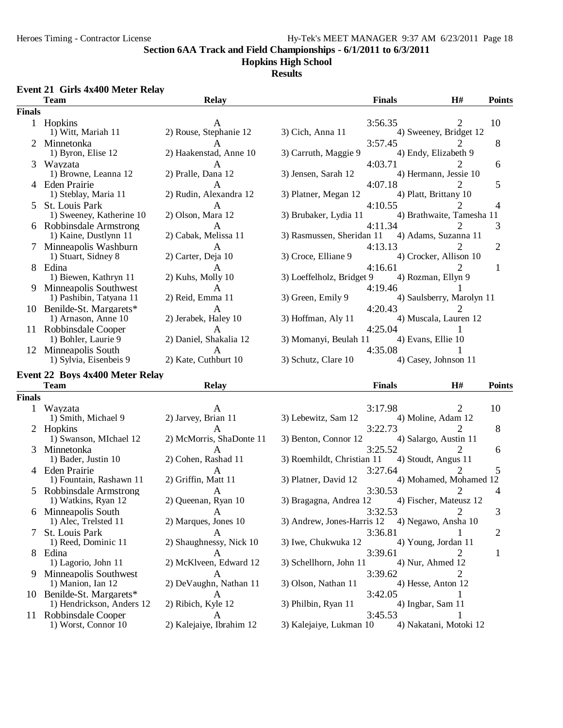#### **Hopkins High School**

**Results**

### **Event 21 Girls 4x400 Meter Relay**

|               | <b>Team</b>                                      | <b>Relay</b>                 |                            | <b>Finals</b>                     | H#                          | <b>Points</b>  |
|---------------|--------------------------------------------------|------------------------------|----------------------------|-----------------------------------|-----------------------------|----------------|
| <b>Finals</b> |                                                  |                              |                            |                                   |                             |                |
|               | 1 Hopkins<br>1) Witt, Mariah 11                  | 2) Rouse, Stephanie 12       | 3) Cich, Anna 11           | 3:56.35                           | 2<br>4) Sweeney, Bridget 12 | 10             |
| 2             | Minnetonka<br>1) Byron, Elise 12                 | 2) Haakenstad, Anne 10       | 3) Carruth, Maggie 9       | 3:57.45<br>4) Endy, Elizabeth 9   |                             | 8              |
| 3             | Wayzata<br>1) Browne, Leanna 12                  | A<br>2) Pralle, Dana 12      | 3) Jensen, Sarah 12        | 4:03.71<br>4) Hermann, Jessie 10  |                             | 6              |
|               | 4 Eden Prairie<br>1) Steblay, Maria 11           | A<br>2) Rudin, Alexandra 12  | 3) Platner, Megan 12       | 4:07.18<br>4) Platt, Brittany 10  |                             | 5              |
| 5.            | St. Louis Park<br>1) Sweeney, Katherine 10       | A<br>2) Olson, Mara 12       | 3) Brubaker, Lydia 11      | 4:10.55                           | 4) Brathwaite, Tamesha 11   | 4              |
|               | 6 Robbinsdale Armstrong<br>1) Kaine, Dustlynn 11 | A<br>2) Cabak, Melissa 11    | 3) Rasmussen, Sheridan 11  | 4:11.34<br>4) Adams, Suzanna 11   |                             | 3              |
|               | Minneapolis Washburn<br>1) Stuart, Sidney 8      | A<br>2) Carter, Deja 10      | 3) Croce, Elliane 9        | 4:13.13<br>4) Crocker, Allison 10 | 2                           | $\overline{2}$ |
|               | 8 Edina<br>1) Biewen, Kathryn 11                 | A<br>2) Kuhs, Molly 10       | 3) Loeffelholz, Bridget 9  | 4:16.61<br>4) Rozman, Ellyn 9     |                             | 1              |
| 9             | Minneapolis Southwest<br>1) Pashibin, Tatyana 11 | 2) Reid, Emma 11             | 3) Green, Emily 9          | 4:19.46                           | 4) Saulsberry, Marolyn 11   |                |
|               | 10 Benilde-St. Margarets*<br>1) Arnason, Anne 10 | A<br>2) Jerabek, Haley 10    | 3) Hoffman, Aly 11         | 4:20.43                           | 4) Muscala, Lauren 12       |                |
|               | 11 Robbinsdale Cooper<br>1) Bohler, Laurie 9     | A<br>2) Daniel, Shakalia 12  | 3) Momanyi, Beulah 11      | 4:25.04<br>4) Evans, Ellie 10     |                             |                |
|               | 12 Minneapolis South<br>1) Sylvia, Eisenbeis 9   | A<br>2) Kate, Cuthburt 10    | 3) Schutz, Clare 10        | 4:35.08<br>4) Casey, Johnson 11   |                             |                |
|               | Event 22 Boys 4x400 Meter Relay                  |                              |                            |                                   |                             |                |
|               | <b>Team</b>                                      | <b>Relay</b>                 |                            | <b>Finals</b>                     | H#                          | <b>Points</b>  |
| <b>Finals</b> |                                                  |                              |                            |                                   |                             |                |
| 1             | Wayzata                                          | A                            |                            | 3:17.98                           | $\mathfrak{D}$              | 10             |
|               | 1) Smith, Michael 9                              | 2) Jarvey, Brian 11          | 3) Lebewitz, Sam 12        | 4) Moline, Adam 12                |                             |                |
|               | 2 Hopkins                                        | A                            |                            | 3:22.73                           |                             | 8              |
|               | 1) Swanson, MIchael 12                           | 2) McMorris, ShaDonte 11     | 3) Benton, Connor 12       | 4) Salargo, Austin 11             |                             |                |
| 3             | Minnetonka                                       | A                            |                            | 3:25.52                           | $\mathcal{D}_{\cdot}$       | 6              |
|               | 1) Bader, Justin 10                              | 2) Cohen, Rashad 11          | 3) Roemhildt, Christian 11 | 4) Stoudt, Angus 11               |                             |                |
|               | 4 Eden Prairie                                   | A                            |                            | 3:27.64                           | 2                           | 5              |
|               | 1) Fountain, Rashawn 11                          | 2) Griffin, Matt 11          | 3) Platner, David 12       |                                   | 4) Mohamed, Mohamed 12      |                |
| 5.            | Robbinsdale Armstrong                            | A                            |                            | 3:30.53                           |                             | 4              |
|               | 1) Watkins, Ryan 12                              | 2) Queenan, Ryan 10          | 3) Bragagna, Andrea 12     |                                   | 4) Fischer, Mateusz 12      |                |
| 6             | Minneapolis South<br>1) Alec, Trelsted 11        | A<br>2) Marques, Jones 10    | 3) Andrew, Jones-Harris 12 | 3:32.53<br>4) Negawo, Ansha 10    | $\overline{2}$              | 3              |
| 7             | St. Louis Park<br>1) Reed, Dominic 11            | A<br>2) Shaughnessy, Nick 10 | 3) Iwe, Chukwuka 12        | 3:36.81<br>4) Young, Jordan 11    |                             | $\overline{c}$ |
|               | 8 Edina<br>1) Lagorio, John 11                   | А<br>2) McKlveen, Edward 12  | 3) Schellhorn, John 11     | 3:39.61<br>4) Nur, Ahmed 12       | 2                           | 1              |
| 9             | Minneapolis Southwest                            | A                            |                            | 3:39.62                           | 2                           |                |
|               | 1) Manion, Ian 12                                | 2) DeVaughn, Nathan 11       | 3) Olson, Nathan 11        | 4) Hesse, Anton 12                |                             |                |
|               | 10 Benilde-St. Margarets*                        | A                            |                            | 3:42.05                           | 1                           |                |
|               | 1) Hendrickson, Anders 12                        | 2) Ribich, Kyle 12           | 3) Philbin, Ryan 11        | 4) Ingbar, Sam 11                 |                             |                |
| 11.           | Robbinsdale Cooper                               | A                            |                            | 3:45.53                           |                             |                |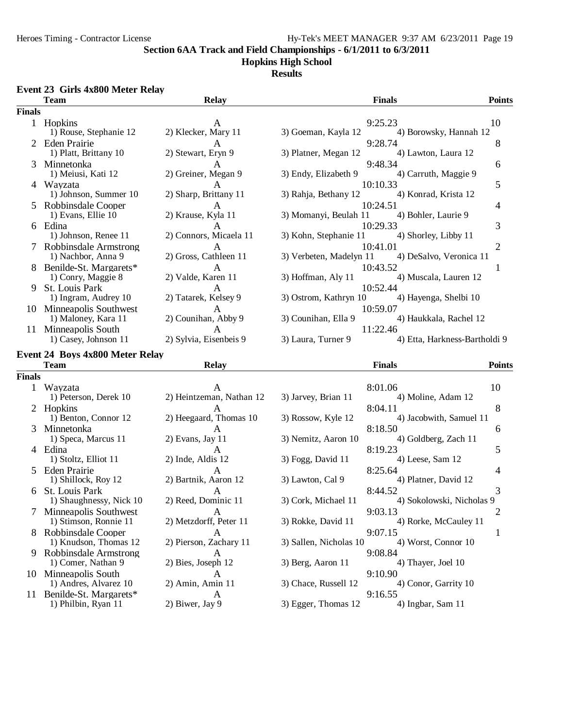#### **Hopkins High School**

#### **Results**

#### **Event 23 Girls 4x800 Meter Relay**

|               | <b>Team</b>                                    | <b>Relay</b>                | <b>Finals</b>                                            | <b>Points</b>  |
|---------------|------------------------------------------------|-----------------------------|----------------------------------------------------------|----------------|
| <b>Finals</b> |                                                |                             |                                                          |                |
|               | 1 Hopkins                                      |                             | 9:25.23                                                  | 10             |
|               | 1) Rouse, Stephanie 12                         | 2) Klecker, Mary 11         | 3) Goeman, Kayla 12<br>4) Borowsky, Hannah 12            |                |
|               | <b>Eden Prairie</b>                            | A                           | 9:28.74                                                  | 8              |
|               | 1) Platt, Brittany 10                          | 2) Stewart, Eryn 9          | 3) Platner, Megan 12<br>4) Lawton, Laura 12              |                |
| 3             | Minnetonka                                     | A                           | 9:48.34                                                  | 6              |
|               | 1) Meiusi, Kati 12                             | 2) Greiner, Megan 9         | 3) Endy, Elizabeth 9<br>4) Carruth, Maggie 9             |                |
|               | 4 Wayzata                                      | А                           | 10:10.33                                                 | 5              |
|               | 1) Johnson, Summer 10                          | 2) Sharp, Brittany 11       | 3) Rahja, Bethany 12<br>4) Konrad, Krista 12             |                |
|               | Robbinsdale Cooper<br>1) Evans, Ellie 10       | A<br>2) Krause, Kyla 11     | 10:24.51<br>3) Momanyi, Beulah 11<br>4) Bohler, Laurie 9 | 4              |
|               | 6 Edina                                        | A                           | 10:29.33                                                 | 3              |
|               | 1) Johnson, Renee 11                           | 2) Connors, Micaela 11      | 3) Kohn, Stephanie 11<br>4) Shorley, Libby 11            |                |
|               | Robbinsdale Armstrong                          | A                           | 10:41.01                                                 | $\overline{2}$ |
|               | 1) Nachbor, Anna 9                             | 2) Gross, Cathleen 11       | 4) DeSalvo, Veronica 11<br>3) Verbeten, Madelyn 11       |                |
|               | Benilde-St. Margarets*                         | A                           | 10:43.52                                                 | 1              |
|               | 1) Conry, Maggie 8                             | 2) Valde, Karen 11          | 4) Muscala, Lauren 12<br>3) Hoffman, Aly 11              |                |
| 9             | St. Louis Park                                 | A                           | 10:52.44                                                 |                |
|               | 1) Ingram, Audrey 10                           | 2) Tatarek, Kelsey 9        | 3) Ostrom, Kathryn 10<br>4) Hayenga, Shelbi 10           |                |
|               | 10 Minneapolis Southwest                       | A                           | 10:59.07                                                 |                |
|               | 1) Maloney, Kara 11                            | 2) Counihan, Abby 9         | 3) Counihan, Ella 9<br>4) Haukkala, Rachel 12            |                |
| 11.           | Minneapolis South                              | A                           | 11:22.46                                                 |                |
|               | 1) Casey, Johnson 11                           | 2) Sylvia, Eisenbeis 9      | 3) Laura, Turner 9<br>4) Etta, Harkness-Bartholdi 9      |                |
|               | Event 24 Boys 4x800 Meter Relay                |                             |                                                          |                |
|               | <b>Team</b>                                    | <b>Relay</b>                | <b>Finals</b>                                            | <b>Points</b>  |
| <b>Finals</b> |                                                |                             |                                                          |                |
| 1             | Wavzata                                        |                             | 8:01.06                                                  | 10             |
|               | 1) Peterson, Derek 10                          | 2) Heintzeman, Nathan 12    | 3) Jarvey, Brian 11<br>4) Moline, Adam 12                |                |
| 2             | Hopkins                                        | A                           | 8:04.11                                                  | 8              |
|               | 1) Benton, Connor 12                           | 2) Heegaard, Thomas 10      | 3) Rossow, Kyle 12<br>4) Jacobwith, Samuel 11            |                |
| 3             | Minnetonka                                     | A                           | 8:18.50                                                  | 6              |
|               | 1) Speca, Marcus 11                            | 2) Evans, Jay 11            | 3) Nemitz, Aaron 10<br>4) Goldberg, Zach 11              |                |
|               | 4 Edina                                        | A                           | 8:19.23                                                  | 5              |
|               | 1) Stoltz, Elliot 11                           | 2) Inde, Aldis 12           | 3) Fogg, David 11<br>4) Leese, Sam 12                    |                |
|               | Eden Prairie                                   | A                           | 8:25.64                                                  | 4              |
|               | 1) Shillock, Roy 12                            | 2) Bartnik, Aaron 12        | 3) Lawton, Cal 9<br>4) Platner, David 12                 |                |
| 6             | St. Louis Park                                 | А                           | 8:44.52                                                  | 3              |
|               | 1) Shaughnessy, Nick 10                        | 2) Reed, Dominic 11         | 3) Cork, Michael 11<br>4) Sokolowski, Nicholas 9         |                |
| 7             | Minneapolis Southwest<br>1) Stimson, Ronnie 11 | A<br>2) Metzdorff, Peter 11 | 9:03.13<br>3) Rokke, David 11<br>4) Rorke, McCauley 11   | $\overline{2}$ |
|               | Robbinsdale Cooper                             |                             |                                                          |                |
| 8             | 1) Knudson, Thomas 12                          | A<br>2) Pierson, Zachary 11 | 9:07.15<br>4) Worst, Connor 10<br>3) Sallen, Nicholas 10 | 1              |
| 9             | Robbinsdale Armstrong                          | A                           | 9:08.84                                                  |                |
|               | 1) Comer, Nathan 9                             | 2) Bies, Joseph 12          | 3) Berg, Aaron 11<br>4) Thayer, Joel 10                  |                |
|               | 10 Minneapolis South                           | Α                           | 9:10.90                                                  |                |
|               | 1) Andres, Alvarez 10                          | 2) Amin, Amin 11            | 3) Chace, Russell 12<br>4) Conor, Garrity 10             |                |
| 11.           | Benilde-St. Margarets*                         | A                           | 9:16.55                                                  |                |
|               | 1) Philbin, Ryan 11                            | 2) Biwer, Jay 9             | 3) Egger, Thomas 12<br>4) Ingbar, Sam 11                 |                |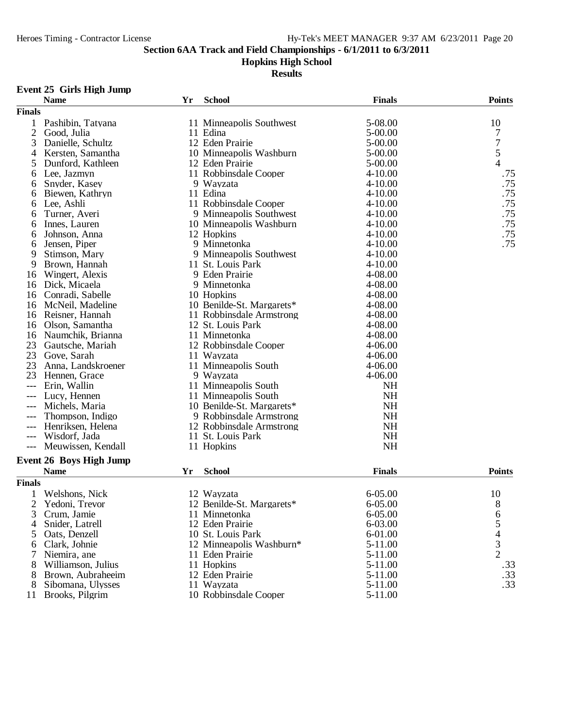## **Hopkins High School**

**Results**

## **Event 25 Girls High Jump**

|                | <b>Name</b>                    | Yr | <b>School</b>             | <b>Finals</b> | <b>Points</b>                              |
|----------------|--------------------------------|----|---------------------------|---------------|--------------------------------------------|
| <b>Finals</b>  |                                |    |                           |               |                                            |
| 1              | Pashibin, Tatyana              |    | 11 Minneapolis Southwest  | 5-08.00       | 10                                         |
| $\overline{2}$ | Good, Julia                    |    | 11 Edina                  | $5 - 00.00$   | 7                                          |
| 3              | Danielle, Schultz              |    | 12 Eden Prairie           | $5 - 00.00$   | 7                                          |
| 4              | Kersten, Samantha              |    | 10 Minneapolis Washburn   | $5 - 00.00$   | $\frac{5}{4}$                              |
| 5              | Dunford, Kathleen              |    | 12 Eden Prairie           | 5-00.00       |                                            |
| 6              | Lee, Jazmyn                    |    | 11 Robbinsdale Cooper     | $4 - 10.00$   | .75                                        |
| 6              | Snyder, Kasey                  |    | 9 Wayzata                 | $4 - 10.00$   | .75                                        |
| 6              | Biewen, Kathryn                |    | 11 Edina                  | $4 - 10.00$   | .75                                        |
| 6              | Lee, Ashli                     |    | 11 Robbinsdale Cooper     | $4 - 10.00$   | .75                                        |
| 6              | Turner, Averi                  |    | 9 Minneapolis Southwest   | $4 - 10.00$   | .75                                        |
| 6              | Innes, Lauren                  |    | 10 Minneapolis Washburn   | $4 - 10.00$   | .75                                        |
| 6              | Johnson, Anna                  |    | 12 Hopkins                | $4 - 10.00$   | .75                                        |
| 6              | Jensen, Piper                  |    | 9 Minnetonka              | $4 - 10.00$   | .75                                        |
| 9              | Stimson, Mary                  |    | 9 Minneapolis Southwest   | $4 - 10.00$   |                                            |
| 9              | Brown, Hannah                  |    | 11 St. Louis Park         | $4 - 10.00$   |                                            |
| 16             | Wingert, Alexis                |    | 9 Eden Prairie            | 4-08.00       |                                            |
| 16             | Dick, Micaela                  |    | 9 Minnetonka              | 4-08.00       |                                            |
| 16             | Conradi, Sabelle               |    | 10 Hopkins                | 4-08.00       |                                            |
| 16             | McNeil, Madeline               |    | 10 Benilde-St. Margarets* | 4-08.00       |                                            |
| 16             | Reisner, Hannah                |    | 11 Robbinsdale Armstrong  | 4-08.00       |                                            |
| 16             | Olson, Samantha                |    | 12 St. Louis Park         | 4-08.00       |                                            |
| 16             | Naumchik, Brianna              |    | 11 Minnetonka             | 4-08.00       |                                            |
| 23             | Gautsche, Mariah               |    | 12 Robbinsdale Cooper     | 4-06.00       |                                            |
| 23             | Gove, Sarah                    |    | 11 Wayzata                | $4 - 06.00$   |                                            |
| 23             | Anna, Landskroener             |    | 11 Minneapolis South      | 4-06.00       |                                            |
| 23             | Hennen, Grace                  |    | 9 Wayzata                 | $4 - 06.00$   |                                            |
| ---            | Erin, Wallin                   |    | 11 Minneapolis South      | <b>NH</b>     |                                            |
| ---            | Lucy, Hennen                   |    | 11 Minneapolis South      | <b>NH</b>     |                                            |
| $---$          | Michels, Maria                 |    | 10 Benilde-St. Margarets* | <b>NH</b>     |                                            |
|                | Thompson, Indigo               |    | 9 Robbinsdale Armstrong   | <b>NH</b>     |                                            |
|                | Henriksen, Helena              |    | 12 Robbinsdale Armstrong  | <b>NH</b>     |                                            |
| $---$          | Wisdorf, Jada                  |    | 11 St. Louis Park         | <b>NH</b>     |                                            |
| $---$          | Meuwissen, Kendall             |    | 11 Hopkins                | NH            |                                            |
|                |                                |    |                           |               |                                            |
|                | <b>Event 26 Boys High Jump</b> |    |                           | <b>Finals</b> | <b>Points</b>                              |
|                | <b>Name</b>                    | Yr | <b>School</b>             |               |                                            |
| <b>Finals</b>  |                                |    |                           |               |                                            |
|                | Welshons, Nick                 |    | 12 Wayzata                | $6 - 05.00$   | 10                                         |
| 2              | Yedoni, Trevor                 |    | 12 Benilde-St. Margarets* | 6-05.00       | 8                                          |
| 3              | Crum, Jamie                    |    | 11 Minnetonka             | 6-05.00       | 6                                          |
| $\overline{4}$ | Snider, Latrell                |    | 12 Eden Prairie           | 6-03.00       | 5                                          |
| 5              | Oats, Denzell                  |    | 10 St. Louis Park         | $6 - 01.00$   |                                            |
| 6              | Clark, Johnie                  |    | 12 Minneapolis Washburn*  | 5-11.00       | $\begin{array}{c} 4 \\ 3 \\ 2 \end{array}$ |
|                | Niemira, ane                   |    | 11 Eden Prairie           | $5-11.00$     |                                            |
| 8              | Williamson, Julius             |    | 11 Hopkins                | 5-11.00       | .33                                        |
| 8              | Brown, Aubraheeim              |    | 12 Eden Prairie           | $5-11.00$     | .33                                        |
| 8              | Sibomana, Ulysses              |    | 11 Wayzata                | $5-11.00$     | .33                                        |
| 11             | Brooks, Pilgrim                |    | 10 Robbinsdale Cooper     | 5-11.00       |                                            |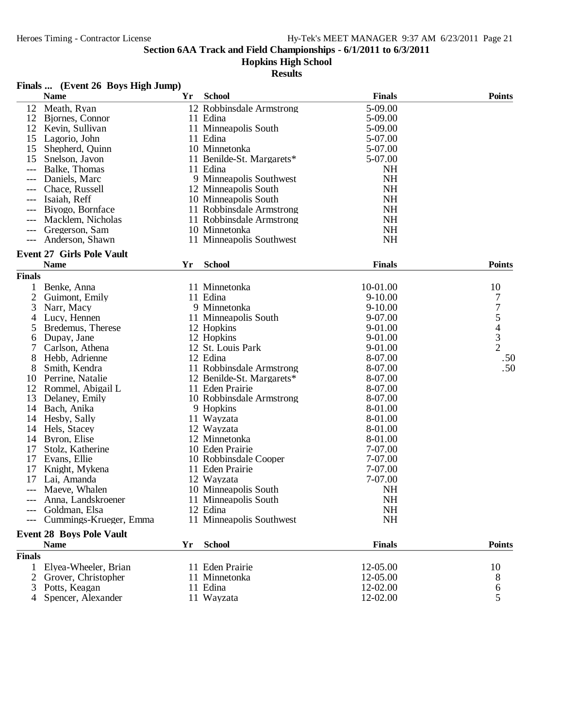4 Spencer, Alexander

#### **Section 6AA Track and Field Championships - 6/1/2011 to 6/3/2011**

### **Hopkins High School**

|                | Finals  (Event 26 Boys High Jump) |    |                           |               |                                            |
|----------------|-----------------------------------|----|---------------------------|---------------|--------------------------------------------|
|                | <b>Name</b>                       | Yr | <b>School</b>             | <b>Finals</b> | <b>Points</b>                              |
| 12             | Meath, Ryan                       |    | 12 Robbinsdale Armstrong  | 5-09.00       |                                            |
|                | 12 Bjornes, Connor                |    | 11 Edina                  | 5-09.00       |                                            |
| 12             | Kevin, Sullivan                   |    | 11 Minneapolis South      | 5-09.00       |                                            |
| 15             | Lagorio, John                     |    | 11 Edina                  | 5-07.00       |                                            |
| 15             | Shepherd, Quinn                   |    | 10 Minnetonka             | 5-07.00       |                                            |
| 15             | Snelson, Javon                    |    | 11 Benilde-St. Margarets* | 5-07.00       |                                            |
|                | Balke, Thomas                     |    | 11 Edina                  | <b>NH</b>     |                                            |
| $---$          | Daniels, Marc                     |    | 9 Minneapolis Southwest   | NH            |                                            |
|                | Chace, Russell                    |    | 12 Minneapolis South      | <b>NH</b>     |                                            |
| $---$          | Isaiah, Reff                      |    | 10 Minneapolis South      | <b>NH</b>     |                                            |
| $---$          | Biyogo, Bornface                  |    | 11 Robbinsdale Armstrong  | <b>NH</b>     |                                            |
|                | Macklem, Nicholas                 |    | 11 Robbinsdale Armstrong  | <b>NH</b>     |                                            |
|                | Gregerson, Sam                    |    | 10 Minnetonka             | <b>NH</b>     |                                            |
| $---$          | Anderson, Shawn                   |    | 11 Minneapolis Southwest  | <b>NH</b>     |                                            |
|                |                                   |    |                           |               |                                            |
|                | <b>Event 27 Girls Pole Vault</b>  |    |                           |               |                                            |
|                | <b>Name</b>                       | Yr | <b>School</b>             | <b>Finals</b> | <b>Points</b>                              |
| <b>Finals</b>  |                                   |    |                           |               |                                            |
| 1              | Benke, Anna                       |    | 11 Minnetonka             | 10-01.00      | 10                                         |
| $\overline{2}$ | Guimont, Emily                    |    | 11 Edina                  | $9 - 10.00$   | 7                                          |
| 3              | Narr, Macy                        |    | 9 Minnetonka              | $9-10.00$     | 7                                          |
| 4              | Lucy, Hennen                      |    | 11 Minneapolis South      | 9-07.00       |                                            |
| 5              | Bredemus, Therese                 |    | 12 Hopkins                | 9-01.00       | $\begin{array}{c} 5 \\ 4 \\ 3 \end{array}$ |
| 6              | Dupay, Jane                       |    | 12 Hopkins                | 9-01.00       |                                            |
| 7              | Carlson, Athena                   |    | 12 St. Louis Park         | 9-01.00       | $\overline{2}$                             |
| 8              | Hebb, Adrienne                    |    | 12 Edina                  | 8-07.00       | .50                                        |
| 8              | Smith, Kendra                     |    | 11 Robbinsdale Armstrong  | 8-07.00       | .50                                        |
| 10             | Perrine, Natalie                  |    | 12 Benilde-St. Margarets* | 8-07.00       |                                            |
| 12             | Rommel, Abigail L                 |    | 11 Eden Prairie           | 8-07.00       |                                            |
| 13             | Delaney, Emily                    |    | 10 Robbinsdale Armstrong  | 8-07.00       |                                            |
| 14             | Bach, Anika                       |    | 9 Hopkins                 | 8-01.00       |                                            |
| 14             | Hesby, Sally                      |    | 11 Wayzata                | 8-01.00       |                                            |
| 14             | Hels, Stacey                      |    | 12 Wayzata                | 8-01.00       |                                            |
| 14             | Byron, Elise                      |    | 12 Minnetonka             | 8-01.00       |                                            |
| 17             | Stolz, Katherine                  |    | 10 Eden Prairie           | 7-07.00       |                                            |
| 17             | Evans, Ellie                      |    | 10 Robbinsdale Cooper     | 7-07.00       |                                            |
| 17             | Knight, Mykena                    |    | 11 Eden Prairie           | 7-07.00       |                                            |
| 17             | Lai, Amanda                       |    | 12 Wayzata                | 7-07.00       |                                            |
|                | Maeve, Whalen                     |    | 10 Minneapolis South      | <b>NH</b>     |                                            |
|                | Anna, Landskroener                |    | 11 Minneapolis South      | NH            |                                            |
|                | Goldman, Elsa                     |    | 12 Edina                  | NH            |                                            |
|                | Cummings-Krueger, Emma            |    | 11 Minneapolis Southwest  | NH            |                                            |
|                |                                   |    |                           |               |                                            |
|                | <b>Event 28 Boys Pole Vault</b>   |    |                           |               |                                            |
|                | <b>Name</b>                       | Yr | <b>School</b>             | <b>Finals</b> | <b>Points</b>                              |
| <b>Finals</b>  |                                   |    |                           |               |                                            |
|                | 1 Elyea-Wheeler, Brian            |    | 11 Eden Prairie           | 12-05.00      | 10                                         |
|                | 2 Grover, Christopher             |    | 11 Minnetonka             | 12-05.00      | 8                                          |
| 3              | Potts, Keagan                     |    | 11 Edina                  | 12-02.00      | 6                                          |
|                | 4 Spencer, Alexander              |    | 11 Wayzata                | 12-02.00      | 5                                          |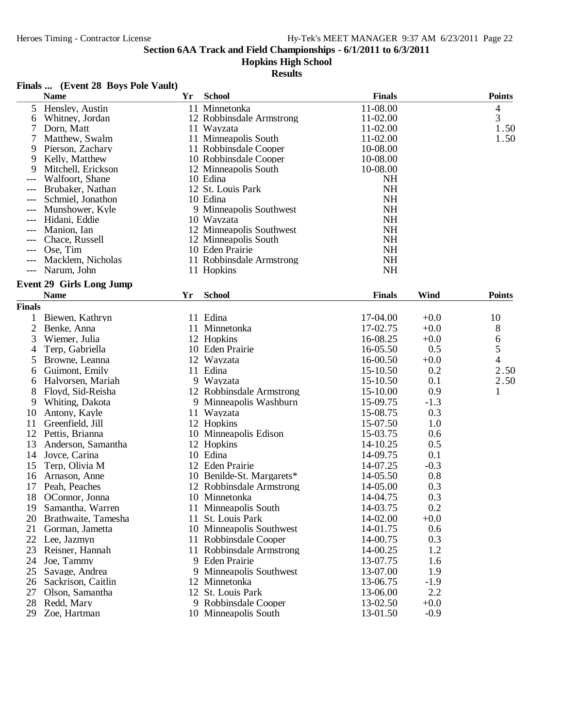## **Hopkins High School**

#### **Results**

#### **Finals ... (Event 28 Boys Pole Vault)**

|                     | <b>Name</b>                     | Yr | <b>School</b>             | <b>Finals</b>          |        | <b>Points</b> |
|---------------------|---------------------------------|----|---------------------------|------------------------|--------|---------------|
| 5                   | Hensley, Austin                 |    | 11 Minnetonka             | 11-08.00               |        | 4             |
| 6                   | Whitney, Jordan                 |    | 12 Robbinsdale Armstrong  | 11-02.00               |        | 3             |
| 7                   | Dorn, Matt                      |    | 11 Wayzata                | 11-02.00               |        | 1.50          |
| 7                   | Matthew, Swalm                  |    | 11 Minneapolis South      | 11-02.00               |        | 1.50          |
| 9                   | Pierson, Zachary                |    | 11 Robbinsdale Cooper     | 10-08.00               |        |               |
| 9                   | Kelly, Matthew                  |    | 10 Robbinsdale Cooper     | 10-08.00               |        |               |
| 9                   | Mitchell, Erickson              |    | 12 Minneapolis South      | 10-08.00               |        |               |
|                     | Walfoort, Shane                 |    | 10 Edina                  | <b>NH</b>              |        |               |
| $---$               | Brubaker, Nathan                |    | 12 St. Louis Park         | <b>NH</b>              |        |               |
|                     | Schmiel, Jonathon               |    | 10 Edina                  | <b>NH</b>              |        |               |
| ---                 | Munshower, Kyle                 |    | 9 Minneapolis Southwest   | <b>NH</b>              |        |               |
| $---$               | Hidani, Eddie                   |    | 10 Wayzata                | <b>NH</b>              |        |               |
|                     | Manion, Ian                     |    | 12 Minneapolis Southwest  | <b>NH</b>              |        |               |
|                     | Chace, Russell                  |    | 12 Minneapolis South      | <b>NH</b>              |        |               |
|                     | Ose, Tim                        |    | 10 Eden Prairie           | <b>NH</b>              |        |               |
|                     | Macklem, Nicholas               |    | 11 Robbinsdale Armstrong  | <b>NH</b><br><b>NH</b> |        |               |
| $\qquad \qquad - -$ | Narum, John                     |    | 11 Hopkins                |                        |        |               |
|                     | <b>Event 29 Girls Long Jump</b> |    |                           |                        |        |               |
|                     | <b>Name</b>                     | Yr | <b>School</b>             | <b>Finals</b>          | Wind   | <b>Points</b> |
| <b>Finals</b>       |                                 |    |                           |                        |        |               |
| 1                   | Biewen, Kathryn                 |    | 11 Edina                  | 17-04.00               | $+0.0$ | 10            |
| $\overline{2}$      | Benke, Anna                     |    | 11 Minnetonka             | 17-02.75               | $+0.0$ | 8             |
| 3                   | Wiemer, Julia                   |    | 12 Hopkins                | 16-08.25               | $+0.0$ | 6             |
| 4                   | Terp, Gabriella                 |    | 10 Eden Prairie           | 16-05.50               | 0.5    | 5             |
| 5                   | Browne, Leanna                  |    | 12 Wayzata                | 16-00.50               | $+0.0$ | 4             |
| 6                   | Guimont, Emily                  |    | 11 Edina                  | 15-10.50               | 0.2    | 2.50          |
| 6                   | Halvorsen, Mariah               |    | 9 Wayzata                 | 15-10.50               | 0.1    | 2.50          |
| 8                   | Floyd, Sid-Reisha               |    | 12 Robbinsdale Armstrong  | 15-10.00               | 0.9    | 1             |
| 9                   | Whiting, Dakota                 |    | 9 Minneapolis Washburn    | 15-09.75               | $-1.3$ |               |
| 10                  | Antony, Kayle                   |    | 11 Wayzata                | 15-08.75               | 0.3    |               |
| 11                  | Greenfield, Jill                |    | 12 Hopkins                | 15-07.50               | 1.0    |               |
| 12                  | Pettis, Brianna                 |    | 10 Minneapolis Edison     | 15-03.75               | 0.6    |               |
| 13                  | Anderson, Samantha              |    | 12 Hopkins                | 14-10.25               | 0.5    |               |
| 14                  | Joyce, Carina                   |    | 10 Edina                  | 14-09.75               | 0.1    |               |
| 15                  | Terp, Olivia M                  |    | 12 Eden Prairie           | 14-07.25               | $-0.3$ |               |
| 16                  | Arnason, Anne                   |    | 10 Benilde-St. Margarets* | 14-05.50               | 0.8    |               |
| 17                  | Peah, Peaches                   |    | 12 Robbinsdale Armstrong  | 14-05.00               | 0.3    |               |
| 18                  | OConnor, Jonna                  |    | 10 Minnetonka             | 14-04.75               | 0.3    |               |
| 19                  | Samantha, Warren                |    | 11 Minneapolis South      | 14-03.75               | 0.2    |               |
| 20                  | Brathwaite, Tamesha             |    | 11 St. Louis Park         | 14-02.00               | $+0.0$ |               |
| 21                  | Gorman, Jametta                 |    | 10 Minneapolis Southwest  | 14-01.75               | 0.6    |               |
| 22                  | Lee, Jazmyn                     |    | 11 Robbinsdale Cooper     | 14-00.75               | 0.3    |               |
| 23                  | Reisner, Hannah                 |    | 11 Robbinsdale Armstrong  | 14-00.25               | 1.2    |               |
| 24                  | Joe, Tammy                      | 9. | Eden Prairie              | 13-07.75               | 1.6    |               |
| 25                  | Savage, Andrea                  | 9  | Minneapolis Southwest     | 13-07.00               | 1.9    |               |
| 26                  | Sackrison, Caitlin              |    | 12 Minnetonka             | 13-06.75               | $-1.9$ |               |
| 27                  | Olson, Samantha                 |    | 12 St. Louis Park         | 13-06.00               | 2.2    |               |
| 28                  | Redd, Mary                      |    | 9 Robbinsdale Cooper      | 13-02.50               | $+0.0$ |               |
| 29                  | Zoe, Hartman                    |    | 10 Minneapolis South      | 13-01.50               | $-0.9$ |               |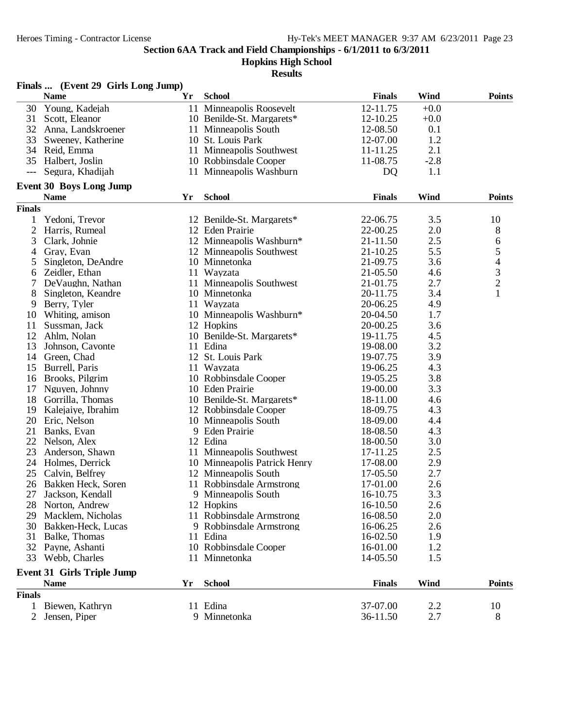**Hopkins High School**

|                | Finals  (Event 29 Girls Long Jump) |    |                              |               |        |               |
|----------------|------------------------------------|----|------------------------------|---------------|--------|---------------|
|                | <b>Name</b>                        | Yr | <b>School</b>                | <b>Finals</b> | Wind   | <b>Points</b> |
| 30             | Young, Kadejah                     |    | 11 Minneapolis Roosevelt     | 12-11.75      | $+0.0$ |               |
| 31             | Scott, Eleanor                     |    | 10 Benilde-St. Margarets*    | 12-10.25      | $+0.0$ |               |
| 32             | Anna, Landskroener                 |    | 11 Minneapolis South         | 12-08.50      | 0.1    |               |
| 33             | Sweeney, Katherine                 |    | 10 St. Louis Park            | 12-07.00      | 1.2    |               |
|                | 34 Reid, Emma                      |    | 11 Minneapolis Southwest     | 11-11.25      | 2.1    |               |
| 35             | Halbert, Joslin                    |    | 10 Robbinsdale Cooper        | 11-08.75      | $-2.8$ |               |
| ---            | Segura, Khadijah                   |    | 11 Minneapolis Washburn      | <b>DQ</b>     | 1.1    |               |
|                | <b>Event 30 Boys Long Jump</b>     |    |                              |               |        |               |
|                | <b>Name</b>                        | Yr | <b>School</b>                | <b>Finals</b> | Wind   | <b>Points</b> |
| <b>Finals</b>  |                                    |    |                              |               |        |               |
| 1              | Yedoni, Trevor                     |    | 12 Benilde-St. Margarets*    | 22-06.75      | 3.5    | 10            |
| 2              | Harris, Rumeal                     |    | 12 Eden Prairie              | 22-00.25      | 2.0    | 8             |
| 3              | Clark, Johnie                      |    | 12 Minneapolis Washburn*     | 21-11.50      | 2.5    | 6             |
| 4              | Gray, Evan                         |    | 12 Minneapolis Southwest     | 21-10.25      | 5.5    |               |
| 5              | Singleton, DeAndre                 |    | 10 Minnetonka                | 21-09.75      | 3.6    | 54321         |
| 6              | Zeidler, Ethan                     |    | 11 Wayzata                   | 21-05.50      | 4.6    |               |
| 7              | DeVaughn, Nathan                   |    | 11 Minneapolis Southwest     | 21-01.75      | 2.7    |               |
|                |                                    |    | 10 Minnetonka                | 20-11.75      | 3.4    |               |
| 8              | Singleton, Keandre                 |    |                              |               |        |               |
| 9              | Berry, Tyler                       |    | 11 Wayzata                   | 20-06.25      | 4.9    |               |
| 10             | Whiting, amison                    |    | 10 Minneapolis Washburn*     | 20-04.50      | 1.7    |               |
| 11             | Sussman, Jack                      |    | 12 Hopkins                   | 20-00.25      | 3.6    |               |
| 12             | Ahlm, Nolan                        |    | 10 Benilde-St. Margarets*    | 19-11.75      | 4.5    |               |
| 13             | Johnson, Cavonte                   |    | 11 Edina                     | 19-08.00      | 3.2    |               |
| 14             | Green, Chad                        |    | 12 St. Louis Park            | 19-07.75      | 3.9    |               |
| 15             | Burrell, Paris                     |    | 11 Wayzata                   | 19-06.25      | 4.3    |               |
| 16             | Brooks, Pilgrim                    |    | 10 Robbinsdale Cooper        | 19-05.25      | 3.8    |               |
| 17             | Nguyen, Johnny                     |    | 10 Eden Prairie              | 19-00.00      | 3.3    |               |
| 18             | Gorrilla, Thomas                   |    | 10 Benilde-St. Margarets*    | 18-11.00      | 4.6    |               |
| 19             | Kalejaiye, Ibrahim                 |    | 12 Robbinsdale Cooper        | 18-09.75      | 4.3    |               |
| 20             | Eric, Nelson                       |    | 10 Minneapolis South         | 18-09.00      | 4.4    |               |
| 21             | Banks, Evan                        |    | 9 Eden Prairie               | 18-08.50      | 4.3    |               |
| 22             | Nelson, Alex                       |    | 12 Edina                     | 18-00.50      | 3.0    |               |
| 23             | Anderson, Shawn                    |    | 11 Minneapolis Southwest     | 17-11.25      | 2.5    |               |
|                | 24 Holmes, Derrick                 |    | 10 Minneapolis Patrick Henry | 17-08.00      | 2.9    |               |
| 25             | Calvin, Belfrey                    |    | 12 Minneapolis South         | 17-05.50      | 2.7    |               |
|                | 26 Bakken Heck, Soren              |    | 11 Robbinsdale Armstrong     | 17-01.00      | 2.6    |               |
| 27             | Jackson, Kendall                   |    | 9 Minneapolis South          | 16-10.75      | 3.3    |               |
| 28             | Norton, Andrew                     |    | 12 Hopkins                   | 16-10.50      | 2.6    |               |
| 29             | Macklem, Nicholas                  |    | 11 Robbinsdale Armstrong     | 16-08.50      | 2.0    |               |
| 30             | Bakken-Heck, Lucas                 |    | 9 Robbinsdale Armstrong      | 16-06.25      | 2.6    |               |
| 31             | Balke, Thomas                      |    | 11 Edina                     | 16-02.50      | 1.9    |               |
|                | 32 Payne, Ashanti                  |    | 10 Robbinsdale Cooper        | 16-01.00      | 1.2    |               |
| 33             | Webb, Charles                      |    | 11 Minnetonka                | 14-05.50      | 1.5    |               |
|                | <b>Event 31 Girls Triple Jump</b>  |    |                              |               |        |               |
|                | <b>Name</b>                        | Yr | <b>School</b>                | <b>Finals</b> | Wind   | <b>Points</b> |
| <b>Finals</b>  |                                    |    |                              |               |        |               |
| $\mathbf{1}$   | Biewen, Kathryn                    |    | 11 Edina                     | 37-07.00      | 2.2    | 10            |
| $\overline{2}$ | Jensen, Piper                      |    | 9 Minnetonka                 | 36-11.50      | 2.7    | 8             |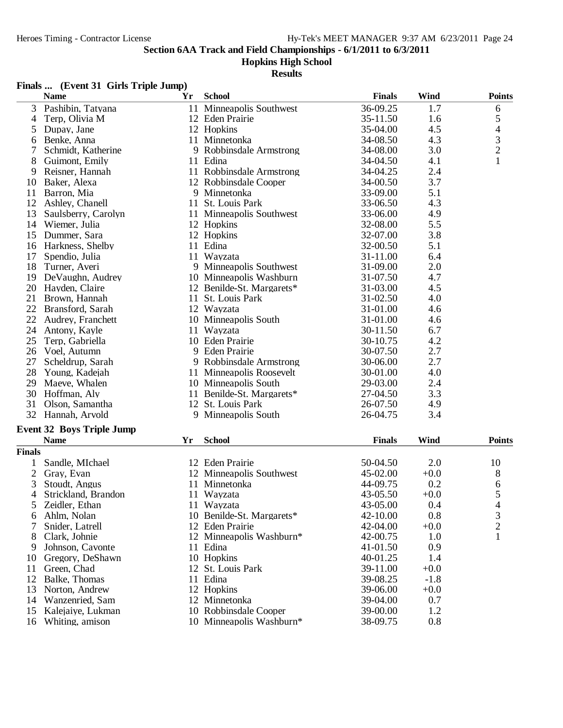#### **Hopkins High School**

|               | Finals  (Event 31 Girls Triple Jump)            |    |                           |               |        |                          |
|---------------|-------------------------------------------------|----|---------------------------|---------------|--------|--------------------------|
|               | <b>Name</b>                                     | Yr | <b>School</b>             | <b>Finals</b> | Wind   | <b>Points</b>            |
| 3             | Pashibin, Tatyana                               |    | 11 Minneapolis Southwest  | 36-09.25      | 1.7    | 6                        |
| 4             | Terp, Olivia M                                  |    | 12 Eden Prairie           | 35-11.50      | 1.6    | 5                        |
| 5             | Dupay, Jane                                     |    | 12 Hopkins                | 35-04.00      | 4.5    | $\overline{\mathcal{A}}$ |
| 6             | Benke, Anna                                     |    | 11 Minnetonka             | 34-08.50      | 4.3    | $\frac{3}{2}$            |
| 7             | Schmidt, Katherine                              |    | 9 Robbinsdale Armstrong   | 34-08.00      | 3.0    |                          |
| 8             | Guimont, Emily                                  |    | 11 Edina                  | 34-04.50      | 4.1    | $\mathbf{1}$             |
| 9             | Reisner, Hannah                                 |    | 11 Robbinsdale Armstrong  | 34-04.25      | 2.4    |                          |
| 10            | Baker, Alexa                                    |    | 12 Robbinsdale Cooper     | 34-00.50      | 3.7    |                          |
| 11            | Barron, Mia                                     |    | 9 Minnetonka              | 33-09.00      | 5.1    |                          |
|               | 12 Ashley, Chanell                              |    | 11 St. Louis Park         | 33-06.50      | 4.3    |                          |
| 13            | Saulsberry, Carolyn                             |    | 11 Minneapolis Southwest  | 33-06.00      | 4.9    |                          |
|               | 14 Wiemer, Julia                                |    | 12 Hopkins                | 32-08.00      | 5.5    |                          |
| 15            | Dummer, Sara                                    |    | 12 Hopkins                | 32-07.00      | 3.8    |                          |
|               | 16 Harkness, Shelby                             |    | 11 Edina                  | 32-00.50      | 5.1    |                          |
| 17            | Spendio, Julia                                  |    | 11 Wayzata                | 31-11.00      | 6.4    |                          |
|               | 18 Turner, Averi                                |    | 9 Minneapolis Southwest   | 31-09.00      | 2.0    |                          |
|               | 19 DeVaughn, Audrey                             |    | 10 Minneapolis Washburn   | 31-07.50      | 4.7    |                          |
|               | 20 Hayden, Claire                               |    | 12 Benilde-St. Margarets* | 31-03.00      | 4.5    |                          |
| 21            | Brown, Hannah                                   |    | 11 St. Louis Park         | 31-02.50      | 4.0    |                          |
|               | 22 Bransford, Sarah                             |    | 12 Wayzata                | 31-01.00      | 4.6    |                          |
| 22            | Audrey, Franchett                               |    | 10 Minneapolis South      | 31-01.00      | 4.6    |                          |
| 24            | Antony, Kayle                                   |    | 11 Wayzata                | 30-11.50      | 6.7    |                          |
| 25            | Terp, Gabriella                                 |    | 10 Eden Prairie           | 30-10.75      | 4.2    |                          |
|               | 26 Voel, Autumn                                 |    | 9 Eden Prairie            | 30-07.50      | 2.7    |                          |
| 27            | Scheldrup, Sarah                                |    | 9 Robbinsdale Armstrong   | 30-06.00      | 2.7    |                          |
| 28            | Young, Kadejah                                  |    | 11 Minneapolis Roosevelt  | 30-01.00      | 4.0    |                          |
| 29            | Maeve, Whalen                                   |    | 10 Minneapolis South      | 29-03.00      | 2.4    |                          |
| 30            | Hoffman, Aly                                    |    | 11 Benilde-St. Margarets* | 27-04.50      | 3.3    |                          |
| 31            | Olson, Samantha                                 |    | 12 St. Louis Park         | 26-07.50      | 4.9    |                          |
|               | 32 Hannah, Arvold                               |    | 9 Minneapolis South       | 26-04.75      | 3.4    |                          |
|               |                                                 |    |                           |               |        |                          |
|               | <b>Event 32 Boys Triple Jump</b><br><b>Name</b> |    | <b>School</b>             | <b>Finals</b> | Wind   | <b>Points</b>            |
|               |                                                 | Yr |                           |               |        |                          |
| <b>Finals</b> |                                                 |    |                           |               |        |                          |
| 1             | Sandle, MIchael                                 |    | 12 Eden Prairie           | 50-04.50      | 2.0    | 10                       |
| 2             | Gray, Evan                                      |    | 12 Minneapolis Southwest  | 45-02.00      | $+0.0$ | 8                        |
| 3             | Stoudt, Angus                                   |    | 11 Minnetonka             | 44-09.75      | 0.2    | 6                        |
| 4             | Strickland, Brandon                             |    | 11 Wayzata                | 43-05.50      | $+0.0$ | 5                        |
| 5             | Zeidler, Ethan                                  |    | 11 Wayzata                | 43-05.00      | 0.4    | 4                        |
| 6             | Ahlm, Nolan                                     |    | 10 Benilde-St. Margarets* | 42-10.00      | 0.8    | 3                        |
|               | Snider, Latrell                                 |    | 12 Eden Prairie           | 42-04.00      | $+0.0$ | $\overline{c}$           |
| 8             | Clark, Johnie                                   |    | 12 Minneapolis Washburn*  | 42-00.75      | 1.0    | $\mathbf{1}$             |
| 9             | Johnson, Cavonte                                |    | 11 Edina                  | 41-01.50      | 0.9    |                          |
| 10            | Gregory, DeShawn                                |    | 10 Hopkins                | 40-01.25      | 1.4    |                          |
| 11            | Green, Chad                                     |    | 12 St. Louis Park         | 39-11.00      | $+0.0$ |                          |
| 12            | Balke, Thomas                                   |    | 11 Edina                  | 39-08.25      | $-1.8$ |                          |
| 13            | Norton, Andrew                                  |    | 12 Hopkins                | 39-06.00      | $+0.0$ |                          |
| 14            | Wanzenried, Sam                                 |    | 12 Minnetonka             | 39-04.00      | 0.7    |                          |
| 15            | Kalejaiye, Lukman                               |    | 10 Robbinsdale Cooper     | 39-00.00      | 1.2    |                          |
|               | 16 Whiting, amison                              |    | 10 Minneapolis Washburn*  | 38-09.75      | 0.8    |                          |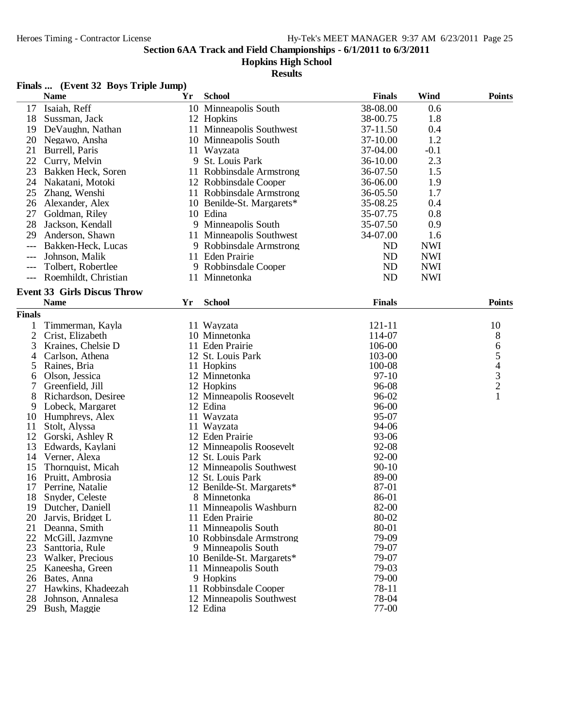#### **Hopkins High School**

|               | Finals  (Event 32 Boys Triple Jump) |    |                           |               |            |                                            |
|---------------|-------------------------------------|----|---------------------------|---------------|------------|--------------------------------------------|
|               | <b>Name</b>                         | Yr | <b>School</b>             | <b>Finals</b> | Wind       | <b>Points</b>                              |
| 17            | Isaiah, Reff                        |    | 10 Minneapolis South      | 38-08.00      | 0.6        |                                            |
| 18            | Sussman, Jack                       |    | 12 Hopkins                | 38-00.75      | 1.8        |                                            |
| 19            | DeVaughn, Nathan                    |    | 11 Minneapolis Southwest  | 37-11.50      | 0.4        |                                            |
| 20            | Negawo, Ansha                       |    | 10 Minneapolis South      | 37-10.00      | 1.2        |                                            |
| 21            | Burrell, Paris                      |    | 11 Wayzata                | 37-04.00      | $-0.1$     |                                            |
| 22            | Curry, Melvin                       |    | 9 St. Louis Park          | 36-10.00      | 2.3        |                                            |
| 23            | Bakken Heck, Soren                  |    | 11 Robbinsdale Armstrong  | 36-07.50      | 1.5        |                                            |
| 24            | Nakatani, Motoki                    |    | 12 Robbinsdale Cooper     | 36-06.00      | 1.9        |                                            |
| 25            | Zhang, Wenshi                       |    | 11 Robbinsdale Armstrong  | 36-05.50      | 1.7        |                                            |
| 26            | Alexander, Alex                     |    | 10 Benilde-St. Margarets* | 35-08.25      | 0.4        |                                            |
|               |                                     |    |                           |               |            |                                            |
| 27            | Goldman, Riley                      |    | 10 Edina                  | 35-07.75      | 0.8        |                                            |
| 28            | Jackson, Kendall                    |    | 9 Minneapolis South       | 35-07.50      | 0.9        |                                            |
| 29            | Anderson, Shawn                     |    | 11 Minneapolis Southwest  | 34-07.00      | 1.6        |                                            |
| $---$         | Bakken-Heck, Lucas                  |    | 9 Robbinsdale Armstrong   | ND            | <b>NWI</b> |                                            |
| $---$         | Johnson, Malik                      |    | 11 Eden Prairie           | <b>ND</b>     | <b>NWI</b> |                                            |
|               | Tolbert, Robertlee                  |    | 9 Robbinsdale Cooper      | ND            | <b>NWI</b> |                                            |
| $---$         | Roemhildt, Christian                |    | 11 Minnetonka             | <b>ND</b>     | <b>NWI</b> |                                            |
|               | <b>Event 33 Girls Discus Throw</b>  |    |                           |               |            |                                            |
|               | <b>Name</b>                         | Yr | <b>School</b>             | <b>Finals</b> |            | <b>Points</b>                              |
| <b>Finals</b> |                                     |    |                           |               |            |                                            |
| 1             | Timmerman, Kayla                    |    | 11 Wayzata                | 121-11        |            | 10                                         |
| 2             | Crist, Elizabeth                    |    | 10 Minnetonka             | 114-07        |            | 8                                          |
| 3             | Kraines, Chelsie D                  |    | 11 Eden Prairie           | 106-00        |            | 6                                          |
| 4             | Carlson, Athena                     |    | 12 St. Louis Park         | 103-00        |            | 5                                          |
| 5             | Raines, Bria                        |    | 11 Hopkins                | 100-08        |            |                                            |
| 6             | Olson, Jessica                      |    | 12 Minnetonka             | $97-10$       |            |                                            |
| 7             | Greenfield, Jill                    |    | 12 Hopkins                | 96-08         |            | $\begin{array}{c} 4 \\ 3 \\ 2 \end{array}$ |
| 8             | Richardson, Desiree                 |    | 12 Minneapolis Roosevelt  | 96-02         |            | $\mathbf{1}$                               |
| 9             | Lobeck, Margaret                    |    | 12 Edina                  | 96-00         |            |                                            |
| 10            | Humphreys, Alex                     |    | 11 Wayzata                | 95-07         |            |                                            |
| 11            | Stolt, Alyssa                       |    | 11 Wayzata                | 94-06         |            |                                            |
| 12            | Gorski, Ashley R                    |    | 12 Eden Prairie           | 93-06         |            |                                            |
| 13            | Edwards, Kaylani                    |    | 12 Minneapolis Roosevelt  | 92-08         |            |                                            |
| 14            | Verner, Alexa                       |    | 12 St. Louis Park         | $92 - 00$     |            |                                            |
| 15            | Thornquist, Micah                   |    | 12 Minneapolis Southwest  | $90 - 10$     |            |                                            |
| 16            | Pruitt, Ambrosia                    |    | 12 St. Louis Park         | 89-00         |            |                                            |
| 17            | Perrine, Natalie                    |    | 12 Benilde-St. Margarets* | 87-01         |            |                                            |
| 18            | Snyder, Celeste                     |    | 8 Minnetonka              | 86-01         |            |                                            |
| 19            | Dutcher, Daniell                    |    | 11 Minneapolis Washburn   | 82-00         |            |                                            |
| 20            | Jarvis, Bridget L                   |    | 11 Eden Prairie           | 80-02         |            |                                            |
| 21            | Deanna, Smith                       |    | 11 Minneapolis South      | 80-01         |            |                                            |
| 22            | McGill, Jazmyne                     |    | 10 Robbinsdale Armstrong  | 79-09         |            |                                            |
| 23            | Santtoria, Rule                     |    | 9 Minneapolis South       | 79-07         |            |                                            |
| 23            | Walker, Precious                    |    | 10 Benilde-St. Margarets* | 79-07         |            |                                            |
| 25            | Kaneesha, Green                     |    | 11 Minneapolis South      | 79-03         |            |                                            |
| 26            | Bates, Anna                         |    | 9 Hopkins                 | 79-00         |            |                                            |
| 27            | Hawkins, Khadeezah                  |    | 11 Robbinsdale Cooper     | 78-11         |            |                                            |
| 28            | Johnson, Annalesa                   |    | 12 Minneapolis Southwest  | 78-04         |            |                                            |
| 29            | Bush, Maggie                        |    | 12 Edina                  | 77-00         |            |                                            |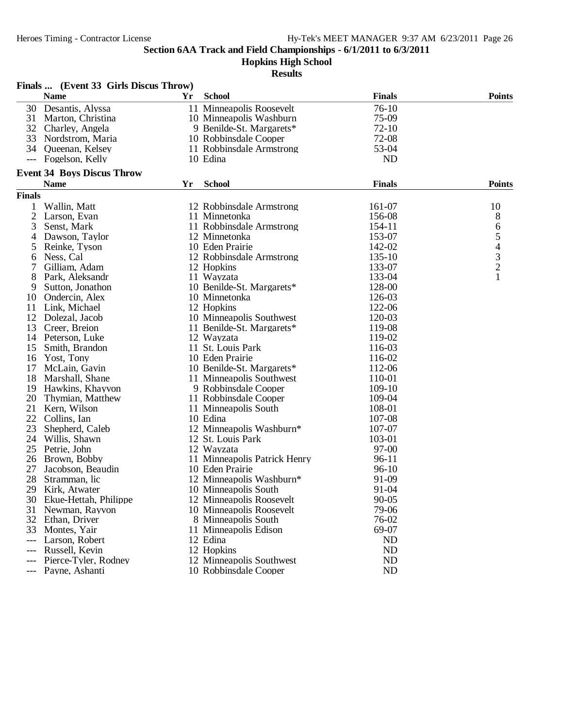**Hopkins High School**

|                     | Finals  (Event 33 Girls Discus Throw) |    |                                        |               |                |
|---------------------|---------------------------------------|----|----------------------------------------|---------------|----------------|
|                     | <b>Name</b>                           | Yr | <b>School</b>                          | <b>Finals</b> | <b>Points</b>  |
| 30                  | Desantis, Alyssa                      |    | 11 Minneapolis Roosevelt               | $76-10$       |                |
| 31                  | Marton, Christina                     |    | 10 Minneapolis Washburn                | 75-09         |                |
|                     | 32 Charley, Angela                    |    | 9 Benilde-St. Margarets*               | $72-10$       |                |
| 33                  | Nordstrom, Maria                      |    | 10 Robbinsdale Cooper                  | 72-08         |                |
|                     | 34 Queenan, Kelsey                    |    | 11 Robbinsdale Armstrong               | 53-04         |                |
| $\qquad \qquad - -$ | Fogelson, Kelly                       |    | 10 Edina                               | <b>ND</b>     |                |
|                     | <b>Event 34 Boys Discus Throw</b>     |    |                                        |               |                |
|                     | <b>Name</b>                           | Yr | <b>School</b>                          | <b>Finals</b> | <b>Points</b>  |
| <b>Finals</b>       |                                       |    |                                        |               |                |
| 1                   | Wallin, Matt                          |    | 12 Robbinsdale Armstrong               | 161-07        | 10             |
| $\mathbf{2}$        | Larson, Evan                          |    | 11 Minnetonka                          | 156-08        | 8              |
| 3                   | Senst, Mark                           |    | 11 Robbinsdale Armstrong               | 154-11        | 6              |
| 4                   | Dawson, Taylor                        |    | 12 Minnetonka                          | 153-07        | 5              |
| 5                   | Reinke, Tyson                         |    | 10 Eden Prairie                        | 142-02        | $\overline{4}$ |
| 6                   | Ness, Cal                             |    | 12 Robbinsdale Armstrong               | 135-10        |                |
| 7                   | Gilliam, Adam                         |    | 12 Hopkins                             | 133-07        | $\frac{3}{2}$  |
| 8                   | Park, Aleksandr                       |    | 11 Wayzata                             | 133-04        | $\mathbf{1}$   |
| 9                   | Sutton, Jonathon                      |    | 10 Benilde-St. Margarets*              | 128-00        |                |
| 10                  | Ondercin, Alex                        |    | 10 Minnetonka                          | 126-03        |                |
| 11                  | Link, Michael                         |    | 12 Hopkins                             | 122-06        |                |
| 12                  | Dolezal, Jacob                        |    | 10 Minneapolis Southwest               | 120-03        |                |
| 13                  | Creer, Breion                         |    | 11 Benilde-St. Margarets*              | 119-08        |                |
| 14                  | Peterson, Luke                        |    | 12 Wayzata                             | 119-02        |                |
| 15                  | Smith, Brandon                        |    | 11 St. Louis Park                      | 116-03        |                |
| 16                  | Yost, Tony                            |    | 10 Eden Prairie                        | 116-02        |                |
| 17                  | McLain, Gavin                         |    | 10 Benilde-St. Margarets*              | 112-06        |                |
| 18                  | Marshall, Shane                       |    | 11 Minneapolis Southwest               | 110-01        |                |
| 19                  | Hawkins, Khayvon                      |    | 9 Robbinsdale Cooper                   | 109-10        |                |
| 20                  | Thymian, Matthew                      |    | 11 Robbinsdale Cooper                  | 109-04        |                |
| 21                  | Kern, Wilson                          |    | 11 Minneapolis South                   | 108-01        |                |
| 22                  | Collins, Ian                          |    | 10 Edina                               | 107-08        |                |
| 23                  | Shepherd, Caleb                       |    | 12 Minneapolis Washburn*               | 107-07        |                |
| 24                  | Willis, Shawn                         |    | 12 St. Louis Park                      | 103-01        |                |
| 25                  | Petrie, John                          |    | 12 Wayzata                             | 97-00         |                |
| 26                  | Brown, Bobby                          |    | 11 Minneapolis Patrick Henry           | $96-11$       |                |
| 27                  | Jacobson, Beaudin                     |    | 10 Eden Prairie                        | $96-10$       |                |
| 28                  | Stramman, lic                         |    | 12 Minneapolis Washburn*               | 91-09         |                |
| 29                  | Kirk. Atwater                         |    | 10 Minneapolis South                   | 91-04         |                |
| 30                  | Ekue-Hettah, Philippe                 |    | 12 Minneapolis Roosevelt               | $90 - 05$     |                |
| 31                  | Newman, Rayvon                        |    | 10 Minneapolis Roosevelt               | 79-06         |                |
| 32                  | Ethan, Driver                         |    | 8 Minneapolis South                    | 76-02         |                |
| 33                  | Montes, Yair                          |    | 11 Minneapolis Edison                  | 69-07         |                |
| $---$               | Larson, Robert                        |    | 12 Edina                               | <b>ND</b>     |                |
|                     | Russell, Kevin                        |    |                                        | <b>ND</b>     |                |
| $---$               |                                       |    | 12 Hopkins<br>12 Minneapolis Southwest | <b>ND</b>     |                |
|                     | Pierce-Tyler, Rodney                  |    |                                        | <b>ND</b>     |                |
| $---$               | Payne, Ashanti                        |    | 10 Robbinsdale Cooper                  |               |                |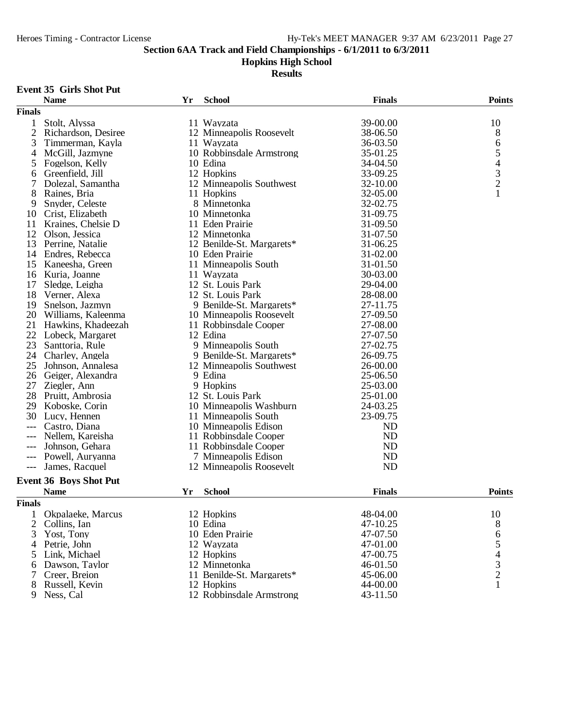**Hopkins High School**

**Results**

#### **Event 35 Girls Shot Put**

|                     | <b>Name</b>                   | Yr | <b>School</b>             | <b>Finals</b> | <b>Points</b>                                   |
|---------------------|-------------------------------|----|---------------------------|---------------|-------------------------------------------------|
| <b>Finals</b>       |                               |    |                           |               |                                                 |
| 1                   | Stolt, Alyssa                 |    | 11 Wayzata                | 39-00.00      | 10                                              |
| 2                   | Richardson, Desiree           |    | 12 Minneapolis Roosevelt  | 38-06.50      | 8                                               |
| 3                   | Timmerman, Kayla              |    | 11 Wayzata                | 36-03.50      | 6                                               |
| 4                   | McGill, Jazmyne               |    | 10 Robbinsdale Armstrong  | 35-01.25      |                                                 |
| 5                   | Fogelson, Kelly               |    | 10 Edina                  | 34-04.50      |                                                 |
| 6                   | Greenfield, Jill              |    | 12 Hopkins                | 33-09.25      |                                                 |
| 7                   | Dolezal, Samantha             |    | 12 Minneapolis Southwest  | 32-10.00      | $\begin{array}{c} 5 \\ 4 \\ 3 \\ 2 \end{array}$ |
| 8                   | Raines, Bria                  |    | 11 Hopkins                | 32-05.00      | $\mathbf{1}$                                    |
| 9                   | Snyder, Celeste               |    | 8 Minnetonka              | 32-02.75      |                                                 |
| 10                  | Crist, Elizabeth              |    | 10 Minnetonka             | 31-09.75      |                                                 |
| 11                  | Kraines, Chelsie D            |    | 11 Eden Prairie           | 31-09.50      |                                                 |
| 12                  | Olson, Jessica                |    | 12 Minnetonka             | 31-07.50      |                                                 |
| 13                  | Perrine, Natalie              |    | 12 Benilde-St. Margarets* | 31-06.25      |                                                 |
| 14                  | Endres, Rebecca               |    | 10 Eden Prairie           | 31-02.00      |                                                 |
| 15                  | Kaneesha, Green               |    | 11 Minneapolis South      | 31-01.50      |                                                 |
| 16                  | Kuria, Joanne                 |    | 11 Wayzata                | 30-03.00      |                                                 |
| 17                  | Sledge, Leigha                |    | 12 St. Louis Park         | 29-04.00      |                                                 |
| 18                  | Verner, Alexa                 |    | 12 St. Louis Park         | 28-08.00      |                                                 |
| 19                  | Snelson, Jazmyn               |    | 9 Benilde-St. Margarets*  | 27-11.75      |                                                 |
| 20                  | Williams, Kaleenma            |    | 10 Minneapolis Roosevelt  | 27-09.50      |                                                 |
| 21                  | Hawkins, Khadeezah            |    | 11 Robbinsdale Cooper     | 27-08.00      |                                                 |
| 22                  | Lobeck, Margaret              |    | 12 Edina                  | 27-07.50      |                                                 |
| 23                  | Santtoria, Rule               |    | 9 Minneapolis South       | 27-02.75      |                                                 |
| 24                  | Charley, Angela               |    | 9 Benilde-St. Margarets*  | 26-09.75      |                                                 |
| 25                  | Johnson, Annalesa             |    | 12 Minneapolis Southwest  | 26-00.00      |                                                 |
| 26                  | Geiger, Alexandra             |    | 9 Edina                   | 25-06.50      |                                                 |
| 27                  | Ziegler, Ann                  |    | 9 Hopkins                 | 25-03.00      |                                                 |
| 28                  | Pruitt, Ambrosia              |    | 12 St. Louis Park         | 25-01.00      |                                                 |
| 29                  | Koboske, Corin                |    | 10 Minneapolis Washburn   | 24-03.25      |                                                 |
| 30                  | Lucy, Hennen                  |    | 11 Minneapolis South      | 23-09.75      |                                                 |
| $---$               | Castro, Diana                 |    | 10 Minneapolis Edison     | <b>ND</b>     |                                                 |
| ---                 | Nellem, Kareisha              |    | 11 Robbinsdale Cooper     | <b>ND</b>     |                                                 |
| ---                 | Johnson, Gehara               |    | 11 Robbinsdale Cooper     | <b>ND</b>     |                                                 |
| $\qquad \qquad - -$ | Powell, Auryanna              |    | 7 Minneapolis Edison      | <b>ND</b>     |                                                 |
| $---$               | James, Racquel                |    | 12 Minneapolis Roosevelt  | <b>ND</b>     |                                                 |
|                     | <b>Event 36 Boys Shot Put</b> |    |                           |               |                                                 |
|                     | <b>Name</b>                   | Yr | <b>School</b>             | <b>Finals</b> | <b>Points</b>                                   |
|                     |                               |    |                           |               |                                                 |
| <b>Finals</b>       |                               |    |                           |               |                                                 |
|                     | Okpalaeke, Marcus             |    | 12 Hopkins                | 48-04.00      | 10                                              |
| 2                   | Collins, Ian                  |    | 10 Edina                  | 47-10.25      | 8                                               |
| 3                   | Yost, Tony                    |    | 10 Eden Prairie           | 47-07.50      | 6                                               |
| 4                   | Petrie, John                  |    | 12 Wayzata                | 47-01.00      | 5                                               |
| 5                   | Link, Michael                 |    | 12 Hopkins                | 47-00.75      |                                                 |
| 6                   | Dawson, Taylor                |    | 12 Minnetonka             | 46-01.50      | $\begin{array}{c} 4 \\ 3 \\ 2 \end{array}$      |
| 7                   | Creer, Breion                 |    | 11 Benilde-St. Margarets* | 45-06.00      |                                                 |
| 8                   | Russell, Kevin                |    | 12 Hopkins                | 44-00.00      | $\mathbf{1}$                                    |
| 9                   | Ness, Cal                     |    | 12 Robbinsdale Armstrong  | 43-11.50      |                                                 |